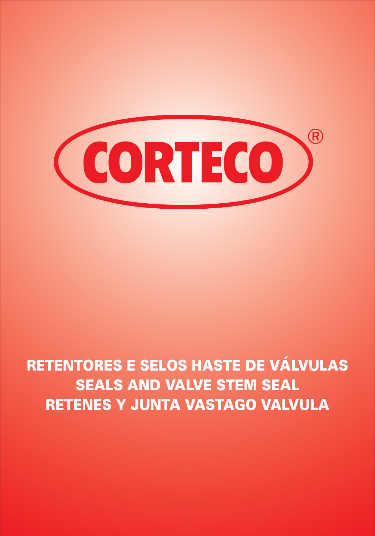

# *RETENTORES E SELOS HASTE DE VÁLVULAS SEALS AND VALVE STEM SEAL RETENES Y JUNTA VASTAGO VALVULA*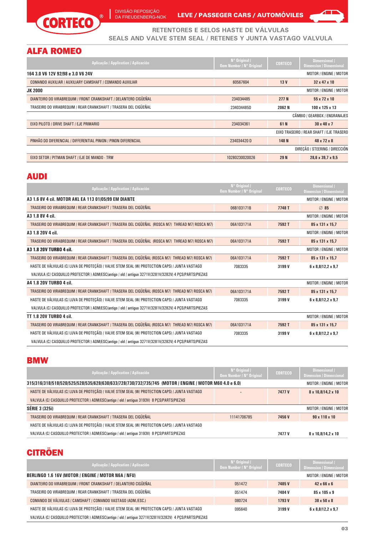

DIVISÃO REPOSIÇÃO<br>DA FREUDENBERG-NOK LEVE **/ PASSEGER CARS / AUTOMÓVILES** 



**RETENTORES E SELOS HASTE DE VÁLVULAS SEALS AND VALVE STEM SEAL / RETENES Y JUNTA VASTAGO VALVULA**

# ALFA ROMEO

| Aplicação / Application / Aplicación                             | $No$ Original /<br>Oem Number / N° Original | <b>CORTECO</b>  | Dimensional /<br><b>Dimension / Dimensional</b> |
|------------------------------------------------------------------|---------------------------------------------|-----------------|-------------------------------------------------|
| 164 3.0 V6 12V 92/98 e 3.0 V6 24V                                |                                             |                 | MOTOR / ENGINE / MOTOR                          |
| COMANDO AUXILIAR / AUXILIARY CAMSHAFT / COMANDO AUXILIAR         | 60567604                                    | 13 <sub>V</sub> | $32 \times 47 \times 10$                        |
| <b>JK 2000</b>                                                   |                                             |                 | MOTOR / ENGINE / MOTOR                          |
| DIANTEIRO DO VIRABREQUIM / FRONT CRANKSHAFT / DELANTERO CIGÜEÑAL | 234034485                                   | 277 N           | $55 \times 72 \times 10$                        |
| TRASEIRO DO VIRABREQUIM / REAR CRANKSHAFT / TRASERA DEL CIGÜEÑAL | 234034485D                                  | 2062 N          | 100 x 125 x 13                                  |
|                                                                  |                                             |                 | CÂMBIO / GEARBOX / ENGRANAJES                   |
| EIXO PILOTO / DRIVE SHAFT / EJE PRIMARIO                         | 234034361                                   | 61N             | $30 \times 40 \times 7$                         |
|                                                                  |                                             |                 | EIXO TRASEIRO / REAR SHAFT / EJE TRASERO        |
| PINHÃO DO DIFERENCIAL / DIFFERENTIAL PINION / PINON DIFERENCIAL  | 234034420 D                                 | 148 N           | $48 \times 72 \times 8$                         |
|                                                                  |                                             |                 | DIRECÃO / STEERING / DIRECCIÓN                  |
| EIXO SETOR / PITMAN SHAFT / EJE DE MANDO - TRW                   | 10280230020026                              | 29 N            | $28,6 \times 39,7 \times 9,5$                   |

#### AUDI

| Aplicação / Application / Aplicación                                                                   | N° Original<br><b>Oem Number / N° Original</b> | <b>CORTECO</b> | <b>Dimensional</b><br><b>Dimension / Dimensional</b> |
|--------------------------------------------------------------------------------------------------------|------------------------------------------------|----------------|------------------------------------------------------|
| A3 1.6 8V 4 cil. MOTOR AKL EA 113 01/05/99 EM DIANTE                                                   |                                                |                | MOTOR / ENGINE / MOTOR                               |
| TRASEIRO DO VIRABREQUIM / REAR CRANKSHAFT / TRASERA DEL CIGÜEÑAL                                       | 06B103171B                                     | 7748 T         | 85                                                   |
| A3 1.8 8V 4 cil.                                                                                       |                                                |                | MOTOR / ENGINE / MOTOR                               |
| TRASEIRO DO VIRABREQUIM / REAR CRANKSHAFT / TRASERA DEL CIGÜEÑAL  (ROSCA M7)  THREAD M7/ ROSCA M7)     | 06A103171A                                     | 7592T          | 85 x 131 x 15,7                                      |
| A3 1.8 20V 4 cil.                                                                                      |                                                |                | MOTOR / ENGINE / MOTOR                               |
| TRASEIRO DO VIRABREQUIM / REAR CRANKSHAFT / TRASERA DEL CIGÜEÑAL (ROSCA M7) THREAD M7) ROSCA M7)       | 06A103171A                                     | 7592T          | 85 x 131 x 15,7                                      |
| A3 1.8 20V TURBO 4 cil.                                                                                |                                                |                | MOTOR / ENGINE / MOTOR                               |
| TRASEIRO DO VIRABREQUIM / REAR CRANKSHAFT / TRASERA DEL CIGÜEÑAL (ROSCA M7) THREAD M7) ROSCA M7)       | 06A103171A                                     | 7592T          | 85 x 131 x 15,7                                      |
| HASTE DE VÁLVULAS (C/ LUVA DE PROTECÃO) / VALVE STEM SEAL (W/ PROTECTION CAPS) / JUNTA VASTAGO         | 7083335                                        | 3199 V         | $6 \times 8,8/12,2 \times 9,7$                       |
| VALVULA (C/ CASQUILLO PROTECTOR) ADM/ESC(antigo / old / antiguo 3271V/3281V/3282V) 4 PCS/PARTS/PIEZAS  |                                                |                |                                                      |
| A4 1.8 20V TURBO 4 cil.                                                                                |                                                |                | MOTOR / ENGINE / MOTOR                               |
| TRASEIRO DO VIRABREQUIM / REAR CRANKSHAFT / TRASERA DEL CIGÜEÑAL (ROSCA M7) THREAD M7) ROSCA M7)       | 06A103171A                                     | 7592T          | 85 x 131 x 15,7                                      |
| HASTE DE VÁLVULAS (C/ LUVA DE PROTEÇÃO) / VALVE STEM SEAL (W/ PROTECTION CAPS) / JUNTA VASTAGO         | 7083335                                        | 3199 V         | $6 \times 8,8/12,2 \times 9,7$                       |
| VALVULA (C/ CASQUILLO PROTECTOR) ADM/ESC(antigo / old / antiguo 3271V/3281V/3282V) 4 PCS/PARTS/PIEZAS  |                                                |                |                                                      |
| <b>TT 1.8 20V TURBO 4 cil.</b>                                                                         |                                                |                | MOTOR / ENGINE / MOTOR                               |
| TRASEIRO DO VIRABREQUIM / REAR CRANKSHAFT / TRASERA DEL CIGÜEÑAL (ROSCA M7/ THREAD M7/ ROSCA M7)       | 06A103171A                                     | 7592T          | 85 x 131 x 15,7                                      |
| HASTE DE VÁLVULAS (C/ LUVA DE PROTEÇÃO) / VALVE STEM SEAL (W/ PROTECTION CAPS) / JUNTA VASTAGO         | 7083335                                        | 3199 V         | $6 \times 8,8/12,2 \times 9,7$                       |
| VALVULA (C/ CASQUILLO PROTECTOR ) ADM/ESC(antigo / old / antiguo 3271V/3281V/3282V) 4 PCS/PARTS/PIEZAS |                                                |                |                                                      |

#### BMW

| Aplicação / Application / Aplicación                                                                   | $N^{\circ}$ Original /<br>Oem Number / N° Original | <b>CORTECO</b> | Dimensional /<br><b>Dimension / Dimensional</b> |
|--------------------------------------------------------------------------------------------------------|----------------------------------------------------|----------------|-------------------------------------------------|
| 315/316/318/518/520/525/528/535/628/630/633/728/730/732/735/745 (MOTOR / ENGINE / MOTOR M60 4.0 e 6.0) |                                                    |                | MOTOR / ENGINE / MOTOR                          |
| HASTE DE VÁLVULAS (C/ LUVA DE PROTECÃO) / VALVE STEM SEAL (W/ PROTECTION CAPS) / JUNTA VASTAGO         |                                                    | 7477 V         | 8 x 10.8/14.2 x 10                              |
| VALVULA (C/ CASQUILLO PROTECTOR ) ADM/ESC(antigo / old / antiguo 3193V) 8 PCS/PARTS/PIEZAS             |                                                    |                |                                                 |
| <b>SÉRIE 3 (325i)</b>                                                                                  |                                                    |                | MOTOR / ENGINE / MOTOR                          |
| TRASEIRO DO VIRABREQUIM / REAR CRANKSHAFT / TRASERA DEL CIGÜEÑAL                                       | 11141706785                                        | 7456 V         | $90 \times 110 \times 10$                       |
| HASTE DE VÁLVULAS (C/ LUVA DE PROTECÃO) / VALVE STEM SEAL (W/ PROTECTION CAPS) / JUNTA VASTAGO         |                                                    |                |                                                 |
| VALVULA (C/ CASQUILLO PROTECTOR ) ADM/ESC(antigo / old / antiguo 3193V) 8 PCS/PARTS/PIEZAS             |                                                    | 7477 V         | $8 \times 10,8/14,2 \times 10$                  |
|                                                                                                        |                                                    |                |                                                 |

# **CITRÖEN**

| Aplicação / Application / Aplicación                                                                   | $N^{\circ}$ Original /<br>Oem Number / N° Original | <b>CORTECO</b> | Dimensional /<br><b>Dimension / Dimensional</b> |
|--------------------------------------------------------------------------------------------------------|----------------------------------------------------|----------------|-------------------------------------------------|
| BERLINGO 1.6 16V (MOTOR / ENGINE / MOTOR N6A / NFU)                                                    |                                                    |                | MOTOR / ENGINE / MOTOR                          |
| DIANTEIRO DO VIRABREQUIM / FRONT CRANKSHAFT / DELANTERO CIGÜEÑAL                                       | 051472                                             | 7485V          | $42 \times 66 \times 6$                         |
| TRASEIRO DO VIRABREQUIM / REAR CRANKSHAFT / TRASERA DEL CIGÜEÑAL                                       | 051474                                             | 7484 V         | $85 \times 105 \times 9$                        |
| COMANDO DE VÁLVULAS / CAMSHAFT / COMANDO VASTAGO (ADM./ESC.)                                           | 080724                                             | 1793 V         | $38 \times 50 \times 8$                         |
| HASTE DE VÁLVULAS (C/ LUVA DE PROTECÃO) / VALVE STEM SEAL (W/ PROTECTION CAPS) / JUNTA VASTAGO         | 095640                                             | 3199 V         | $6 \times 8.8112.2 \times 9.7$                  |
| VALVULA (C/ CASQUILLO PROTECTOR ) ADM/ESC(antigo / old / antiguo 3271V/3281V/3282V) 4 PCS/PARTS/PIEZAS |                                                    |                |                                                 |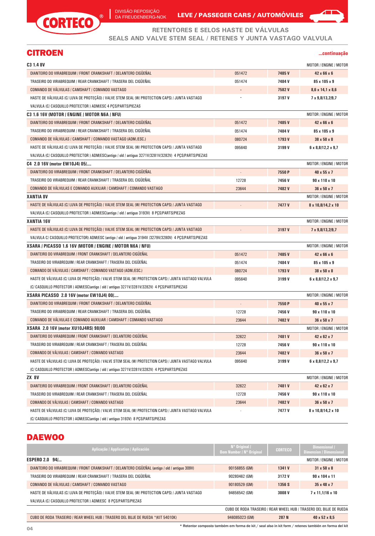

DIVISÃO REPOSIÇÃO DA FREUDENBERG-NOK

 $\overline{\phantom{a}}$ 

LEVE / PASSEGER CARS / AUTOMÓVILES



**RETENTORES E SELOS HASTE DE VÁLVULAS SEALS AND VALVE STEM SEAL / RETENES Y JUNTA VASTAGO VALVULA**

# CITROEN **...continuação**

| C <sub>3</sub> 1.4 8V                                                                                  |                          |        | MOTOR / ENGINE / MOTOR         |
|--------------------------------------------------------------------------------------------------------|--------------------------|--------|--------------------------------|
| DIANTEIRO DO VIRABREQUIM / FRONT CRANKSHAFT / DELANTERO CIGÜEÑAL                                       | 051472                   | 7485V  | $42 \times 66 \times 6$        |
| TRASEIRO DO VIRABREQUIM / REAR CRANKSHAFT / TRASERA DEL CIGUENAL                                       | 051474                   | 7484V  | 85 x 105 x 9                   |
| COMANDO DE VALVULAS / CAMSHAFT / COMANDO VASTAGO                                                       |                          | 7582V  | $8,6 \times 14,1 \times 8,6$   |
| HASTE DE VÁLVULAS (C/ LUVA DE PROTECÃO) / VALVE STEM SEAL (W/ PROTECTION CAPS) / JUNTA VASTAGO         |                          | 3197 V | 7 x 9,8/13,2/9,7               |
| VALVULA (C/ CASQUILLO PROTECTOR ) ADM/ESC 4 PCS/PARTS/PIEZAS                                           |                          |        |                                |
| C3 1.6 16V (MOTOR / ENGINE / MOTOR N6A / NFU)                                                          |                          |        | MOTOR / ENGINE / MOTOR         |
| DIANTEIRO DO VIRABREQUIM / FRONT CRANKSHAFT / DELANTERO CIGÜEÑAL                                       | 051472                   | 7485V  | 42 x 66 x 6                    |
| TRASEIRO DO VIRABREQUIM / REAR CRANKSHAFT / TRASERA DEL CIGÜEÑAL                                       | 051474                   | 7484V  | 85 x 105 x 9                   |
| COMANDO DE VÁLVULAS / CAMSHAFT / COMANDO VASTAGO (ADM./ESC.)                                           | 080724                   | 1793 V | 38 x 50 x 8                    |
| HASTE DE VÁLVULAS (C/ LUVA DE PROTECÃO) / VALVE STEM SEAL (W/ PROTECTION CAPS) / JUNTA VASTAGO         | 095640                   | 3199 V | $6 \times 8,8/12,2 \times 9,7$ |
| VALVULA (C/ CASQUILLO PROTECTOR ) ADM/ESC(antigo / old / antiguo 3271V/3281V/3282V) 4 PCS/PARTS/PIEZAS |                          |        |                                |
| C4 2.0 16V (motor EW10J4) 05/                                                                          |                          |        | MOTOR / ENGINE / MOTOF         |
| DIANTEIRO DO VIRABREQUIM / FRONT CRANKSHAFT / DELANTERO CIGÜEÑAL                                       |                          | 7550 P | 40 x 55 x 7                    |
| TRASEIRO DO VIRABREQUIM / REAR CRANKSHAFT / TRASERA DEL CIGUENAL                                       | 12728                    | 7456V  | 90 x 110 x 10                  |
| COMANDO DE VÁLVULAS E COMANDO AUXILIAR / CAMSHAFT / COMANDO VASTAGO                                    | 23644                    | 7482V  | $36 \times 50 \times 7$        |
| <b>XANTIA 8V</b>                                                                                       |                          |        | MOTOR / ENGINE / MOTOF         |
| HASTE DE VÁLVULAS (C/ LUVA DE PROTECÃO) / VALVE STEM SEAL (W/ PROTECTION CAPS) / JUNTA VASTAGO         |                          | 7477V  | 8 x 10,8/14,2 x 10             |
| VALVULA (C/ CASQUILLO PROTECTOR ) ADM/ESC(antigo / old / antiguo 3193V) 8 PCS/PARTS/PIEZAS             |                          |        |                                |
| <b>XANTIA 16V</b>                                                                                      |                          |        | MOTOR / ENGINE / MOTOF         |
| HASTE DE VÁLVULAS (C/ LUVA DE PROTEÇÃO) / VALVE STEM SEAL (W/ PROTECTION CAPS) / JUNTA VASTAGO         |                          | 3197 V | 7 x 9,8/13,2/9,7               |
| VALVULA C/ CASQUILLO PROTECTOR) ADM/ESC (antigo / old / antiguo 3194V /3279V/3280V) 4 PCS/PARTS/PIEZAS |                          |        |                                |
| XSARA / PICASSO 1.6 16V (MOTOR / ENGINE / MOTOR N6A / NFU)                                             |                          |        | MOTOR / ENGINE / MOTOF         |
| DIANTEIRO DO VIRABREQUIM / FRONT CRANKSHAFT / DELANTERO CIGUENAL                                       | 051472                   | 7485V  | 42 x 66 x 6                    |
| TRASEIRO DO VIRABREQUIM / REAR CRANKSHAFT / TRASERA DEL CIGUENAL                                       | 051474                   | 7484V  | 85 x 105 x 9                   |
| COMANDO DE VALVULAS / CAMSHAFT / COMANDO VASTAGO (ADM./ESC.)                                           | 080724                   | 1793 V | 38 x 50 x 8                    |
| HASTE DE VÁLVULAS (C/ LUVA DE PROTEÇÃO) / VALVE STEM SEAL (W/ PROTECTION CAPS) / JUNTA VASTAGO VALVULA | 095640                   | 3199 V | $6 \times 8,8/12,2 \times 9,7$ |
| (C/ CASQUILLO PROTECTOR ) ADM/ESC(antigo / old / antiguo 3271V/3281V/3282V) 4 PCS/PARTS/PIEZAS         |                          |        |                                |
| <b>XSARA PICASSO 2.0 16V (motor EW10J4) 00/</b>                                                        |                          |        | MOTOR / ENGINE / MOTOR         |
| DIANTEIRO DO VIRABREQUIM / FRONT CRANKSHAFT / DELANTERO CIGÜEÑAL                                       | $\overline{\phantom{a}}$ | 7550 P | 40 x 55 x 7                    |
| TRASEIRO DO VIRABREQUIM / REAR CRANKSHAFT / TRASERA DEL CIGÜEÑAL                                       | 12728                    | 7456V  | 90 x 110 x 10                  |
| COMANDO DE VÁLVULAS E COMANDO AUXILIAR / CAMSHAFT / COMANDO VASTAGO                                    | 23644                    | 7482V  | $36 \times 50 \times 7$        |
| XSARA 2.0 16V (motor XU10J4RS) 98/00                                                                   |                          |        | MOTOR / ENGINE / MOTOF         |
| DIANTEIRO DO VIRABREQUIM / FRONT CRANKSHAFT / DELANTERO CIGÜEÑAL                                       | 32622                    | 7481V  | $42 \times 62 \times 7$        |
| TRASEIRO DO VIRABREQUIM / REAR CRANKSHAFT / TRASERA DEL CIGUENAL                                       | 12728                    | 7456V  | 90 x 110 x 10                  |
| COMANDO DE VÁLVULAS / CAMSHAFT / COMANDO VASTAGO                                                       | 23644                    | 7482V  | 36 x 50 x 7                    |
| HASTE DE VÁLVULAS (C/ LUVA DE PROTECÃO) / VALVE STEM SEAL (W/ PROTECTION CAPS) / JUNTA VASTAGO VALVULA | 095640                   | 3199 V | $6 \times 8,8/12,2 \times 9,7$ |
| (C/ CASQUILLO PROTECTOR ) ADM/ESC(antigo / old / antiguo 3271V/3281V/3282V) 4 PCS/PARTS/PIEZAS         |                          |        |                                |
| <b>ZX 8V</b>                                                                                           |                          |        | MOTOR / ENGINE / MOTOF         |
| DIANTEIRO DO VIRABREQUIM / FRONT CRANKSHAFT / DELANTERO CIGÜEÑAL                                       | 32622                    | 7481V  | 42 x 62 x 7                    |
| TRASEIRO DO VIRABREQUIM / REAR CRANKSHAFT / TRASERA DEL CIGÜEÑAL                                       | 12728                    | 7456 V | 90 x 110 x 10                  |
| COMANDO DE VÁLVULAS / CAMSHAFT / COMANDO VASTAGO                                                       | 23644                    | 7482V  | 36 x 50 x 7                    |
| HASTE DE VÁLVULAS (C/ LUVA DE PROTECÃO) / VALVE STEM SEAL (W/ PROTECTION CAPS) / JUNTA VASTAGO VALVULA |                          | 7477 V | 8 x 10,8/14,2 x 10             |
| (C/ CASQUILLO PROTECTOR ) ADM/ESC(antigo / old / antiguo 3193V) 8 PCS/PARTS/PIEZAS                     |                          |        |                                |

# **DAEWOO**

| Aplicação / Application / Aplicación                                                           | N° Original /<br>Oem Number / N° Original | <b>CORTECO</b> | Dimensional /<br><b>Dimension / Dimensional</b>                    |
|------------------------------------------------------------------------------------------------|-------------------------------------------|----------------|--------------------------------------------------------------------|
| <b>ESPERO 2.0 94/</b>                                                                          |                                           |                | MOTOR / ENGINE / MOTOR                                             |
| DIANTEIRO DO VIRABREQUIM / FRONT CRANKSHAFT / DELANTERO CIGÜEÑAL (antigo / old / antiguo 309V) | 90156855 (GM)                             | 1341 V         | $31 \times 50 \times 8$                                            |
| TRASEIRO DO VIRABREQUIM / REAR CRANKSHAFT / TRASERA DEL CIGÜEÑAL                               | 90280462 (GM)                             | 3172 V         | 90 x 104 x 11                                                      |
| COMANDO DE VÁLVULAS / CAMSHAFT / COMANDO VASTAGO                                               | 90180529 (GM)                             | 1356 S         | $35 \times 48 \times 7$                                            |
| HASTE DE VÁLVULAS (C/ LUVA DE PROTECÃO) / VALVE STEM SEAL (W/ PROTECTION CAPS) / JUNTA VASTAGO | 94656542 (GM)                             | 3008 V         | $7 \times 11.1116 \times 10$                                       |
| VALVULA (C/ CASQUILLO PROTECTOR ) ADM/ESC 8 PCS/PARTS/PIEZAS                                   |                                           |                |                                                                    |
|                                                                                                |                                           |                | CUBO DE RODA TRASEIRO / REAR WHEEL HUB / TRASERO DEL BUJE DE RUEDA |

CUBO DE RODA TRASEIRO / REAR WHEEL HUB / TRASERO DEL BUJE DE RUEDA \*(KIT 54010K) 946085023 (GM) **287 N 40 x 52 x 8,5**

\* Retentor composto também em forma de kit / seal also in kit form / retenes también en forma del kit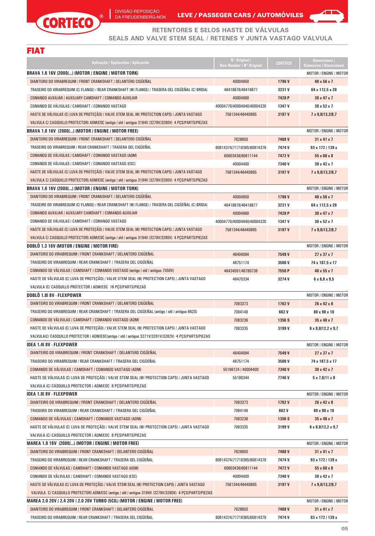$\circledR$ 



**RETENTORES E SELOS HASTE DE VÁLVULAS**

#### **SEALS AND VALVE STEM SEAL / RETENES Y JUNTA VASTAGO VALVULA**

| <b>Service Service</b>                                                                                                                          |                                                                                                                                          |  |
|-------------------------------------------------------------------------------------------------------------------------------------------------|------------------------------------------------------------------------------------------------------------------------------------------|--|
| <b>Contract Contract Contract Contract Contract Contract Contract Contract Contract Contract Contract Contract Co</b><br><b>Service Service</b> |                                                                                                                                          |  |
|                                                                                                                                                 | <b>Service Service</b><br>and the state of the state of the state of the state of the state of the state of the state of the state of th |  |
|                                                                                                                                                 |                                                                                                                                          |  |

CORTECO

| Aplicação / Application / Aplicación                                                                   | N° Original /<br><b>Oem Number / N° Original</b> | <b>CORTECO</b> | Dimensional /<br><b>Dimension / Dimensional</b> |
|--------------------------------------------------------------------------------------------------------|--------------------------------------------------|----------------|-------------------------------------------------|
| BRAVA 1.6 16V (2000/) (MOTOR / ENGINE / MOTOR TORK)                                                    |                                                  |                | MOTOR / ENGINE / MOTOR                          |
| DIANTEIRO DO VIRABREQUIM / FRONT CRANKSHAFT / DELANTERO CIGÜEÑAL                                       | 40004950                                         | 1796V          | 40 x 56 x 7                                     |
| TRASEIRO DO VIRABREQUIM (C/ FLANGE) / REAR CRANKSHAFT (W/ FLANGE) / TRASERA DEL CIGÜEÑAL (C/ BRIDA)    | 46416876/46416877                                | 3231V          | 64 x 112,5 x 20                                 |
| COMANDO AUXILIAR / AUXILIARY CAMSHAFT / COMANDO AUXILIAR                                               | 40004960                                         | 7428 P         | $30 \times 47 \times 7$                         |
| COMANDO DE VÁLVULAS / CAMSHAFT / COMANDO VASTAGO                                                       | 40004770/40004940/40004320                       | 1347 V         | 30 x 52 x 7                                     |
| HASTE DE VÁLVULAS (C/ LUVA DE PROTEÇÃO) / VALVE STEM SEAL (W/ PROTECTION CAPS) / JUNTA VASTAGO         | 7581344/46440885                                 | 3197 V         | 7 x 9,8/13,2/9,7                                |
| VALVULA C/ CASQUILLO PROTECTOR) ADM/ESC (antigo / old / antiguo 3194V /3279V/3280V) 4 PCS/PARTS/PIEZAS |                                                  |                |                                                 |
| BRAVA 1.8 16V (2000/) (MOTOR / ENGINE / MOTOR FREE)                                                    |                                                  |                | <b>MOTOR / ENGINE / MOTOR</b>                   |
| DIANTEIRO DO VIRABREQUIM / FRONT CRANKSHAFT / DELANTERO CIGUENAL                                       | 7628850                                          | 7488V          | $31 \times 41 \times 7$                         |
| TRASEIRO DO VIRABREQUIM / REAR CRANKSHAFT / TRASERA DEL CIGÜEÑAL                                       | 60814374/71718365/60814379                       | 7474 V         | 93 x 172 / 139 x                                |
| COMANDO DE VALVULAS / CAMSHAFT / COMANDO VASTAGO (ADM)                                                 | 60603436/60811144                                | 7472V          | 55 x 68 x 8                                     |
| COMANDO DE VÁLVULAS / CAMSHAFT / COMANDO VASTAGO (ESC)                                                 | 40004400                                         | 7340 V         | $30 \times 42 \times 7$                         |
| HASTE DE VÁLVULAS (C/ LUVA DE PROTEÇÃO) / VALVE STEM SEAL (W/ PROTECTION CAPS) / JUNTA VASTAGO         | 7581344/46440885                                 | 3197 V         | 7 x 9,8/13,2/9,7                                |
| VALVULA C/ CASQUILLO PROTECTOR) ADM/ESC (antigo / old / antiguo 3194V /3279V/3280V) 4 PCS/PARTS/PIEZAS |                                                  |                |                                                 |
| BRAVA 1.6 16V (2000/) (MOTOR / ENGINE / MOTOR TORK)                                                    |                                                  |                | MOTOR / ENGINE / MOTOR                          |
| DIANTEIRO DO VIRABREQUIM / FRONT CRANKSHAFT / DELANTERO CIGUENAL                                       | 40004950                                         | 1796V          | $40 \times 56 \times 7$                         |
| TRASEIRO DO VIRABREQUIM (C/ FLANGE) / REAR CRANKSHAFT (W/ FLANGE) / TRASERA DEL CIGÜEÑAL (C/ BRIDA)    | 46416876/46416877                                | 3231V          | 64 x 112,5 x 20                                 |
| COMANDO AUXILIAR / AUXILIARY CAMSHAFT / COMANDO AUXILIAR                                               | 40004960                                         | 7428 P         | $30 \times 47 \times 7$                         |
| COMANDO DE VÁLVULAS / CAMSHAFT / COMANDO VASTAGO                                                       | 40004770/40004940/40004320                       | 1347 V         | $30 \times 52 \times 7$                         |
| HASTE DE VÁLVULAS (C/ LUVA DE PROTEÇÃO) / VALVE STEM SEAL (W/ PROTECTION CAPS) / JUNTA VASTAGO         | 7581344/46440885                                 | 3197 V         | 7 x 9,8/13,2/9,7                                |
| VALVULA C/ CASQUILLO PROTECTOR) ADM/ESC (antigo / old / antiguo 3194V /3279V/3280V) 4 PCS/PARTS/PIEZAS |                                                  |                |                                                 |
| DOBLO 1.3 16V (MOTOR / ENGINE / MOTOR FIRE)                                                            |                                                  |                | MOTOR / ENGINE / MOTOR                          |
| DIANTEIRO DO VIRABREQUIM / FRONT CRANKSHAFT / DELANTERO CIGÜEÑAL                                       | 46404094                                         | 7549 V         | $27 \times 37 \times 7$                         |
| TRASEIRO DO VIRABREQUIM / REAR CRANKSHAFT / TRASERA DEL CIGÜEÑAL                                       | 46751174                                         | 3500V          | 74 x 187,5 x 17                                 |
| COMANDO DE VÁLVULAS / CAMSHAFT / COMANDO VASTAGO (antigo / old / antiguo 7550V)                        | 46434591/46780736                                | 7550 P         | $40 \times 55 \times 7$                         |
| HASTE DE VÁLVULAS (C/ LUVA DE PROTEÇÃO) / VALVE STEM SEAL (W/ PROTECTION CAPS) / JUNTA VASTAGO         | 46470334                                         | 3274V          | $6 \times 8,8 \times 9,5$                       |
| VALVULA (C/ CASQUILLO PROTECTOR ) ADM/ESC 16 PCS/PARTS/PIEZAS                                          |                                                  |                |                                                 |
| DOBLÖ 1.81 8V - FLEXPOWER                                                                              |                                                  |                | MOTOR / ENGINE / MOTOR                          |
| DIANTEIRO DO VIRABREQUIM / FRONT CRANKSHAFT / DELANTERO CIGÜEÑAL                                       | 7083373                                          | 1762V          | 26 x 42 x 8                                     |
| TRASEIRO DO VIRABREQUIM / REAR CRANKSHAFT / TRASERA DEL CIGÜEÑAL (antigo / old / antiguo 662S)         | 7084149                                          | 662 V          | 80 x 98 x 10                                    |
| COMANDO DE VÁLVULAS / CAMSHAFT / COMANDO VASTAGO (ADM)                                                 | 7083236                                          | 1356 S         | $35 \times 48 \times 7$                         |
| HASTE DE VÁLVULAS (C/ LUVA DE PROTEÇÃO) / VALVE STEM SEAL (W/ PROTECTION CAPS) / JUNTA VASTAGO         | 7083335                                          | 3199 V         | $6 \times 8,8/12,2 \times 9,7$                  |
| VALVULA(C/ CASQUILLO PROTECTOR ) ADM/ESC(antigo / old / antiguo 3271V/3281V/3282V) 4 PCS/PARTS/PIEZAS  |                                                  |                |                                                 |
| IDEA 1.4I 8V - FLEXPOWER                                                                               |                                                  |                | MOTOR / ENGINE / MOTOR                          |
| DIANTEIRO DO VIRABREQUIM / FRONT CRANKSHAFT / DELANTERO CIGÜEÑAL                                       | 46404094                                         | 7549 V         | 27 x 37 x 7                                     |
| TRASEIRO DO VIRABREQUIM / REAR CRANKSHAFT / TRASERA DEL CIGÜEÑAL                                       | 46751174                                         | 3500 V         | 74 x 187,5 x 17                                 |
| COMANDO DE VALVULAS / CAMSHAFT / COMANDO VASTAGO (ADM)                                                 | 55196124 / 40004400                              | 7340 V         | 30 x 42 x 7                                     |
| HASTE DE VÁLVULAS (C/ LUVA DE PROTEÇÃO) / VALVE STEM SEAL (W/ PROTECTION CAPS) / JUNTA VASTAGO         | 55190344                                         | 7746 V         | $5 \times 7,8$  11 $\times 8$                   |
| VALVULA (C/ CASQUILLO PROTECTOR ) ADM/ESC 8 PCS/PARTS/PIEZAS                                           |                                                  |                |                                                 |
| IDEA 1.8I 8V - FLEXPOWER                                                                               |                                                  |                | MOTOR / ENGINE / MOTOR                          |
| DIANTEIRO DO VIRABREQUIM / FRONT CRANKSHAFT / DELANTERO CIGÜEÑAL                                       | 7083373                                          | 1762V          | 26 x 42 x 8                                     |
| TRASEIRO DO VIRABREQUIM / REAR CRANKSHAFT / TRASERA DEL CIGÜEÑAL                                       | 7084149                                          | 662 V          | 80 x 98 x 10                                    |
| COMANDO DE VÁLVULAS / CAMSHAFT / COMANDO VASTAGO (ADM)                                                 | 7083236                                          | 1356 S         | $35 \times 48 \times 7$                         |
| HASTE DE VÁLVULAS (C/ LUVA DE PROTEÇÃO) / VALVE STEM SEAL (W/ PROTECTION CAPS) / JUNTA VASTAGO         | 7083335                                          | 3199 V         | $6 \times 8,8/12,2 \times 9,7$                  |
| VALVULA (C/ CASQUILLO PROTECTOR ) ADM/ESC 8 PCS/PARTS/PIEZAS                                           |                                                  |                |                                                 |
| MAREA 1.8 16V (2000/) (MOTOR / ENGINE / MOTOR FREE)                                                    |                                                  |                | MOTOR / ENGINE / MOTOR                          |
| DIANTEIRO DO VIRABREQUIM / FRONT CRANKSHAFT / DELANTERO CIGÜEÑAL                                       | 7628850                                          | 7488V          | $31 \times 41 \times 7$                         |
| TRASEIRO DO VIRABREQUIM / REAR CRANKSHAFT / TRASERA DEL CIGÜEÑAL                                       | 60814374/71718365/60814379                       | 7474 V         | 93 x 172 / 139 x                                |
| COMANDO DE VÁLVULAS / CAMSHAFT / COMANDO VASTAGO (ADM)                                                 | 60603436/60811144                                | 7472V          | 55 x 68 x 8                                     |
| COMANDO DE VÁLVULAS / CAMSHAFT / COMANDO VASTAGO (ESC)                                                 | 40004400                                         | 7340 V         | 30 x 42 x 7                                     |
| HASTE DE VÁLVULAS (C/ LUVA DE PROTEÇÃO) / VALVE STEM SEAL (W/ PROTECTION CAPS) / JUNTA VASTAGO         | 7581344/46440885                                 | 3197 V         | 7 x 9,8/13,2/9,7                                |
| VALVULA C/ CASQUILLO PROTECTOR) ADM/ESC (antigo / old / antiguo 3194V /3279V/3280V) 4 PCS/PARTS/PIEZAS |                                                  |                |                                                 |
| MAREA 2.0 20V / 2.4 20V / 2.0 20V TURBO (5CIL) (MOTOR / ENGINE / MOTOR FREE)                           |                                                  |                | MOTOR / ENGINE / MOTOR                          |
| DIANTEIRO DO VIRABREQUIM / FRONT CRANKSHAFT / DELANTERO CIGUENAL                                       | 7628850                                          | 7488V          | $31 \times 41 \times 7$                         |
| TRASEIRO DO VIRABREQUIM / REAR CRANKSHAFT / TRASERA DEL CIGÜEÑAL                                       | 60814374/71718365/60814379                       | 7474 V         | 93 x 172 / 139 x                                |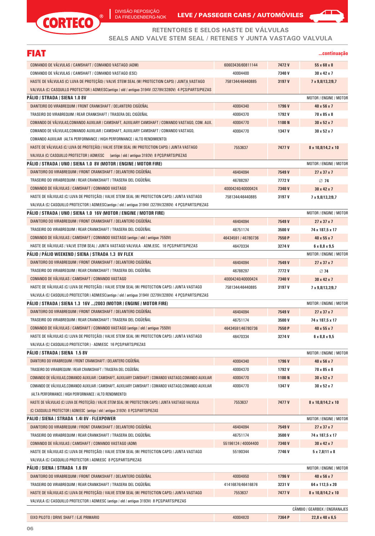$^{\circ}$ 

CORTECO



#### **RETENTORES E SELOS HASTE DE VÁLVULAS**

**SEALS AND VALVE STEM SEAL / RETENES Y JUNTA VASTAGO VALVULA**

| FIAT                                                                                                    |                     |        | continuacão                   |
|---------------------------------------------------------------------------------------------------------|---------------------|--------|-------------------------------|
| COMANDO DE VÁLVULAS / CAMSHAFT / COMANDO VASTAGO (ADM)                                                  | 60603436/60811144   | 7472V  | $55 \times 68 \times 8$       |
| COMANDO DE VÁLVULAS / CAMSHAFT / COMANDO VASTAGO (ESC)                                                  | 40004400            | 7340 V | $30 \times 42 \times 7$       |
| HASTE DE VÁLVULAS (C/ LUVA DE PROTEÇÃO) / VALVE STEM SEAL (W/ PROTECTION CAPS) / JUNTA VASTAGO          | 7581344/46440885    | 3197 V | 7 x 9,8/13,2/9,7              |
| VALVULA (C/ CASQUILLO PROTECTOR ) ADM/ESC(antigo / old / antiguo 3194V /3279V/3280V) 4 PCS/PARTS/PIEZAS |                     |        |                               |
| PÁLIO / STRADA / SIENA 1.0 8V                                                                           |                     |        | MOTOR / ENGINE / MOTOR        |
| DIANTEIRO DO VIRABREQUIM / FRONT CRANKSHAFT / DELANTERO CIGÜEÑAL                                        | 40004340            | 1796V  | $40 \times 56 \times 7$       |
| TRASEIRO DO VIRABREQUIM / REAR CRANKSHAFT / TRASERA DEL CIGÜEÑAL                                        | 40004370            | 1792V  | 70 x 85 x 8                   |
| COMANDO DE VALVULAS,COMANDO AUXILIAR / CAMSHAFT, AUXILIARY CAMSHAFT / COMANDO VASTAGO, COM. AUX.        | 40004770            | 1100N  | $30 \times 52 \times 7$       |
| COMANDO DE VÁLVULAS, COMANDO AUXILIAR / CAMSHAFT, AUXILIARY CAMSHAFT / COMANDO VASTAGO,                 | 40004770            | 1347 V | $30 \times 52 \times 7$       |
| COMANDO AUXILIAR (ALTA PERFORMANCE / HIGH PERFORMANCE / ALTO RENDIMIENTO)                               |                     |        |                               |
| HASTE DE VÁLVULAS (C/ LUVA DE PROTEÇÃO) / VALVE STEM SEAL (W/ PROTECTION CAPS) / JUNTA VASTAGO          | 7553637             | 7477V  | 8 x 10,8/14,2 x 10            |
| VALVULA (C/ CASQUILLO PROTECTOR ) ADM/ESC (antigo / old / antiguo 3193V) 8 PCS/PARTS/PIEZAS             |                     |        |                               |
| PALIO / STRADA / UNO / SIENA 1.0 8V (MOTOR / ENGINE / MOTOR FIRE)                                       |                     |        | MOTOR / ENGINE / MOTOR        |
| DIANTEIRO DO VIRABREQUIM / FRONT CRANKSHAFT / DELANTERO CIGUENAL                                        | 46404094            | 7549 V | $27 \times 37 \times 7$       |
| TRASEIRO DO VIRABREQUIM / REAR CRANKSHAFT / TRASERA DEL CIGÜEÑAL                                        | 46788297            | 7772V  | 74                            |
| COMANDO DE VÁLVULAS / CAMSHAFT / COMANDO VASTAGO                                                        | 40004240/40000424   | 7340V  | 30 x 42 x 7                   |
| HASTE DE VÁLVULAS (C/ LUVA DE PROTECÃO) / VALVE STEM SEAL (W/ PROTECTION CAPS) / JUNTA VASTAGO          | 7581344/46440885    | 3197 V | 7 x 9,8/13,2/9,7              |
| VALVULA (C/ CASQUILLO PROTECTOR ) ADM/ESC(antigo / old / antiguo 3194V /3279V/3280V) 4 PCS/PARTS/PIEZAS |                     |        |                               |
| PALIO / STRADA / UNO / SIENA 1.0  16V (MOTOR / ENGINE / MOTOR FIRE)                                     |                     |        | MOTOR / ENGINE / MOTOR        |
| DIANTEIRO DO VIRABREQUIM / FRONT CRANKSHAFT / DELANTERO CIGUENAL                                        | 46404094            | 7549 V | $27 \times 37 \times 7$       |
| TRASEIRO DO VIRABREQUIM / REAR CRANKSHAFT / TRASERA DEL CIGÜEÑAL                                        | 46751174            | 3500V  | 74 x 187,5 x 17               |
| COMANDO DE VÁLVULAS / CAMSHAFT / COMANDO VASTAGO (antigo / old / antiguo 7550V)                         | 46434591 / 46780736 | 7550 P | $40 \times 55 \times 7$       |
| HASTE DE VÁLVULAS / VALVE STEM SEAL / JUNTA VASTAGO VALVULA - ADM./ESC. 16 PÇS/PARTS/PIEZAS             | 46470334            | 3274V  | $6 \times 8,8 \times 9,5$     |
| PALIO / PALIO WEEKEND / SIENA / STRADA 1.3 8V FLEX                                                      |                     |        | MOTOR / ENGINE / MOTOR        |
| DIANTEIRO DO VIRABREQUIM / FRONT CRANKSHAFT / DELANTERO CIGUENAL                                        | 46404094            | 7549 V | $27 \times 37 \times 7$       |
| TRASEIRO DO VIRABREQUIM / REAR CRANKSHAFT / TRASERA DEL CIGÜEÑAL                                        | 46788297            | 7772V  | 74                            |
| COMANDO DE VÁLVULAS / CAMSHAFT / COMANDO VASTAGO                                                        | 40004240/40000424   | 7340V  | 30 x 42 x 7                   |
| HASTE DE VÁLVULAS (C/ LUVA DE PROTEÇÃO) / VALVE STEM SEAL (W/ PROTECTION CAPS) / JUNTA VASTAGO          | 7581344/46440885    | 3197 V | 7 x 9,8/13,2/9,7              |
| VALVULA (C/ CASQUILLO PROTECTOR ) ADM/ESC(antigo / old / antiguo 3194V /3279V/3280V) 4 PCS/PARTS/PIEZAS |                     |        |                               |
| PALIO / STRADA / SIENA 1.3 16V /2003 (MOTOR / ENGINE / MOTOR FIRE)                                      |                     |        | MOTOR / ENGINE / MOTOR        |
| DIANTEIRO DO VIRABREQUIM / FRONT CRANKSHAFT / DELANTERO CIGUENAL                                        | 46404094            | 7549 V | $27 \times 37 \times 7$       |
| TRASEIRO DO VIRABREQUIM / REAR CRANKSHAFT / TRASERA DEL CIGÜEÑAL                                        | 46751174            | 3500 V | 74 x 187,5 x 17               |
| COMANDO DE VÁLVULAS / CAMSHAFT / COMANDO VASTAGO (antigo / old / antiguo 7550V)                         | 46434591/46780736   | 7550 P | 40 x 55 x 7                   |
| HASTE DE VÁLVULAS (C/ LUVA DE PROTEÇÃO) / VALVE STEM SEAL (W/ PROTECTION CAPS) / JUNTA VASTAGO          | 46470334            | 3274 V | $6 \times 8,8 \times 9,5$     |
| VALVULA (C/ CASQUILLO PROTECTOR ) - ADM/ESC 16 PCS/PARTS/PIEZAS                                         |                     |        |                               |
| PÁLIO / STRADA / SIENA  1.5 8V                                                                          |                     |        | MOTOR / ENGINE / MOTOR        |
| DIANTEIRO DO VIRABREQUIM / FRONT CRANKSHAFT / DELANTERO CIGÜEÑAL                                        | 40004340            | 1796V  | 40 x 56 x 7                   |
| TRASEIRO DO VIRABREQUIM / REAR CRANKSHAFT / TRASERA DEL CIGÜEÑAL                                        | 40004370            | 1792V  | 70 x 85 x 8                   |
| COMANDO DE VÁLVULAS,COMANDO AUXILIAR / CAMSHAFT, AUXILIARY CAMSHAFT / COMANDO VASTAGO,COMANDO AUXILIAR  | 40004770            | 1100 N | $30 \times 52 \times 7$       |
| COMANDO DE VÁLVULAS,COMANDO AUXILIAR / CAMSHAFT, AUXILIARY CAMSHAFT / COMANDO VASTAGO,COMANDO AUXILIAR  | 40004770            | 1347 V | $30 \times 52 \times 7$       |
| (ALTA PERFORMANCE / HIGH PERFORMANCE / ALTO RENDIMIENTO)                                                |                     |        |                               |
| HASTE DE VÁLVULAS (C/ LUVA DE PROTECÃO) / VALVE STEM SEAL (W/ PROTECTION CAPS) / JUNTA VASTAGO VALVULA  | 7553637             | 7477V  | 8 x 10,8/14,2 x 10            |
| (C/ CASQUILLO PROTECTOR ) ADM/ESC (antigo / old / antiguo 3193V) 8 PCS/PARTS/PIEZAS                     |                     |        |                               |
| PALIO / SIENA / STRADA 1.41 8V - FLEXPOWER                                                              |                     |        | MOTOR / ENGINE / MOTOR        |
| DIANTEIRO DO VIRABREQUIM / FRONT CRANKSHAFT / DELANTERO CIGÜEÑAL                                        | 46404094            | 7549 V | 27 x 37 x 7                   |
| TRASEIRO DO VIRABREQUIM / REAR CRANKSHAFT / TRASERA DEL CIGÜEÑAL                                        | 46751174            | 3500 V | 74 x 187,5 x 17               |
| COMANDO DE VÁLVULAS / CAMSHAFT / COMANDO VASTAGO (ADM)                                                  | 55196124 / 40004400 | 7340 V | 30 x 42 x 7                   |
| HASTE DE VÁLVULAS (C/ LUVA DE PROTEÇÃO) / VALVE STEM SEAL (W/ PROTECTION CAPS) / JUNTA VASTAGO          | 55190344            | 7746V  | $5 \times 7,8$  11 $\times 8$ |
| VALVULA (C/ CASQUILLO PROTECTOR ) ADM/ESC 8 PCS/PARTS/PIEZAS                                            |                     |        |                               |
| PÁLIO / SIENA / STRADA  1.6 8V                                                                          |                     |        | MOTOR / ENGINE / MOTOR        |
| DIANTEIRO DO VIRABREQUIM / FRONT CRANKSHAFT / DELANTERO CIGÜEÑAL                                        | 40004950            | 1796V  | 40 x 56 x 7                   |
| TRASEIRO DO VIRABREQUIM / REAR CRANKSHAFT / TRASERA DEL CIGÜEÑAL                                        | 41416876/46416876   | 3231 V | 64 x 112,5 x 20               |
| HASTE DE VÁLVULAS (C/ LUVA DE PROTEÇÃO) / VALVE STEM SEAL (W/ PROTECTION CAPS) / JUNTA VASTAGO          | 7553637             | 7477V  | 8 x 10,8/14,2 x 10            |
| VALVULA (C/ CASQUILLO PROTECTOR ) ADM/ESC (antigo / old / antiguo 3193V) 8 PCS/PARTS/PIEZAS             |                     |        |                               |
|                                                                                                         |                     |        | CÂMBIO / GEARBOX / ENGRANAJES |
| EIXO PILOTO / DRIVE SHAFT / EJE PRIMARIO                                                                | 40004820            | 7364 P | 22,8 x 40 x 6,5               |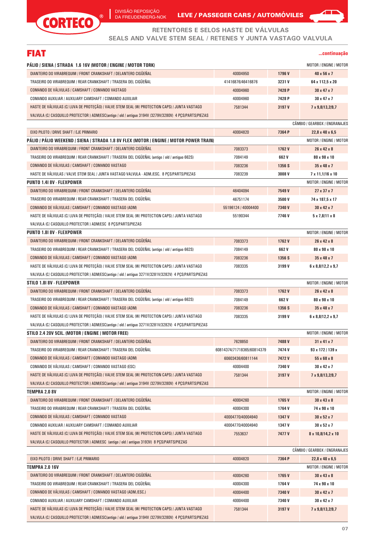

DA FREUDENBERG-NOK LEVE / PASSEGER CARS / AUTOMOVILES



**SEALS AND VALVE STEM SEAL / RETENES Y JUNTA VASTAGO VALVULA**

# FIAT

#### **...continuação**

 $\blacktriangle$   $\blacksquare$ 

| PALIO / SIENA / STRADA 1.6 16V (MOTOR / ENGINE / MOTOR TORK)                                            |                            |        | MOTOR / ENGINE / MOTOR         |
|---------------------------------------------------------------------------------------------------------|----------------------------|--------|--------------------------------|
| DIANTEIRO DO VIRABREQUIM / FRONT CRANKSHAFT / DELANTERO CIGÜEÑAL                                        | 40004950                   | 1796 V | 40 x 56 x 7                    |
| TRASEIRO DO VIRABREQUIM / REAR CRANKSHAFT / TRASERA DEL CIGÜEÑAL                                        | 41416876/46416876          | 3231 V | 64 x 112,5 x 20                |
| COMANDO DE VÁLVULAS / CAMSHAFT / COMANDO VASTAGO                                                        | 40004960                   | 7428 P | $30 \times 47 \times 7$        |
| COMANDO AUXILIAR / AUXILIARY CAMSHAFT / COMANDO AUXILIAR                                                | 40004960                   | 7428 P | $30 \times 47 \times 7$        |
| HASTE DE VALVULAS (C/ LUVA DE PROTEÇÃO) / VALVE STEM SEAL (W/ PROTECTION CAPS) / JUNTA VASTAGO          | 7581344                    | 3197 V | 7 x 9,8/13,2/9,7               |
| VALVULA (C/ CASQUILLO PROTECTOR ) ADM/ESC(antigo / old / antiguo 3194V /3279V/3280V) 4 PCS/PARTS/PIEZAS |                            |        |                                |
|                                                                                                         |                            |        | CÂMBIO / GEARBOX / ENGRANAJES  |
| EIXO PILOTO / DRIVE SHAFT / EJE PRIMARIO                                                                | 40004820                   | 7364 P | 22,8 x 40 x 6,5                |
| PÁLIO / PÁLIO WEEKEND / SIENA / STRADA 1.8 8V FLEX (MOTOR / ENGINE / MOTOR POWER TRAIN)                 |                            |        | MOTOR / ENGINE / MOTOR         |
| DIANTEIRO DO VIRABREQUIM / FRONT CRANKSHAFT / DELANTERO CIGÜEÑAL                                        | 7083373                    | 1762 V | 26 x 42 x 8                    |
| TRASEIRO DO VIRABREQUIM / REAR CRANKSHAFT / TRASERA DEL CIGÜEÑAL (antigo / old / antiguo 662S)          | 7084149                    | 662 V  | 80 x 98 x 10                   |
| COMANDO DE VÁLVULAS / CAMSHAFT / COMANDO VASTAGO                                                        | 7083236                    | 1356 S | $35 \times 48 \times 7$        |
| HASTE DE VALVULAS / VALVE STEM SEAL / JUNTA VASTAGO VALVULA - ADM./ESC. 8 PCS/PARTS/PIEZAS              | 7083239                    | 3008 V | $7 \times 11,1/16 \times 10$   |
| <b>PUNTO 1.41 8V - FLEXPOWER</b>                                                                        |                            |        | MOTOR / ENGINE / MOTOR         |
| DIANTEIRO DO VIRABREQUIM / FRONT CRANKSHAFT / DELANTERO CIGÜEÑAL                                        | 46404094                   | 7549 V | $27 \times 37 \times 7$        |
| TRASEIRO DO VIRABREQUIM / REAR CRANKSHAFT / TRASERA DEL CIGÜEÑAL                                        | 46751174                   | 3500 V | 74 x 187,5 x 17                |
| COMANDO DE VÁLVULAS / CAMSHAFT / COMANDO VASTAGO (ADM)                                                  | 55196124 / 40004400        | 7340 V | $30 \times 42 \times 7$        |
| HASTE DE VÁLVULAS (C/ LUVA DE PROTEÇÃO) / VALVE STEM SEAL (W/ PROTECTION CAPS) / JUNTA VASTAGO          | 55190344                   | 7746V  | $5 \times 7,8$  11 $\times 8$  |
| VALVULA (C/ CASQUILLO PROTECTOR ) ADM/ESC 8 PCS/PARTS/PIEZAS                                            |                            |        |                                |
| <b>PUNTO 1.81 8V - FLEXPOWER</b>                                                                        |                            |        | MOTOR / ENGINE / MOTOR         |
| DIANTEIRO DO VIRABREQUIM / FRONT CRANKSHAFT / DELANTERO CIGÜEÑAL                                        | 7083373                    | 1762V  | 26 x 42 x 8                    |
| TRASEIRO DO VIRABREQUIM / REAR CRANKSHAFT / TRASERA DEL CIGÜEÑAL (antigo / old / antiguo 662S)          | 7084149                    | 662 V  | 80 x 98 x 10                   |
| COMANDO DE VÁLVULAS / CAMSHAFT / COMANDO VASTAGO (ADM)                                                  | 7083236                    | 1356 S | $35 \times 48 \times 7$        |
| HASTE DE VÁLVULAS (C/ LUVA DE PROTEÇÃO) / VALVE STEM SEAL (W/ PROTECTION CAPS) / JUNTA VASTAGO          | 7083335                    | 3199 V | $6 \times 8,8/12,2 \times 9,7$ |
| VALVULA (C/ CASQUILLO PROTECTOR ) ADM/ESC(antigo / old / antiguo 3271V/3281V/3282V) 4 PCS/PARTS/PIEZAS  |                            |        |                                |
| STILO 1.81 8V - FLEXPOWER                                                                               |                            |        | MOTOR / ENGINE / MOTOR         |
| DIANTEIRO DO VIRABREQUIM / FRONT CRANKSHAFT / DELANTERO CIGÜEÑAL                                        | 7083373                    | 1762V  | $26 \times 42 \times 8$        |
| TRASEIRO DO VIRABREQUIM / REAR CRANKSHAFT / TRASERA DEL CIGÜEÑAL (antigo / old / antiguo 662S)          | 7084149                    | 662 V  | 80 x 98 x 10                   |
| COMANDO DE VÁLVULAS / CAMSHAFT / COMANDO VASTAGO (ADM)                                                  | 7083236                    | 1356 S | $35 \times 48 \times 7$        |
| HASTE DE VÁLVULAS (C/ LUVA DE PROTEÇÃO) / VALVE STEM SEAL (W/ PROTECTION CAPS) / JUNTA VASTAGO          | 7083335                    | 3199 V | $6 \times 8,8/12,2 \times 9,7$ |
| VALVULA (C/ CASQUILLO PROTECTOR ) ADM/ESC(antigo / old / antiguo 3271V/3281V/3282V) 4 PCS/PARTS/PIEZAS  |                            |        |                                |
| STILO 2.4 20V 5CIL. (MOTOR / ENGINE / MOTOR FREE)                                                       |                            |        | MOTOR / ENGINE / MOTOR         |
| DIANTEIRO DO VIRABREQUIM / FRONT CRANKSHAFT / DELANTERO CIGÜEÑAL                                        | 7628850                    | 7488V  | $31 \times 41 \times 7$        |
| TRASEIRO DO VIRABREQUIM / REAR CRANKSHAFT / TRASERA DEL CIGÜEÑAL                                        | 60814374/71718365/60814379 | 7474 V | 93 x 172 / 139 x               |
| COMANDO DE VÁLVULAS / CAMSHAFT / COMANDO VASTAGO (ADM)                                                  | 60603436/60811144          | 7472V  | 55 x 68 x 8                    |
| COMANDO DE VÁLVULAS / CAMSHAFT / COMANDO VASTAGO (ESC)                                                  | 40004400                   | 7340 V | $30 \times 42 \times 7$        |
| HASTE DE VÁLVULAS (C/ LUVA DE PROTEÇÃO) / VALVE STEM SEAL (W/ PROTECTION CAPS) / JUNTA VASTAGO          | 7581344                    | 3197 V | 7 x 9,8/13,2/9,7               |
| VALVULA (C/ CASQUILLO PROTECTOR ) ADM/ESC(antigo / old / antiguo 3194V /3279V/3280V) 4 PCS/PARTS/PIEZAS |                            |        |                                |
| <b>TEMPRA 2.0 8V</b>                                                                                    |                            |        | MOTOR / ENGINE / MOTOR         |
| DIANTEIRO DO VIRABREQUIM / FRONT CRANKSHAFT / DELANTERO CIGÜEÑAL                                        | 40004260                   | 1765V  | $30 \times 43 \times 8$        |
| TRASEIRO DO VIRABREQUIM / REAR CRANKSHAFT / TRASERA DEL CIGÜEÑAL                                        | 40004300                   | 1764 V | 74 x 90 x 10                   |
| COMANDO DE VÁLVULAS / CAMSHAFT / COMANDO VASTAGO                                                        | 40004770/40004940          | 1347 V | 30 x 52 x 7                    |
| COMANDO AUXILIAR / AUXILIARY CAMSHAFT / COMANDO AUXILIAR                                                | 40004770/40004940          | 1347 V | 30 x 52 x 7                    |
| HASTE DE VÁLVULAS (C/ LUVA DE PROTEÇÃO) / VALVE STEM SEAL (W/ PROTECTION CAPS) / JUNTA VASTAGO          | 7553637                    | 7477 V | 8 x 10,8/14,2 x 10             |
| VALVULA (C/ CASQUILLO PROTECTOR ) ADM/ESC (antigo / old / antiguo 3193V) 8 PCS/PARTS/PIEZAS             |                            |        |                                |
|                                                                                                         |                            |        | CÂMBIO / GEARBOX / ENGRANAJES  |
| EIXO PILOTO / DRIVE SHAFT / EJE PRIMARIO                                                                | 40004820                   | 7364 P | 22,8 x 40 x 6,5                |
| <b>TEMPRA 2.0 16V</b>                                                                                   |                            |        | MOTOR / ENGINE / MOTOR         |
| DIANTEIRO DO VIRABREQUIM / FRONT CRANKSHAFT / DELANTERO CIGÜEÑAL                                        | 40004260                   | 1765V  | $30 \times 43 \times 8$        |
| TRASEIRO DO VIRABREQUIM / REAR CRANKSHAFT / TRASERA DEL CIGÜEÑAL                                        | 40004300                   | 1764 V | 74 x 90 x 10                   |
| COMANDO DE VÁLVULAS / CAMSHAFT / COMANDO VASTAGO (ADM./ESC.)                                            | 40004400                   | 7340 V | $30 \times 42 \times 7$        |
| COMANDO AUXILIAR / AUXILIARY CAMSHAFT / COMANDO AUXILIAR                                                | 40004400                   | 7340 V | 30 x 42 x 7                    |
| HASTE DE VÁLVULAS (C/ LUVA DE PROTEÇÃO) / VALVE STEM SEAL (W/ PROTECTION CAPS) / JUNTA VASTAGO          | 7581344                    | 3197 V | 7 x 9,8/13,2/9,7               |
| VALVULA (C/ CASQUILLO PROTECTOR ) ADM/ESC(antigo / old / antiguo 3194V /3279V/3280V) 4 PCS/PARTS/PIEZAS |                            |        |                                |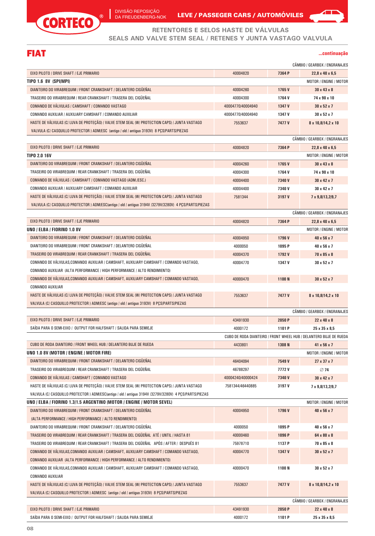



**RETENTORES E SELOS HASTE DE VÁLVULAS**

**SEALS AND VALVE STEM SEAL / RETENES Y JUNTA VASTAGO VALVULA**

# FIAT

**...continuação**

|                                                                                                                           |                   |        | CÂMBIO / GEARBOX / ENGRANAJES                                      |
|---------------------------------------------------------------------------------------------------------------------------|-------------------|--------|--------------------------------------------------------------------|
| EIXO PILOTO / DRIVE SHAFT / EJE PRIMARIO                                                                                  | 40004820          | 7364 P | $22.8 \times 40 \times 6.5$                                        |
| TIPO 1.6 8V (SPI/MPI)                                                                                                     |                   |        | MOTOR / ENGINE / MOTOR                                             |
| DIANTEIRO DO VIRABREQUIM / FRONT CRANKSHAFT / DELANTERO CIGUENAL                                                          | 40004260          | 1765V  | $30 \times 43 \times 8$                                            |
| TRASEIRO DO VIRABREQUIM / REAR CRANKSHAFT / TRASERA DEL CIGÜEÑAL                                                          | 40004300          | 1764V  | 74 x 90 x 10                                                       |
| COMANDO DE VÁLVULAS / CAMSHAFT / COMANDO VASTAGO                                                                          | 40004770/40004940 | 1347 V | $30 \times 52 \times 7$                                            |
| COMANDO AUXILIAR / AUXILIARY CAMSHAFT / COMANDO AUXILIAR                                                                  | 40004770/40004940 | 1347 V | $30 \times 52 \times 7$                                            |
| HASTE DE VÁLVULAS (C/ LUVA DE PROTEÇÃO) / VALVE STEM SEAL (W/ PROTECTION CAPS) / JUNTA VASTAGO                            | 7553637           | 7477 V | 8 x 10,8/14,2 x 10                                                 |
| VALVULA (C/ CASQUILLO PROTECTOR ) ADM/ESC (antigo / old / antiguo 3193V) 8 PCS/PARTS/PIEZAS                               |                   |        |                                                                    |
|                                                                                                                           |                   |        | CÂMBIO / GEARBOX / ENGRANAJES                                      |
| EIXO PILOTO / DRIVE SHAFT / EJE PRIMARIO                                                                                  | 40004820          | 7364 P | 22,8 x 40 x 6,5                                                    |
| <b>TIPO 2.0 16V</b>                                                                                                       |                   |        | MOTOR / ENGINE / MOTOR                                             |
| DIANTEIRO DO VIRABREQUIM / FRONT CRANKSHAFT / DELANTERO CIGUENAL                                                          | 40004260          | 1765V  | $30 \times 43 \times 8$                                            |
| TRASEIRO DO VIRABREQUIM / REAR CRANKSHAFT / TRASERA DEL CIGUENAL                                                          | 40004300          | 1764 V | 74 x 90 x 10                                                       |
| COMANDO DE VALVULAS / CAMSHAFT / COMANDO VASTAGO (ADM./ESC.)                                                              | 40004400          | 7340 V | $30 \times 42 \times 7$                                            |
| COMANDO AUXILIAR / AUXILIARY CAMSHAFT / COMANDO AUXILIAR                                                                  | 40004400          | 7340 V | $30 \times 42 \times 7$                                            |
| HASTE DE VÁLVULAS (C/ LUVA DE PROTEÇÃO) / VALVE STEM SEAL (W/ PROTECTION CAPS) / JUNTA VASTAGO                            | 7581344           | 3197 V | 7 x 9,8/13,2/9,7                                                   |
| VALVULA (C/ CASQUILLO PROTECTOR ) ADM/ESC(antigo / old / antiguo 3194V /3279V/3280V) 4 PCS/PARTS/PIEZAS                   |                   |        |                                                                    |
|                                                                                                                           |                   |        | CÂMBIO / GEARBOX / ENGRANAJES                                      |
| EIXO PILOTO / DRIVE SHAFT / EJE PRIMARIO                                                                                  | 40004820          | 7364 P | $22,8 \times 40 \times 6,5$                                        |
| UNO / ELBA / FIORINO 1.0 8V                                                                                               |                   |        | <b>MOTOR / ENGINE / MOTOR</b>                                      |
| DIANTEIRO DO VIRABREQUIM / FRONT CRANKSHAFT / DELANTERO CIGÜEÑAL                                                          | 40004950          | 1796V  | 40 x 56 x 7                                                        |
| DIANTEIRO DO VIRABREQUIM / FRONT CRANKSHAFT / DELANTERO CIGUENAL                                                          | 4000050           | 1095 P | 40 x 56 x 7                                                        |
| TRASEIRO DO VIRABREQUIM / REAR CRANKSHAFT / TRASERA DEL CIGÜEÑAL                                                          | 40004370          | 1792V  | 70 x 85 x 8                                                        |
| COMANDO DE VALVULAS,COMANDO AUXILIAR / CAMSHAFT, AUXILIARY CAMSHAFT / COMANDO VASTAGO,                                    | 40004770          | 1347 V | $30 \times 52 \times 7$                                            |
| COMANDO AUXILIAR (ALTA PERFORMANCE / HIGH PERFORMANCE / ALTO RENDIMIENTO)                                                 |                   |        |                                                                    |
| COMANDO DE VALVULAS,COMANDO AUXILIAR / CAMSHAFT, AUXILIARY CAMSHAFT / COMANDO VASTAGO,                                    | 40000470          | 1100N  | $30 \times 52 \times 7$                                            |
| <b>COMANDO AUXILIAR</b>                                                                                                   |                   |        |                                                                    |
| HASTE DE VÁLVULAS (C/ LUVA DE PROTEÇÃO) / VALVE STEM SEAL (W/ PROTECTION CAPS) / JUNTA VASTAGO                            | 7553637           | 7477V  | 8 x 10,8/14,2 x 10                                                 |
| VALVULA (C/ CASQUILLO PROTECTOR ) ADM/ESC (antigo / old / antiguo 3193V) 8 PCS/PARTS/PIEZAS                               |                   |        |                                                                    |
|                                                                                                                           |                   |        | CÂMBIO / GEARBOX / ENGRANAJES                                      |
| EIXO PILOTO / DRIVE SHAFT / EJE PRIMARIO                                                                                  | 43491930          | 2050 P | $22 \times 40 \times 8$                                            |
| SAÍDA PARA O SEMI-EIXO / OUTPUT FOR HALFSHAFT / SALIDA PARA SEMIEJE                                                       | 4000172           | 1101 P | 25 x 35 x 8,5                                                      |
|                                                                                                                           |                   |        | CUBO DE RODA DIANTEIRO / FRONT WHEEL HUB / DELANTERO BUJE DE RUEDA |
| CUBO DE RODA DIANTEIRO / FRONT WHEEL HUB / DELANTERO BUJE DE RUEDA                                                        | 4433801           | 1308 N | 41 x 56 x 7                                                        |
| UNO 1.0 8V (MOTOR / ENGINE / MOTOR FIRE)                                                                                  |                   |        | MOTOR / ENGINE / MOTOR                                             |
| DIANTEIRO DO VIRABREQUIM / FRONT CRANKSHAFT / DELANTERO CIGÜEÑAL                                                          | 46404094          | 7549 V | 27 x 37 x 7                                                        |
| TRASEIRO DO VIRABREQUIM / REAR CRANKSHAFT / TRASERA DEL CIGÜEÑAL                                                          | 46788297          | 7772V  | 74                                                                 |
| COMANDO DE VÁLVULAS / CAMSHAFT / COMANDO VASTAGO                                                                          | 40004240/40000424 | 7340 V | 30 x 42 x 7                                                        |
| HASTE DE VÁLVULAS (C/ LUVA DE PROTEÇÃO) / VALVE STEM SEAL (W/ PROTECTION CAPS) / JUNTA VASTAGO                            | 7581344/46440885  | 3197 V | 7 x 9,8/13,2/9,7                                                   |
| VALVULA (C/ CASQUILLO PROTECTOR ) ADM/ESC(antigo / old / antiguo 3194V /3279V/3280V) 4 PCS/PARTS/PIEZAS                   |                   |        |                                                                    |
| UNO / ELBA / FIORINO 1.3/1.5 ARGENTINO (MOTOR / ENGINE / MOTOR SEVEL)                                                     |                   |        | MOTOR / ENGINE / MOTOR                                             |
| DIANTEIRO DO VIRABREQUIM / FRONT CRANKSHAFT / DELANTERO CIGÜEÑAL                                                          | 40004950          | 1796V  | 40 x 56 x 7                                                        |
| (ALTA PERFORMANCE / HIGH PERFORMANCE / ALTO RENDIMIENTO)                                                                  |                   |        |                                                                    |
| DIANTEIRO DO VIRABREQUIM / FRONT CRANKSHAFT / DELANTERO CIGÜEÑAL                                                          | 4000050           | 1095 P | 40 x 56 x 7                                                        |
| TRASEIRO DO VIRABREQUIM / REAR CRANKSHAFT / TRASERA DEL CIGÜEÑAL ATÉ / UNTIL / HASTA 81                                   | 40000460          | 1096 P | 64 x 80 x 8                                                        |
| TRASEIRO DO VIRABREQUIM / REAR CRANKSHAFT / TRASERA DEL CIGÜEÑAL APÓS / AFTER / DESPUÉS 81                                | 75978710          | 1137 P | 70 x 85 x 8                                                        |
| COMANDO DE VÁLVULAS,COMANDO AUXILIAR / CAMSHAFT, AUXILIARY CAMSHAFT / COMANDO VASTAGO,                                    | 40004770          | 1347 V | 30 x 52 x 7                                                        |
| COMANDO AUXILIAR (ALTA PERFORMANCE / HIGH PERFORMANCE / ALTO RENDIMIENTO)                                                 |                   |        |                                                                    |
| COMANDO DE VÁLVULAS,COMANDO AUXILIAR / CAMSHAFT, AUXILIARY CAMSHAFT / COMANDO VASTAGO,                                    | 40000470          |        |                                                                    |
|                                                                                                                           |                   | 1100N  | 30 x 52 x 7                                                        |
| <b>COMANDO AUXILIAR</b><br>HASTE DE VÁLVULAS (C/ LUVA DE PROTEÇÃO) / VALVE STEM SEAL (W/ PROTECTION CAPS) / JUNTA VASTAGO |                   |        |                                                                    |
|                                                                                                                           | 7553637           | 7477V  | 8 x 10,8/14,2 x 10                                                 |
| VALVULA (C/ CASQUILLO PROTECTOR ) ADM/ESC (antigo / old / antiguo 3193V) 8 PCS/PARTS/PIEZAS                               |                   |        | CÂMBIO / GEARBOX / ENGRANAJES                                      |
| EIXO PILOTO / DRIVE SHAFT / EJE PRIMARIO                                                                                  |                   |        |                                                                    |
|                                                                                                                           | 43491930          | 2050 P | 22 x 40 x 8                                                        |
| SAÍDA PARA O SEMI-EIXO / OUTPUT FOR HALFSHAFT / SALIDA PARA SEMIEJE                                                       | 4000172           | 1101 P | 25 x 35 x 8,5                                                      |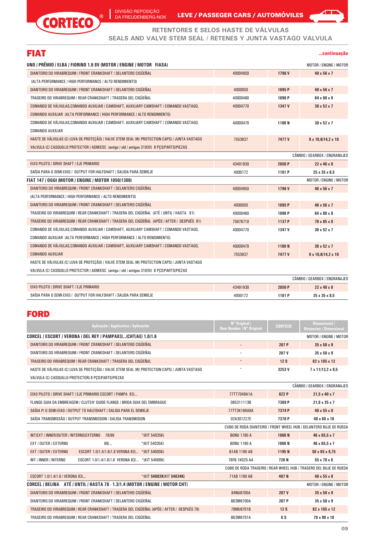

DA FREUDENBERG-NOK LEVE / PASSEGER CARS / AUTOMOVILES

 $\sqrt{1}$ 

# **RETENTORES E SELOS HASTE DE VÁLVULAS**

**SEALS AND VALVE STEM SEAL / RETENES Y JUNTA VASTAGO VALVULA**

| <b>FIAT</b>                                                                                    |          |                   | continuacão                   |
|------------------------------------------------------------------------------------------------|----------|-------------------|-------------------------------|
| UNO / PRÊMIO / ELBA / FIORINO 1.6 8V (MOTOR / ENGINE / MOTOR FIASA)                            |          |                   | MOTOR / ENGINE / MOTOR        |
| DIANTEIRO DO VIRABREQUIM / FRONT CRANKSHAFT / DELANTERO CIGÜEÑAL                               | 40004950 | 1796 V            | $40 \times 56 \times 7$       |
| (ALTA PERFORMANCE / HIGH PERFORMANCE / ALTO RENDIMIENTO)                                       |          |                   |                               |
| DIANTEIRO DO VIRABREQUIM / FRONT CRANKSHAFT / DELANTERO CIGÜEÑAL                               | 4000050  | 1095 <sub>P</sub> | $40 \times 56 \times 7$       |
| TRASEIRO DO VIRABREQUIM / REAR CRANKSHAFT / TRASERA DEL CIGÜEÑAL                               | 40000460 | 1096 P            | $64 \times 80 \times 8$       |
| COMANDO DE VÁLVULAS, COMANDO AUXILIAR / CAMSHAFT, AUXILIARY CAMSHAFT / COMANDO VASTAGO,        | 40004770 | 1347 V            | $30 \times 52 \times 7$       |
| COMANDO AUXILIAR (ALTA PERFORMANCE / HIGH PERFORMANCE / ALTO RENDIMIENTO)                      |          |                   |                               |
| COMANDO DE VALVULAS,COMANDO AUXILIAR / CAMSHAFT, AUXILIARY CAMSHAFT / COMANDO VASTAGO,         | 40000470 | 1100N             | $30 \times 52 \times 7$       |
| COMANDO AUXILIAR                                                                               |          |                   |                               |
| HASTE DE VÁLVULAS (C/ LUVA DE PROTECÃO) / VALVE STEM SEAL (W/ PROTECTION CAPS) / JUNTA VASTAGO | 7553637  | 7477 V            | 8 x 10,8/14,2 x 10            |
| VALVULA (C/ CASQUILLO PROTECTOR ) ADM/ESC (antigo / old / antiguo 3193V) 8 PCS/PARTS/PIEZAS    |          |                   |                               |
|                                                                                                |          |                   | CÂMBIO / GEARBOX / ENGRANAJES |
| EIXO PILOTO / DRIVE SHAFT / EJE PRIMARIO                                                       | 43491930 | 2050 P            | $22 \times 40 \times 8$       |
| SAÍDA PARA O SEMI-EIXO / OUTPUT FOR HALFSHAFT / SALIDA PARA SEMIEJE                            | 4000172  | 1101 P            | 25 x 35 x 8,5                 |
| FIAT 147 / OGGI (MOTOR / ENGINE / MOTOR 1050/1300)                                             |          |                   | MOTOR / ENGINE / MOTOR        |
| DIANTEIRO DO VIRABREQUIM / FRONT CRANKSHAFT / DELANTERO CIGÜEÑAL                               | 40004950 | 1796 V            | $40 \times 56 \times 7$       |
| (ALTA PERFORMANCE / HIGH PERFORMANCE / ALTO RENDIMIENTO)                                       |          |                   |                               |
| DIANTEIRO DO VIRABREQUIM / FRONT CRANKSHAFT / DELANTERO CIGÜEÑAL                               | 4000050  | 1095 P            | $40 \times 56 \times 7$       |
| TRASEIRO DO VIRABREQUIM / REAR CRANKSHAFT / TRASERA DEL CIGÜEÑAL (ATÉ / UNTIL / HASTA 81)      | 40000460 | 1096 P            | 64 x 80 x 8                   |
| TRASEIRO DO VIRABREQUIM / REAR CRANKSHAFT / TRASERA DEL CIGÜEÑAL (APÓS / AFTER / DESPUÉS 81)   | 75978710 | 1137 P            | $70 \times 85 \times 8$       |
| COMANDO DE VÁLVULAS, COMANDO AUXILIAR / CAMSHAFT, AUXILIARY CAMSHAFT / COMANDO VASTAGO,        | 40004770 | 1347 V            | $30 \times 52 \times 7$       |
| COMANDO AUXILIAR (ALTA PERFORMANCE / HIGH PERFORMANCE / ALTO RENDIMIENTO)                      |          |                   |                               |
| COMANDO DE VÁLVULAS, COMANDO AUXILIAR / CAMSHAFT, AUXILIARY CAMSHAFT / COMANDO VASTAGO,        | 40000470 | 1100N             | $30 \times 52 \times 7$       |
| <b>COMANDO AUXILIAR</b>                                                                        | 7553637  | 7477 V            | 8 x 10,8/14,2 x 10            |
| HASTE DE VÁLVULAS (C/ LUVA DE PROTECÃO) / VALVE STEM SEAL (W/ PROTECTION CAPS) / JUNTA VASTAGO |          |                   |                               |
| VALVULA (C/ CASQUILLO PROTECTOR ) ADM/ESC (antigo / old / antiguo 3193V) 8 PCS/PARTS/PIEZAS    |          |                   |                               |
|                                                                                                |          |                   | CÂMBIO / GEARBOX / ENGRANAJES |

| / EJE PRIMARIO<br><b>EIXO PILOTO / DRIVE SHAFT</b>                                        | 43491930 | 2050 P       | $22 \times 40 \times 8$   |
|-------------------------------------------------------------------------------------------|----------|--------------|---------------------------|
| I PARA O SEMI EIXO I<br>0UTPU<br><b>ſ FOR HALFSHAFT</b><br>I SALIDA PARA SEMIEJE<br>SAIDA | 400017   | <b>101 P</b> | $25 \times 35 \times 8.5$ |

#### FORD

| Aplicacão / Application / Aplicación                                                           | N° Original /<br>Oem Number / N° Original | <b>CORTECO</b>    | <b>Dimensional /</b><br><b>Dimension / Dimensional</b>             |
|------------------------------------------------------------------------------------------------|-------------------------------------------|-------------------|--------------------------------------------------------------------|
| CORCEL / ESCORT / VERONA / DEL REY / PAMPA83/(CHT/AE) 1.0/1.6                                  |                                           |                   | MOTOR / ENGINE / MOTOR                                             |
| DIANTEIRO DO VIRABREQUIM / FRONT CRANKSHAFT / DELANTERO CIGÜEÑAL                               |                                           | 207 P             | $35 \times 50 \times 9$                                            |
| DIANTEIRO DO VIRABREQUIM / FRONT CRANKSHAFT / DELANTERO CIGÜEÑAL                               |                                           | 207 V             | $35 \times 50 \times 9$                                            |
| TRASEIRO DO VIRABREQUIM / REAR CRANKSHAFT / TRASERA DEL CIGÜEÑAL                               |                                           | 12S               | 82 x 105 x 12                                                      |
| HASTE DE VÁLVULAS (C/ LUVA DE PROTECÃO) / VALVE STEM SEAL (W/ PROTECTION CAPS) / JUNTA VASTAGO |                                           | 3253V             | 7 x 11/13,2 x 9,5                                                  |
| VALVULA (C/ CASQUILLO PROTECTOR) 8 PCS/PARTS/PIEZAS                                            |                                           |                   |                                                                    |
|                                                                                                |                                           |                   | CÂMBIO / GEARBOX / ENGRANAJES                                      |
| EIXO PILOTO / DRIVE SHAFT / EJE PRIMARIO ESCORT / PAMPA 83/                                    | 77TT7048A1A                               | 622 P             | $21,5 \times 40 \times 7$                                          |
| FLANGE GUIA DA EMBREAGEM / CLUTCH' GUIDE FLANGE / BRIDA GUIA DEL EMBRAGUE                      | 085311113B                                | 7369 P            | $21,8 \times 35 \times 7$                                          |
| SAÍDA P/ O SEMI-EIXO / OUTPUT TO HALFSHAFT / SALIDA PARA EL SEMIEJE                            | 77TT3K169A9A                              | 7374 P            | $40 \times 55 \times 8$                                            |
| SAÍDA TRANSMISSÃO / OUTPUT TRANSMISSION / SALIDA TRANSMISION                                   | 02A301227E                                | 7370 P            | 40 x 60 x 10                                                       |
|                                                                                                |                                           |                   | CUBO DE RODA DIANTEIRO / FRONT WHEEL HUB / DELANTERO BUJE DE RUEDA |
| INT/EXT / INNER/OUTER / INTERNO/EXTERNO<br>78/89<br>*(KIT 54035K)                              | <b>BONU 1190 A</b>                        | <b>1060N</b>      | 46 x 65,5 x 7                                                      |
| EXT / OUTER / EXTERNO<br>891<br>*(KIT 54035K)                                                  | <b>BONU 1190 A</b>                        | 1060 N            | 46 x 65,5 x 7                                                      |
| EXT / OUTER / EXTERNO<br>ESCORT 1.0/1.4/1.6/1.8 VERONA 83/ * (KIT 54000K)                      | <b>B1AB 1190 AB</b>                       | 1195 <sub>N</sub> | $50 \times 65 \times 9.75$                                         |
| INT / INNER / INTERNO<br>ESCORT 1.0/1.4/1.6/1.8 VERONA 83/ * (KIT 54000K)                      | 78FB 1K025 AA                             | 720 N             | $55 \times 70 \times 6$                                            |
|                                                                                                |                                           |                   | CUBO DE RODA TRASEIRO / REAR WHEEL HUB / TRASERO DEL BUJE DE RUEDA |
| ESCORT 1.0/1.4/1.6 / VERONA 83/<br>*(KIT 54002K/KIT 54034K)                                    | 71AB 1190 AB                              | 407N              | $40 \times 55 \times 8$                                            |
| CORCEL / BELINA ATÉ / UNTIL / HASTA 78 - 1.3/1.4 (MOTOR / ENGINE / MOTOR CHT)                  |                                           |                   | MOTOR / ENGINE / MOTOR                                             |
| DIANTEIRO DO VIRABREQUIM / FRONT CRANKSHAFT / DELANTERO CIGÜEÑAL                               | 84NU6700A                                 | 207 V             | $35 \times 50 \times 9$                                            |
| DIANTEIRO DO VIRABREQUIM / FRONT CRANKSHAFT / DELANTERO CIGÜEÑAL                               | <b>BD3M6700A</b>                          | 207 P             | $35 \times 50 \times 9$                                            |
| TRASEIRO DO VIRABREQUIM / REAR CRANKSHAFT / TRASERA DEL CIGÜEÑAL (APÓS / AFTER / DESPUÉS 78)   | 78MU6701B                                 | 12S               | 82 x 105 x 12                                                      |
| TRASEIRO DO VIRABREQUIM / REAR CRANKSHAFT / TRASERA DEL CIGÜEÑAL                               | BD3M6701A                                 | 6S                | 70 x 90 x 10                                                       |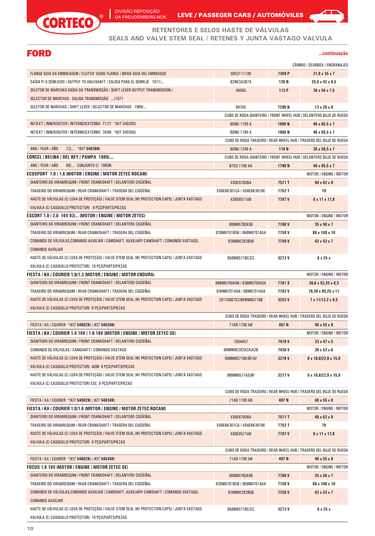

DA FREUDENBERG-NOK LEVE / PASSEGER CARS / AUTOMOVILES



**SEALS AND VALVE STEM SEAL / RETENES Y JUNTA VASTAGO VALVULA**

# FORD

| continuacao |  |  |  |  |  |
|-------------|--|--|--|--|--|
|             |  |  |  |  |  |
|             |  |  |  |  |  |

 $\blacktriangle$   $\blacksquare$ 

|                                                                                                        |                                          |                | CÂMBIO / GEARBOX / ENGRANAJES                                      |
|--------------------------------------------------------------------------------------------------------|------------------------------------------|----------------|--------------------------------------------------------------------|
| FLANGE GUIA DA EMBREAGEM / CLUTCH' GUIDE FLANGE / BRIDA GUIA DEL EMBRAGUE                              | 085311113B                               | 7369 P         | $21,8 \times 35 \times 7$                                          |
| SAIDA P/ 0 SEMI-EIXO / OUTPUT TO HALFSHAFT / SALIDA PARA EL SEMIEJE 1971/                              | <b>B2NE3A387A</b>                        | 120 N          | $25.6 \times 42 \times 6.5$                                        |
| SELETOR DE MARCHAS-SAÍDA DA TRANSMISSÃO / SHIFT LEVER OUTPUT TRANSMISSION /                            | 46505                                    | 113 P          | 36 x 54 x 7,5                                                      |
| SELECTOR DE MARCHAS - SALIDA TRANSMISSÃO /1971                                                         |                                          |                |                                                                    |
| SELETOR DE MARCHAS / SHIFT LEVER / SELECTOR DE MARCHAS 1969/                                           | 69705                                    | 7298 N         | $13 \times 26 \times 9$                                            |
|                                                                                                        |                                          |                | CUBO DE RODA DIANTEIRO / FRONT WHEEL HUB / DELANTERO BUJE DE RUEDA |
| INT/EXT / INNER/OUTER / INTERNO/EXTERNO 71/77 *(KIT 54035K)                                            | <b>BONU 1190 A</b>                       | <b>1060N</b>   | 46 x 65,5 x 7                                                      |
| INT/EXT / INNER/OUTER / INTERNO/EXTERNO 78/89 *(KIT 54035K)                                            | <b>BONU 1190 A</b>                       | 1060 N         | 46 x 65,5 x 7                                                      |
|                                                                                                        |                                          |                | CUBO DE RODA TRASEIRO / REAR WHEEL HUB / TRASERO DEL BUJE DE RUEDA |
| ANO / YEAR / AÑO<br>72/ *(KIT 54036K)                                                                  | <b>BONU 1249 A</b>                       | 119 N          | $38 \times 58,5 \times 7$                                          |
| CORCEL / BELINA / DEL REY / PAMPA 1989/                                                                |                                          |                | CUBO DE RODA DIANTEIRO / FRONT WHEEL HUB / DELANTERO BUJE DE RUEDA |
| ANO / YEAR / AÑO<br>89/ CONJUNTO C/ 1060N                                                              | <b>B7EU 1190 AA</b>                      | 1790N          | 48 x 65,5 x 7                                                      |
| ECOSPORT 1.0 / 1.6 (MOTOR / ENGINE / MOTOR ZETEC ROCAM)                                                |                                          |                | MOTOR / ENGINE / MOTOR                                             |
| DIANTEIRO DO VIRABREQUIM / FRONT CRANKSHAFT / DELANTERO CIGÜEÑAL                                       | <b>XS6E6700BA</b>                        | 7571T          | $40 \times 62 \times 8$                                            |
| TRASEIRO DO VIRABREQUIM / REAR CRANKSHAFT / TRASERA DEL CIGÜEÑAL                                       | XS6E6K301CA / XS6E6K301BE                | 7752 T         | 79                                                                 |
| HASTE DE VÁLVULAS (C/ LUVA DE PROTECÃO) / VALVE STEM SEAL (W/ PROTECTION CAPS) / JUNTA VASTAGO         | XS6E6571AB                               | 7707 V         | 6 x 11 x 17,8                                                      |
| VALVULA (C/ CASQUILLO PROTECTOR) 8 PCS/PARTS/PIEZAS                                                    |                                          |                |                                                                    |
| ESCORT 1.8 / 2.0  16V 93/ (MOTOR / ENGINE / MOTOR ZETEC)                                               |                                          |                | MOTOR / ENGINE / MOTOR                                             |
| DIANTEIRO DO VIRABREQUIM / FRONT CRANKSHAFT / DELANTERO CIGÜEÑAL                                       | 988M6700A5B                              | 7760V          | $35 \times 50 \times 7$                                            |
| TRASEIRO DO VIRABREQUIM / REAR CRANKSHAFT / TRASERA DEL CIGÜEÑAL                                       | 928M6701B5B / 988M6701A5A                | 7758V          | 88 x 108 x 10                                                      |
| COMANDO DE VÁLVULAS, COMANDO AUXILIAR / CAMSHAFT, AUXILIARY CAMSHAFT / COMANDO VASTAGO,                | 928M6K292B5B                             | 7759 V         | 42 x 53 x 7                                                        |
| <b>COMANDO AUXILIAR</b>                                                                                |                                          |                |                                                                    |
| HASTE DE VÁLVULAS (C/ LUVA DE PROTEÇÃO) / VALVE STEM SEAL (W/ PROTECTION CAPS) / JUNTA VASTAGO         | 958M6571BC/CC                            | 3273V          | 6 x 25 x                                                           |
| VALVULA (C/ CASQUILLO PROTECTOR) 16 PCS/PARTS/PIEZAS                                                   |                                          |                |                                                                    |
| FIESTA / KA / COURIER 1.0/1.3 (MOTOR / ENGINE / MOTOR ENDURA)                                          |                                          |                | MOTOR / ENGINE / MOTOR                                             |
| DIANTEIRO DO VIRABREQUIM / FRONT CRANKSHAFT / DELANTERO CIGUENAL                                       | 96BM6700A6B / 83BM6700A3A                | 7761 S         | $36,6 \times 52,35 \times 8,3$                                     |
| TRASEIRO DO VIRABREQUIM / REAR CRANKSHAFT / TRASERA DEL CIGÜEÑAL                                       | 83HM6701A6A / 8BM6701A6A                 | 7762V          | 79,38 x 95,25 x 11                                                 |
| HASTE DE VÁLVULAS (C/ LUVA DE PROTEÇÃO) / VALVE STEM SEAL (W/ PROTECTION CAPS) / JUNTA VASTAGO         | 2911096752/88WM6571BB                    | 3253V          | $7 \times 11/13, 2 \times 9, 5$                                    |
| VALVULA (C/ CASQUILLO PROTECTOR) 8 PCS/PARTS/PIEZAS                                                    |                                          |                |                                                                    |
|                                                                                                        |                                          |                | CUBO DE RODA TRASEIRO / REAR WHEEL HUB / TRASERO DEL BUJE DE RUEDA |
| FIESTA / KA / COURIER * (KIT 54002K) / (KIT 54034K)                                                    | 71AB 1190 AB                             | 407 N          | $40 \times 55 \times 8$                                            |
| FIESTA / KA / COURIER 1.4 16V / 1.6 16V (MOTOR / ENGINE / MOTOR ZETEC-SE)                              |                                          |                | MOTOR / ENGINE / MOTOR                                             |
| DIANTEIRO DO VIRABREQUIM / FRONT CRANKSHAFT / DELANTERO CIGÜEÑAL                                       | 1004457                                  | 7479 V         | $33 \times 47 \times 5$                                            |
| COMANDO DE VÁLVULAS / CAMSHAFT / COMANDO VASTAGO                                                       | 96MM6K292A2A/A2B                         | 7430 V         | 38 x 52 x 6                                                        |
| HASTE DE VÁLVULAS (C/ LUVA DE PROTECÃO) / VALVE STEM SEAL (W/ PROTECTION CAPS) / JUNTA VASTAGO         | 96MM6571BE/BF/AF                         | 3276V          | 6 x 10,8/22,9 x 15,9                                               |
| VALVULA (C/ CASQUILLO PROTECTOR) ADM 8 PCS/PARTS/PIEZAS                                                |                                          |                |                                                                    |
| HASTE DE VÁLVULAS (C/ LUVA DE PROTEÇÃO) / VALVE STEM SEAL (W/ PROTECTION CAPS) / JUNTA VASTAGO         | 96MM6571AS/BF                            | 3277 V         | 6 x 10,8/22,9 x 15,9                                               |
| VALVULA (C/ CASQUILLO PROTECTOR) ESC 8 PCS/PARTS/PIEZAS                                                |                                          |                |                                                                    |
|                                                                                                        |                                          |                | CUBO DE RODA TRASEIRO / REAR WHEEL HUB / TRASERO DEL BUJE DE RUEDA |
| FIESTA / KA / COURIER * (KIT 54002K) / (KIT 54034K)                                                    | 71AB 1190 AB                             | 407 N          | 40 x 55 x 8                                                        |
| FIESTA / KA / COURIER 1.0/1.6 (MOTOR / ENGINE / MOTOR ZETEC-ROCAM)                                     |                                          |                | MOTOR / ENGINE / MOTOR                                             |
| DIANTEIRO DO VIRABREQUIM / FRONT CRANKSHAFT / DELANTERO CIGÜEÑAL                                       | <b>XS6E6700BA</b>                        | 7571T          | $40 \times 62 \times 8$                                            |
| TRASEIRO DO VIRABREQUIM / REAR CRANKSHAFT / TRASERA DEL CIGÜEÑAL                                       | XS6E6K301CA / XS6E6K301BE                | 7752 T         | 79                                                                 |
| HASTE DE VÁLVULAS (C/ LUVA DE PROTEÇÃO) / VALVE STEM SEAL (W/ PROTECTION CAPS) / JUNTA VASTAGO         | XS6E6571AB                               | 7707 V         | $6 \times 11 \times 17,8$                                          |
| VALVULA (C/ CASQUILLO PROTECTOR) 8 PCS/PARTS/PIEZAS                                                    |                                          |                |                                                                    |
|                                                                                                        |                                          |                | CUBO DE RODA TRASEIRO / REAR WHEEL HUB / TRASERO DEL BUJE DE RUEDA |
| FIESTA / KA / COURIER * (KIT 54002K) / (KIT 54034K)<br>FOCUS 1.6 16V (MOTOR / ENGINE / MOTOR ZETEC-SE) | 71AB 1190 AB                             | 407 N          | 40 x 55 x 8                                                        |
| DIANTEIRO DO VIRABREQUIM / FRONT CRANKSHAFT / DELANTERO CIGÜEÑAL                                       |                                          |                | MOTOR / ENGINE / MOTOR                                             |
| TRASEIRO DO VIRABREQUIM / REAR CRANKSHAFT / TRASERA DEL CIGÜEÑAL                                       | 988M6700A5B<br>928M6701B5B / 988M6701A5A | 7760V<br>7758V | 35 x 50 x 7<br>88 x 108 x 10                                       |
| COMANDO DE VÁLVULAS, COMANDO AUXILIAR / CAMSHAFT, AUXILIARY CAMSHAFT / COMANDO VASTAGO,                | 928M6K292B5B                             | 7759 V         | 42 x 53 x 7                                                        |
| <b>COMANDO AUXILIAR</b>                                                                                |                                          |                |                                                                    |
| HASTE DE VÁLVULAS (C/ LUVA DE PROTEÇÃO) / VALVE STEM SEAL (W/ PROTECTION CAPS) / JUNTA VASTAGO         | 958M6571BC/CC                            | 3273V          | 6x25x                                                              |
| VALVULA (C/ CASQUILLO PROTECTOR) 16 PCS/PARTS/PIEZAS                                                   |                                          |                |                                                                    |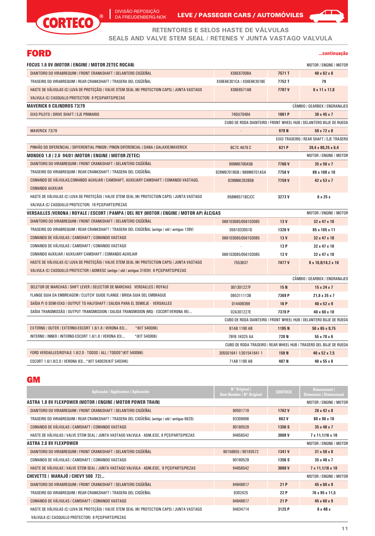

DA FREUDENBERG-NOK LEVE / PASSEGER CARS / AUTOMOVILES



**RETENTORES E SELOS HASTE DE VÁLVULAS**

**SEALS AND VALVE STEM SEAL / RETENES Y JUNTA VASTAGO VALVULA**

# FORD

#### **...continuação**

| FOCUS 1.6 8V (MOTOR / ENGINE / MOTOR ZETEC ROCAN)                                              |                           |                 | <b>MOTOR / ENGINE / MOTOR</b>                                      |
|------------------------------------------------------------------------------------------------|---------------------------|-----------------|--------------------------------------------------------------------|
| DIANTEIRO DO VIRABREQUIM / FRONT CRANKSHAFT / DELANTERO CIGÜEÑAL                               | <b>XS6E6700BA</b>         | 7571T           | 40 x 62 x 8                                                        |
| TRASEIRO DO VIRABREQUIM / REAR CRANKSHAFT / TRASERA DEL CIGÜEÑAL                               | XS6E6K301CA / XS6E6K301BE | 7752 T          | 79                                                                 |
| HASTE DE VÁLVULAS (C/ LUVA DE PROTECÃO) / VALVE STEM SEAL (W/ PROTECTION CAPS) / JUNTA VASTAGO | <b>XS6E6571AB</b>         | 7707V           | 6 x 11 x 17,8                                                      |
| VALVULA (C/ CASQUILLO PROTECTOR) 8 PCS/PARTS/PIEZAS                                            |                           |                 |                                                                    |
| MAVERICK 6 CILINDROS 73/79                                                                     |                           |                 | CÂMBIO / GEARBOX / ENGRANAJES                                      |
| EIXO PILOTO / DRIVE SHAFT / EJE PRIMARIO                                                       | 74DU7048A                 | 1001 P          | $30 \times 45 \times 7$                                            |
|                                                                                                |                           |                 | CUBO DE RODA DIANTEIRO / FRONT WHEEL HUB / DELANTERO BUJE DE RUEDA |
| <b>MAVERICK 73/79</b>                                                                          |                           | 979N            | $50 \times 72 \times 8$                                            |
|                                                                                                |                           |                 | EIXO TRASEIRO / REAR SHAFT / EJE TRASERO                           |
| PINHÃO DO DIFERENCIAL / DIFFERENTIAL PINION / PINON DIFERENCIAL ( DANA ) GALAXIE/MAVERICK      | <b>BC7C 4676 C</b>        | 621 P           | 39,4 x 80,25 x 6,4                                                 |
| MONDEO 1.8 / 2.0  94/01 (MOTOR / ENGINE / MOTOR ZETEC)                                         |                           |                 | MOTOR / ENGINE / MOTOR                                             |
| DIANTEIRO DO VIRABREQUIM / FRONT CRANKSHAFT / DELANTERO CIGÜEÑAL                               | 988M6700A5B               | 7760V           | $35 \times 50 \times 7$                                            |
| TRASEIRO DO VIRABREQUIM / REAR CRANKSHAFT / TRASERA DEL CIGÜEÑAL                               | 928M6701B5B / 988M6701A5A | 7758V           | 88 x 108 x 10                                                      |
| COMANDO DE VÁLVULAS,COMANDO AUXILIAR / CAMSHAFT, AUXILIARY CAMSHAFT / COMANDO VASTAGO,         | 928M6K292B5B              | 7759V           | 42 x 53 x 7                                                        |
| <b>COMANDO AUXILIAR</b>                                                                        |                           |                 |                                                                    |
| HASTE DE VÁLVULAS (C/ LUVA DE PROTEÇÃO) / VALVE STEM SEAL (W/ PROTECTION CAPS) / JUNTA VASTAGO | 958M6571BC/CC             | 3273V           | $6 \times 25 \times$                                               |
| VALVULA (C/ CASQUILLO PROTECTOR) 16 PCS/PARTS/PIEZAS                                           |                           |                 |                                                                    |
| VERSAILLES /VERONA / ROYALE / ESCORT / PAMPA / DEL REY (MOTOR / ENGINE / MOTOR AP) ÀLC/GAS     |                           |                 | <b>MOTOR / ENGINE / MOTOR</b>                                      |
| DIANTEIRO DO VIRABREQUIM / FRONT CRANKSHAFT / DELANTERO CIGÜEÑAL                               | 068103085/056103085       | 13 <sub>V</sub> | 32 x 47 x 10                                                       |
| TRASEIRO DO VIRABREQUIM / REAR CRANKSHAFT / TRASERA DEL CIGÜEÑAL (antigo / old / antiguo 138V) | 0561033051D               | 1326V           | 85 x 105 x 11                                                      |
| COMANDO DE VÁLVULAS / CAMSHAFT / COMANDO VASTAGO                                               | 068103085/056103085       | 13 <sub>V</sub> | 32 x 47 x 10                                                       |
| COMANDO DE VÁLVULAS / CAMSHAFT / COMANDO VASTAGO                                               |                           | 13 P            | 32 x 47 x 10                                                       |
| COMANDO AUXILIAR / AUXILIARY CAMSHAFT / COMANDO AUXILIAR                                       | 068103085/056103085       | 13 <sub>V</sub> | 32 x 47 x 10                                                       |
| HASTE DE VÁLVULAS (C/ LUVA DE PROTEÇÃO) / VALVE STEM SEAL (W/ PROTECTION CAPS) / JUNTA VASTAGO | 7553637                   | 7477 V          | 8 x 10,8/14,2 x 10                                                 |
| VALVULA (C/ CASQUILLO PROTECTOR ) ADM/ESC (antigo / old / antiguo 3193V) 8 PCS/PARTS/PIEZAS    |                           |                 |                                                                    |
|                                                                                                |                           |                 | CÂMBIO / GEARBOX / ENGRANAJES                                      |
| SELETOR DE MARCHAS / SHIFT LEVER / SELECTOR DE MARCHAS VERSAILLES / ROYALE                     | 001301227F                | 15N             | $15 \times 24 \times 7$                                            |
| FLANGE GUIA DA EMBREAGEM / CLUTCH' GUIDE FLANGE / BRIDA GUIA DEL EMBRAGUE                      | 085311113B                | 7369 P          | $21,8 \times 35 \times 7$                                          |
| SAÍDA P/ O SEMI-EIXO / OUTPUT TO HALFSHAFT / SALIDA PARA EL SEMIEJE - VERSAILLES               | 014409399                 | 16 P            | 40 x 52 x 9                                                        |
| SAÍDA TRANSMISSÃO / OUTPUT TRANSMISSION / SALIDA TRANSMISION (MQ) - ESCORT/VERONA 95/          | 02A301227E                | 7370 P          | 40 x 60 x 10                                                       |
|                                                                                                |                           |                 | CUBO DE RODA DIANTEIRO / FRONT WHEEL HUB / DELANTERO BUJE DE RUEDA |
| EXTERNO / OUTER / EXTERNO-ESCORT 1.6/1.8 / VERONA 83/<br>*(KIT 54000K)                         | <b>B1AB 1190 AB</b>       | 1195N           | $50 \times 65 \times 9,75$                                         |
| INTERNO / INNER / INTERNO-ESCORT 1.6/1.8 / VERONA 83/<br>*(KIT 54000K)                         | 78FB 1K025 AA             | 720 N           | 55 x 70 x 6                                                        |
|                                                                                                |                           |                 | CUBO DE RODA TRASEIRO / REAR WHEEL HUB / TRASERO DEL BUJE DE RUEDA |
| FORD VERSAILLES/ROYALE 1.8/2.0 - TODOS / ALL / TODOS*(KIT 54006K)                              | 305501641 1/301541641 1   | 159 N           | 40 x 52 x 7,5                                                      |
| ESCORT 1.6/1.8/2.0 / VERONA 83/* (KIT 54002K/KIT 54034K)                                       | 71AB 1190 AB              | 407 N           | 40 x 55 x 8                                                        |
|                                                                                                |                           |                 |                                                                    |

#### **GM**

| Aplicação / Application / Aplicación                                                           | N° Original /<br><b>Oem Number / N° Original</b> | <b>CORTECO</b> | <b>Dimensional</b> /<br><b>Dimension / Dimensional</b> |
|------------------------------------------------------------------------------------------------|--------------------------------------------------|----------------|--------------------------------------------------------|
| ASTRA 1.8 8V FLEXPOWER (MOTOR / ENGINE / MOTOR POWER TRAIN)                                    |                                                  |                | MOTOR / ENGINE / MOTOR                                 |
| DIANTEIRO DO VIRABREQUIM / FRONT CRANKSHAFT / DELANTERO CIGÜEÑAL                               | 90501719                                         | 1762V          | $26 \times 42 \times 8$                                |
| TRASEIRO DO VIRABREQUIM / REAR CRANKSHAFT / TRASERA DEL CIGÜEÑAL (antigo / old / antiguo 662S) | 93309906                                         | 662 V          | 80 x 98 x 10                                           |
| COMANDO DE VÁLVULAS / CAMSHAFT / COMANDO VASTAGO                                               | 90180529                                         | 1356 S         | $35 \times 48 \times 7$                                |
| HASTE DE VÁLVULAS / VALVE STEM SEAL / JUNTA VASTAGO VALVULA - ADM./ESC. 8 PCS/PARTS/PIEZAS     | 94656542                                         | 3008V          | $7 \times 11,1/16 \times 10$                           |
| <b>ASTRA 2.0 8V FLEXPOWER</b>                                                                  |                                                  |                | MOTOR / ENGINE / MOTOR                                 |
| DIANTEIRO DO VIRABREQUIM / FRONT CRANKSHAFT / DELANTERO CIGÜEÑAL                               | 90156855 / 90183572                              | 1341 V         | $31 \times 50 \times 8$                                |
| COMANDO DE VÁLVULAS / CAMSHAFT / COMANDO VASTAGO                                               | 90180529                                         | 1356 S         | $35 \times 48 \times 7$                                |
| HASTE DE VÁLVULAS / VALVE STEM SEAL / JUNTA VASTAGO VALVULA - ADM./ESC. 8 PCS/PARTS/PIEZAS     | 94656542                                         | 3008 V         | $7 \times 11,1/16 \times 10$                           |
| CHEVETTE / MARAJÓ / CHEVY 500 72/                                                              |                                                  |                | MOTOR / ENGINE / MOTOR                                 |
| DIANTEIRO DO VIRABREQUIM / FRONT CRANKSHAFT / DELANTERO CIGÜEÑAL                               | 94648817                                         | 21P            | $45 \times 60 \times 9$                                |
| TRASEIRO DO VIRABREQUIM / REAR CRANKSHAFT / TRASERA DEL CIGÜEÑAL                               | 9302425                                          | 22 P           | 76 x 95 x 11,5                                         |
| COMANDO DE VÁLVULAS / CAMSHAFT / COMANDO VASTAGO                                               | 94648817                                         | 21P            | $45 \times 60 \times 9$                                |
| HASTE DE VÁLVULAS (C/ LUVA DE PROTEÇÃO) / VALVE STEM SEAL (W/ PROTECTION CAPS) / JUNTA VASTAGO | 94634714                                         | 3125 P         | $8 \times 4B \times$                                   |
| VALVULA (C/ CASQUILLO PROTECTOR) 8 PCS/PARTS/PIEZAS                                            |                                                  |                |                                                        |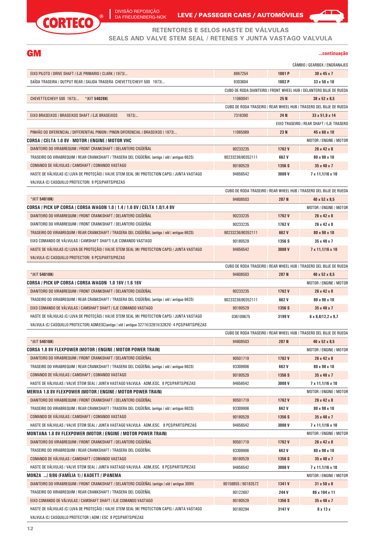

DA FREUDENBERG-NOK LEVE / PASSEGER CARS / AUTOMOVILES



#### **RETENTORES E SELOS HASTE DE VÁLVULAS SEALS AND VALVE STEM SEAL / RETENES Y JUNTA VASTAGO VALVULA**

#### **GM**

#### **...continuação**

|  | CÂMBIO / GEARBOX / ENGRANAJES |
|--|-------------------------------|

| EIXO PILOTO / DRIVE SHAFT / EJE PRIMARIO ( CLARK ) 1973/                                              | 8967254             | 1001 P | $30 \times 45 \times 7$                                            |
|-------------------------------------------------------------------------------------------------------|---------------------|--------|--------------------------------------------------------------------|
| SAÍDA TRASEIRA / OUTPUT REAR / SALIDA TRASERA CHEVETTE/CHEVY 500 1973/                                | 9303604             | 1002 P | 33 x 50 x 10                                                       |
|                                                                                                       |                     |        | CUBO DE RODA DIANTEIRO / FRONT WHEEL HUB / DELANTERO BUJE DE RUEDA |
| CHEVETTE/CHEVY 500 1973/<br>*(KIT 54028K)                                                             | 11060041            | 25 N   | $38 \times 52 \times 8,5$                                          |
|                                                                                                       |                     |        | CUBO DE RODA TRASEIRO / REAR WHEEL HUB / TRASERO DEL BUJE DE RUEDA |
| EIXO BRASEIXOS / BRASEIXOS SHAFT / EJE BRASEIXOS<br>$1973$                                            | 7316390             | 24 N   | 33 x 51,9 x 14                                                     |
|                                                                                                       |                     |        | EIXO TRASEIRO / REAR SHAFT / EJE TRASERO                           |
| PINHÃO DO DIFERENCIAL / DIFFERENTIAL PINION / PINON DIFERENCIAL (BRASEIXOS ) 1973/                    | 11065089            | 23 N   | 45 x 60 x 10                                                       |
| CORSA / CELTA 1.0 8V · MOTOR / ENGINE / MOTOR VHC                                                     |                     |        | MOTOR / ENGINE / MOTOR                                             |
| DIANTEIRO DO VIRABREQUIM / FRONT CRANKSHAFT / DELANTERO CIGÜEÑAL                                      | 90233235            | 1762V  | $26 \times 42 \times 8$                                            |
| TRASEIRO DO VIRABREQUIM / REAR CRANKSHAFT / TRASERA DEL CIGÜEÑAL (antigo / old / antiguo 662S)        | 90233236/90352111   | 662 V  | 80 x 98 x 10                                                       |
| COMANDO DE VÁLVULAS / CAMSHAFT / COMANDO VASTAGO                                                      | 90180529            | 1356 S | $35 \times 48 \times 7$                                            |
| HASTE DE VÁLVULAS (C/ LUVA DE PROTEÇÃO) / VALVE STEM SEAL (W/ PROTECTION CAPS) / JUNTA VASTAGO        | 94656542            | 3008V  | 7 x 11,1/16 x 10                                                   |
| VALVULA (C/ CASQUILLO PROTECTOR) 8 PCS/PARTS/PIEZAS                                                   |                     |        |                                                                    |
|                                                                                                       |                     |        | CUBO DE RODA TRASEIRO / REAR WHEEL HUB / TRASERO DEL BUJE DE RUEDA |
| $*(KIT 54010K)$                                                                                       | 94608503            | 287 N  | 40 x 52 x 8,5                                                      |
| CORSA / PICK UP CORSA / CORSA WAGON 1.0 / 1.4 / 1.6 8V / CELTA 1.0/1.4 8V                             |                     |        | MOTOR / ENGINE / MOTOR                                             |
| DIANTEIRO DO VIRABREQUIM / FRONT CRANKSHAFT / DELANTERO CIGÜEÑAL                                      | 90233235            | 1762V  | 26 x 42 x 8                                                        |
| DIANTEIRO DO VIRABREQUIM / FRONT CRANKSHAFT / DELANTERO CIGÜEÑAL                                      | 90233235            | 1762V  | $26 \times 42 \times 8$                                            |
| TRASEIRO DO VIRABREQUIM / REAR CRANKSHAFT / TRASERA DEL CIGÜEÑAL (antigo / old / antiguo 662S)        | 90233236/90352111   | 662 V  | 80 x 98 x 10                                                       |
| EIXO COMANDO DE VÁLVULAS / CAMSHAFT SHAFT/ EJE COMANDO VASTAGO                                        | 90180529            | 1356 S | $35 \times 48 \times 7$                                            |
| HASTE DE VÁLVULAS (C/ LUVA DE PROTECÃO) / VALVE STEM SEAL (W/ PROTECTION CAPS) / JUNTA VASTAGO        | 94656542            | 3008 V | $7 \times 11,1/16 \times 10$                                       |
| VALVULA (C/ CASQUILLO PROTECTOR) 8 PCS/PARTS/PIEZAS                                                   |                     |        |                                                                    |
|                                                                                                       |                     |        | CUBO DE RODA TRASEIRO / REAR WHEEL HUB / TRASERO DEL BUJE DE RUEDA |
| $*(KIT 54010K)$                                                                                       | 94608503            | 287 N  | 40 x 52 x 8,5                                                      |
| CORSA / PICK UP CORSA / CORSA WAGON 1.0 16V / 1.6 16V                                                 |                     |        | MOTOR / ENGINE / MOTOR                                             |
| DIANTEIRO DO VIRABREQUIM / FRONT CRANKSHAFT / DELANTERO CIGÜEÑAL                                      | 90233235            | 1762V  | 26 x 42 x 8                                                        |
| TRASEIRO DO VIRABREQUIM / REAR CRANKSHAFT / TRASERA DEL CIGÜEÑAL (antigo / old / antiguo 662S)        | 90233236/90352111   | 662 V  | 80 x 98 x 10                                                       |
| EIXO COMANDO DE VÁLVULAS / CAMSHAFT SHAFT / EJE COMANDO VASTAGO                                       | 90180529            | 1356 S | $35 \times 48 \times 7$                                            |
| HASTE DE VÁLVULAS (C/ LUVA DE PROTECÃO) / VALVE STEM SEAL (W/ PROTECTION CAPS) / JUNTA VASTAGO        | 036109675           | 3199 V | $6 \times 8,8/12,2 \times 9,7$                                     |
| VALVULA (C/ CASQUILLO PROTECTOR) ADM/ESC(antigo / old / antiguo 3271V/3281V/3282V) 4 PCS/PARTS/PIEZAS |                     |        |                                                                    |
|                                                                                                       |                     |        | CUBO DE RODA TRASEIRO / REAR WHEEL HUB / TRASERO DEL BUJE DE RUEDA |
| *(KIT 54010K)                                                                                         | 94608503            | 287 N  | 40 x 52 x 8,5                                                      |
| CORSA 1.8 8V FLEXPOWER (MOTOR / ENGINE / MOTOR POWER TRAIN)                                           |                     |        | MOTOR / ENGINE / MOTOR                                             |
| DIANTEIRO DO VIRABREQUIM / FRONT CRANKSHAFT / DELANTERO CIGÜEÑAL                                      | 90501719            | 1762V  | 26 x 42 x 8                                                        |
| TRASEIRO DO VIRABREQUIM / REAR CRANKSHAFT / TRASERA DEL CIGÜEÑAL (antigo / old / antiguo 662S)        | 93309906            | 662 V  | 80 x 98 x 10                                                       |
| COMANDO DE VÁLVULAS / CAMSHAFT / COMANDO VASTAGO                                                      | 90180529            | 1356 S | 35 x 48 x 7                                                        |
| HASTE DE VALVULAS / VALVE STEM SEAL / JUNTA VASTAGO VALVULA - ADM./ESC. 8 PCS/PARTS/PIEZAS            | 94656542            | 3008V  | 7 x 11,1/16 x 10                                                   |
| MERIVA 1.8 8V FLEXPOWER (MOTOR / ENGINE / MOTOR POWER TRAIN)                                          |                     |        | MOTOR / ENGINE / MOTOR                                             |
| DIANTEIRO DO VIRABREQUIM / FRONT CRANKSHAFT / DELANTERO CIGÜEÑAL                                      | 90501719            | 1762V  | 26 x 42 x 8                                                        |
| TRASEIRO DO VIRABREQUIM / REAR CRANKSHAFT / TRASERA DEL CIGÜEÑAL (antigo / old / antiguo 662S)        | 93309906            | 662 V  | 80 x 98 x 10                                                       |
| COMANDO DE VÁLVULAS / CAMSHAFT / COMANDO VASTAGO                                                      | 90180529            | 1356 S | 35 x 48 x 7                                                        |
| HASTE DE VÁLVULAS / VALVE STEM SEAL / JUNTA VASTAGO VALVULA - ADM./ESC. 8 PCS/PARTS/PIEZAS            | 94656542            | 3008V  | 7 x 11,1/16 x 10                                                   |
| MONTANA 1.8 8V FLEXPOWER (MOTOR / ENGINE / MOTOR POWER TRAIN)                                         |                     |        | MOTOR / ENGINE / MOTOR                                             |
| DIANTEIRO DO VIRABREQUIM / FRONT CRANKSHAFT / DELANTERO CIGÜEÑAL                                      | 90501719            | 1762V  | 26 x 42 x 8                                                        |
| TRASEIRO DO VIRABREQUIM / REAR CRANKSHAFT / TRASERA DEL CIGÜEÑAL                                      | 93309906            | 662 V  | 80 x 98 x 10                                                       |
| COMANDO DE VÁLVULAS / CAMSHAFT / COMANDO VASTAGO                                                      | 90180529            | 1356 S | 35 x 48 x 7                                                        |
| HASTE DE VÁLVULAS / VALVE STEM SEAL / JUNTA VASTAGO VALVULA - ADM./ESC. 8 PCS/PARTS/PIEZAS            | 94656542            | 3008V  | 7 x 11,1/16 x 10                                                   |
| MONZA /9/86 (FAMÍLIA 1) / KADETT / IPANEMA                                                            |                     |        | MOTOR / ENGINE / MOTOR                                             |
| DIANTEIRO DO VIRABREQUIM / FRONT CRANKSHAFT / DELANTERO CIGÜEÑAL (antigo / old / antiguo 309V)        | 90156855 / 90183572 | 1341 V | $31 \times 50 \times 8$                                            |
| TRASEIRO DO VIRABREQUIM / REAR CRANKSHAFT / TRASERA DEL CIGÜEÑAL                                      | 90122607            | 244 V  | 86 x 104 x 11                                                      |
| EIXO COMANDO DE VÁLVULAS / CAMSHAFT SHAFT / EJE COMANDO VASTAGO                                       | 90180529            | 1356 S | 35 x 48 x 7                                                        |
| HASTE DE VÁLVULAS (C/ LUVA DE PROTEÇÃO) / VALVE STEM SEAL (W/ PROTECTION CAPS) / JUNTA VASTAGO        | 90180294            | 3147 V | 8 x 13 x                                                           |
| VALVULA (C/ CASQUILLO PROTECTOR ) ADM / ESC 8 PCS/PARTS/PIEZAS                                        |                     |        |                                                                    |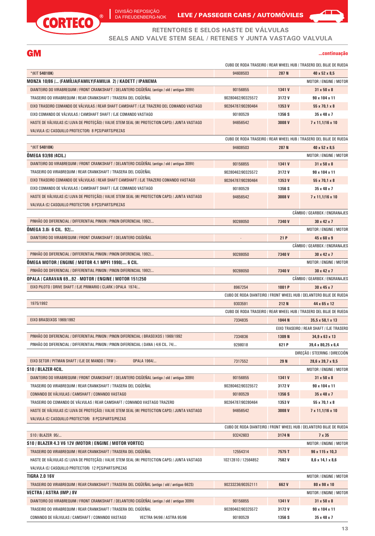

DIVISÃO REPOSIÇÃO DA FREUDENBERG-NOK

LEVE / PASSEGER CARS / AUTOMÓVILES

#### **GM**

#### **...continuação**

| RETENTORES E SELOS HASTE DE VALVULAS<br>SEALS AND VALVE STEM SEAL / RETENES Y JUNTA VASTAGO VALVULA |                   |        |                                                                    |
|-----------------------------------------------------------------------------------------------------|-------------------|--------|--------------------------------------------------------------------|
| GM                                                                                                  |                   |        | continuação                                                        |
|                                                                                                     |                   |        | CUBO DE RODA TRASEIRO / REAR WHEEL HUB / TRASERO DEL BUJE DE RUEDA |
| $*(KIT 54010K)$                                                                                     | 94608503          | 287 N  | 40 x 52 x 8,5                                                      |
| MONZA 10/86 / (FAMILIA/FAMILY/FAMILIA  2) / KADETT / IPANEMA                                        |                   |        | MOTOR / ENGINE / MOTOR                                             |
| DIANTEIRO DO VIRABREQUIM / FRONT CRANKSHAFT / DELANTERO CIGÜEÑAL (antigo / old / antiguo 309V)      | 90156855          | 1341 V | $31 \times 50 \times 8$                                            |
| TRASEIRO DO VIRABREQUIM / REAR CRANKSHAFT / TRASERA DEL CIGÜEÑAL                                    | 90280462/90325572 | 3172V  | 90 x 104 x 11                                                      |
| EIXO TRASEIRO COMANDO DE VÁLVULAS / REAR SHAFT CAMSHAFT / EJE TRAZERO DEL COMANDO VASTAGO           | 90264787/90280464 | 1353V  | 55 x 70,1 x 8                                                      |
| EIXO COMANDO DE VÁLVULAS / CAMSHAFT SHAFT / EJE COMANDO VASTAGO                                     | 90180529          | 1356 S | $35 \times 48 \times 7$                                            |
| HASTE DE VÁLVULAS (C/ LUVA DE PROTEÇÃO) / VALVE STEM SEAL (W/ PROTECTION CAPS) / JUNTA VASTAGO      | 94656542          | 3008V  | $7 \times 11,1/16 \times 10$                                       |
| VALVULA (C/ CASQUILLO PROTECTOR) 8 PCS/PARTS/PIEZAS                                                 |                   |        |                                                                    |
|                                                                                                     |                   |        | CUBO DE RODA TRASEIRO / REAR WHEEL HUB / TRASERO DEL BUJE DE RUEDA |
| $*(KIT 54010K)$                                                                                     | 94608503          | 287 N  | 40 x 52 x 8,5                                                      |
| OMEGA 93/98 (4CIL.)                                                                                 |                   |        | MOTOR / ENGINE / MOTOR                                             |
| DIANTEIRO DO VIRABREQUIM / FRONT CRANKSHAFT / DELANTERO CIGÜEÑAL (antigo / old / antiguo 309V)      | 90156855          | 1341 V | $31 \times 50 \times 8$                                            |
| TRASEIRO DO VIRABREQUIM / REAR CRANKSHAFT / TRASERA DEL CIGÜEÑAL                                    | 90280462/90325572 | 3172V  | 90 x 104 x 11                                                      |
| EIXO TRASEIRO COMANDO DE VÁLVULAS / REAR SHAFT CAMSHAFT / EJE TRAZERO COMANDO VASTAGO               | 90264787/90280464 | 1353 V | 55 x 70,1 x 8                                                      |
| EIXO COMANDO DE VÁLVULAS / CAMSHAFT SHAFT / EJE COMANDO VASTAGO                                     | 90180529          | 1356 S | 35 x 48 x 7                                                        |
| HASTE DE VÁLVULAS (C/ LUVA DE PROTECÃO) / VALVE STEM SEAL (W/ PROTECTION CAPS) / JUNTA VASTAGO      | 94656542          | 3008V  | $7 \times 11,1/16 \times 10$                                       |
| VALVULA (C/ CASQUILLO PROTECTOR) 8 PCS/PARTS/PIEZAS                                                 |                   |        |                                                                    |
|                                                                                                     |                   |        | CÂMBIO / GEARBOX / ENGRANAJES                                      |
| PINHÃO DO DIFERENCIAL / DIFFERENTIAL PINION / PINON DIFERENCIAL 1992/                               | 90288050          | 7340 V | $30 \times 42 \times 7$                                            |
| OMEGA 3.0i 6 CIL. 92/                                                                               |                   |        | <b>MOTOR / ENGINE / MOTOR</b>                                      |
| DIANTEIRO DO VIRABREQUIM / FRONT CRANKSHAFT / DELANTERO CIGÜEÑAL                                    |                   | 21 P   | 45 x 60 x 9                                                        |
|                                                                                                     |                   |        | CÂMBIO / GEARBOX / ENGRANAJES                                      |
| PINHÃO DO DIFERENCIAL / DIFFERENTIAL PINION / PINON DIFERENCIAL 1992/                               | 90288050          | 7340 V | $30 \times 42 \times 7$                                            |
| OMEGA MOTOR / ENGINE / MOTOR 4.1 MPFI 1990/ 6 CIL.                                                  |                   |        | MOTOR / ENGINE / MOTOR                                             |
| PINHAO DO DIFERENCIAL / DIFFERENTIAL PINION / PINON DIFERENCIAL 1992/                               | 90288050          | 7340V  | $30 \times 42 \times 7$                                            |
| OPALA / CARAVAN 6992 · MOTOR / ENGINE / MOTOR 151/250                                               |                   |        | CÂMBIO / GEARBOX / ENGRANAJES                                      |
| EIXO PILOTO / DRIVE SHAFT / EJE PRIMARIO ( CLARK ) OPALA 1974/                                      | 8967254           | 1001 P | $30 \times 45 \times 7$                                            |
|                                                                                                     |                   |        | CUBO DE RODA DIANTEIRO / FRONT WHEEL HUB / DELANTERO BUJE DE RUEDA |
| 1975/1992                                                                                           | 9303591           | 212 N  | 44 x 65 x 12                                                       |
|                                                                                                     |                   |        | CUBO DE RODA TRASEIRO / REAR WHEEL HUB / TRASERO DEL BUJE DE RUEDA |
| <b>EIXO BRASEIXOS 1969/1992</b>                                                                     | 7334835           | 1044 N | $35,5 \times 58,1 \times 13$                                       |
|                                                                                                     |                   |        | EIXO TRASEIRO / REAR SHAFT / EJE TRASERO                           |
| PINHÃO DO DIFERENCIAL / DIFFERENTIAL PINION / PINON DIFERENCIAL (BRASEIXOS ) 1969/1992              | 7334836           | 1309N  | $34,9 \times 63 \times 13$                                         |
| PINHÃO DO DIFERENCIAL / DIFFERENTIAL PINION / PINON DIFERENCIAL (DANA ) 4/6 CIL. 74/                | 9298018           | 621 P  | 39,4 x 80,25 x 6,4                                                 |
|                                                                                                     |                   |        | DIREÇÃO / STEERING / DIRECCIÓN                                     |
| EIXO SETOR / PITMAN SHAFT / EJE DE MANDO (TRW) -<br>OPALA 1964/                                     | 7317552           | 29 N   | 28,6 x 39,7 x 9,5                                                  |
| S10 / BLAZER 4CIL.                                                                                  |                   |        | MOTOR / ENGINE / MOTOR                                             |
| DIANTEIRO DO VIRABREQUIM / FRONT CRANKSHAFT / DELANTERO CIGÜEÑAL (antigo / old / antiguo 309V)      | 90156855          | 1341 V | $31 \times 50 \times 8$                                            |
| TRASEIRO DO VIRABREQUIM / REAR CRANKSHAFT / TRASERA DEL CIGÜEÑAL                                    | 90280462/90325572 | 3172V  | 90 x 104 x 11                                                      |
| COMANDO DE VÁLVULAS / CAMSHAFT / COMANDO VASTAGO                                                    | 90180529          | 1356 S | 35 x 48 x 7                                                        |

TRASEIRO DO COMANDO DE VÁLVULAS / REAR CAMSHAFT / COMANDO VASTAGO TRAZERO HASTE DE VÁLVULAS (C/ LUVA DE PROTEÇÃO) / VALVE STEM SEAL (W/ PROTECTION CAPS) / JUNTA VASTAGO VALVULA (C/ CASQUILLO PROTECTOR) 8 PÇS/PARTS/PIEZAS **1353 V 3008 V** 90264787/90280464 94656542 **55 x 70,1 x 8 7 x 11,1/16 x 10** CUBO DE RODA DIANTEIRO / FRONT WHEEL HUB / DELANTERO BUJE DE RUEDA S10 / BLAZER 95/... 93242603 **3174 N 7 x 35 S10 / BLAZER 4.3 V6 12V (MOTOR / ENGINE / MOTOR VORTEC) MOTOR / ENGINE / MOTOR / ENGINE / MOTOR / ENGINE / MOTOR** TRASEIRO DO VIRABREQUIM / REAR CRANKSHAFT / TRASERA DEL CIGÜEÑAL HASTE DE VÁLVULAS (C/ LUVA DE PROTEÇÃO) / VALVE STEM SEAL (W/ PROTECTION CAPS) / JUNTA VASTAGO VALVULA (C/ CASQUILLO PROTECTOR) 12 PÇS/PARTS/PIEZAS **7575 T 7582 V** 12554314 10212810 / 12564852 **96 x 115 x 10,3 8,6 x 14,1 x 8,6 TIGRA 2.0 16V** MOTOR / ENGINE / MOTOR TRASEIRO DO VIRABREQUIM / REAR CRANKSHAFT / TRASERA DEL CIGÜEÑAL (antigo / old / antiguo 662S) 90233236/90352111 **662 V 80 x 98 x 10 VECTRA / ASTRA (IMP.) 8V** MOTOR / ENGINE / MOTOR DIANTEIRO DO VIRABREQUIM / FRONT CRANKSHAFT / DELANTERO CIGÜEÑAL (antigo / old / antiguo 309V) TRASEIRO DO VIRABREQUIM / REAR CRANKSHAFT / TRASERA DEL CIGÜEÑAL COMANDO DE VÁLVULAS / CAMSHAFT / COMANDO VASTAGO VECTRA 94/96 / ASTRA 95/96 **1341 V 3172 V 1356 S** 90156855 90280462/90325572 90180529 **31 x 50 x 8 90 x 104 x 11 35 x 48 x 7**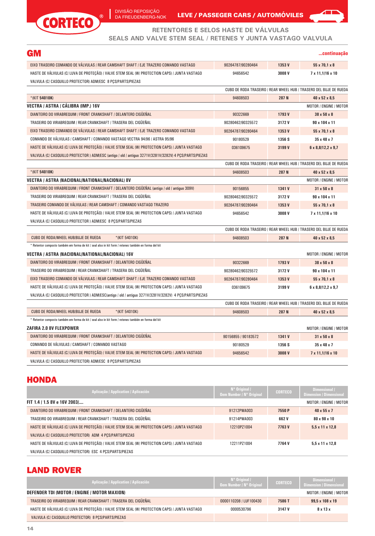

DA FREUDENBERG-NOK LEVE / PASSEGER CARS / AUTOMOVILES



#### **RETENTORES E SELOS HASTE DE VÁLVULAS**

**SEALS AND VALVE STEM SEAL / RETENES Y JUNTA VASTAGO VALVULA**

| <b>GM</b>                                                                                               |                     |        | continuacão                                                        |
|---------------------------------------------------------------------------------------------------------|---------------------|--------|--------------------------------------------------------------------|
| EIXO TRASEIRO COMANDO DE VÁLVULAS / REAR CAMSHAFT SHAFT / EJE TRAZERO COMANDO VASTAGO                   | 90264787/90280464   | 1353V  | $55 \times 70,1 \times 8$                                          |
| HASTE DE VÁLVULAS (C/ LUVA DE PROTEÇÃO) / VALVE STEM SEAL (W/ PROTECTION CAPS) / JUNTA VASTAGO          | 94656542            | 3008V  | $7 \times 11,1/16 \times 10$                                       |
| VALVULA (C/ CASQUILLO PROTECTOR) ADM/ESC 8 PCS/PARTS/PIEZAS                                             |                     |        |                                                                    |
|                                                                                                         |                     |        | CUBO DE RODA TRASEIRO / REAR WHEEL HUB / TRASERO DEL BUJE DE RUEDA |
| $*(KIT 54010K)$                                                                                         | 94608503            | 287 N  | 40 x 52 x 8,5                                                      |
| VECTRA / ASTRA / CALIBRA (IMP.) 16V                                                                     |                     |        | MOTOR / ENGINE / MOTOR                                             |
| DIANTEIRO DO VIRABREQUIM / FRONT CRANKSHAFT / DELANTERO CIGUENAL                                        | 90322669            | 1793 V | 38 x 50 x 8                                                        |
| TRASEIRO DO VIRABREQUIM / REAR CRANKSHAFT / TRASERA DEL CIGÜEÑAL                                        | 90280462/90325572   | 3172V  | 90 x 104 x 11                                                      |
| EIXO TRASEIRO COMANDO DE VÁLVULAS / REAR CAMSHAFT SHAFT / EJE TRAZERO COMANDO VASTAGO                   | 90264787/90280464   | 1353 V | $55 \times 70,1 \times 8$                                          |
| COMANDO DE VÁLVULAS / CAMSHAFT / COMANDO VASTAGO VECTRA 94/96 / ASTRA 95/96                             | 90180529            | 1356 S | 35 x 48 x 7                                                        |
| HASTE DE VÁLVULAS (C/ LUVA DE PROTEÇÃO) / VALVE STEM SEAL (W/ PROTECTION CAPS) / JUNTA VASTAGO          | 036109675           | 3199 V | $6 \times 8,8/12,2 \times 9,7$                                     |
| VALVULA (C/ CASQUILLO PROTECTOR ) ADM/ESC (antigo / old / antiguo 3271V/3281V/3282V) 4 PCS/PARTS/PIEZAS |                     |        |                                                                    |
|                                                                                                         |                     |        | CUBO DE RODA TRASEIRO / REAR WHEEL HUB / TRASERO DEL BUJE DE RUEDA |
| *(KIT 54010K)                                                                                           | 94608503            | 287 N  | 40 x 52 x 8,5                                                      |
| VECTRA / ASTRA (NACIONAL/NATIONAL/NACIONAL) 8V                                                          |                     |        | MOTOR / ENGINE / MOTOR                                             |
| DIANTEIRO DO VIRABREQUIM / FRONT CRANKSHAFT / DELANTERO CIGÜEÑAL (antigo / old / antiguo 309V)          | 90156855            | 1341 V | $31 \times 50 \times 8$                                            |
| TRASEIRO DO VIRABREQUIM / REAR CRANKSHAFT / TRASERA DEL CIGÜEÑAL                                        | 90280462/90325572   | 3172V  | 90 x 104 x 11                                                      |
| TRASEIRO COMANDO DE VÁLVULAS / REAR CAMSHAFT / COMANDO VASTAGO TRAZERO                                  | 90264787/90280464   | 1353V  | $55 \times 70,1 \times 8$                                          |
| HASTE DE VÁLVULAS (C/ LUVA DE PROTEÇÃO) / VALVE STEM SEAL (W/ PROTECTION CAPS) / JUNTA VASTAGO          | 94656542            | 3008V  | $7 \times 11,1/16 \times 10$                                       |
| VALVULA (C/ CASQUILLO PROTECTOR ) ADM/ESC 8 PCS/PARTS/PIEZAS                                            |                     |        |                                                                    |
|                                                                                                         |                     |        | CUBO DE RODA TRASEIRO / REAR WHEEL HUB / TRASERO DEL BUJE DE RUEDA |
| CUBO DE RODA/WHEEL HUB/BUJE DE RUEDA<br>$*(KIT 54010K)$                                                 | 94608503            | 287 N  | 40 x 52 x 8,5                                                      |
| * Retentor composto também em forma de kit / seal also in kit form / retenes también en forma del kit   |                     |        |                                                                    |
| VECTRA / ASTRA (NACIONAL/NATIONAL/NACIONAL) 16V                                                         |                     |        | MOTOR / ENGINE / MOTOR                                             |
| DIANTEIRO DO VIRABREQUIM / FRONT CRANKSHAFT / DELANTERO CIGÜEÑAL                                        | 90322669            | 1793V  | 38 x 50 x 8                                                        |
| TRASEIRO DO VIRABREQUIM / REAR CRANKSHAFT / TRASERA DEL CIGÜEÑAL                                        | 90280462/90325572   | 3172V  | 90 x 104 x 11                                                      |
| EIXO TRASEIRO COMANDO DE VALVULAS / REAR CAMSHAFT SHAFT / EJE TRAZERO COMANDO VASTAGO                   | 90264787/90280464   | 1353 V | $55 \times 70,1 \times 8$                                          |
| HASTE DE VÁLVULAS (C/ LUVA DE PROTEÇÃO) / VALVE STEM SEAL (W/ PROTECTION CAPS) / JUNTA VASTAGO          | 036109675           | 3199 V | $6 \times 8,8$ /12,2 $\times$ 9,7                                  |
| VALVULA (C/ CASQUILLO PROTECTOR ) ADM/ESC(antigo / old / antiguo 3271V/3281V/3282V) 4 PCS/PARTS/PIEZAS  |                     |        |                                                                    |
|                                                                                                         |                     |        | CUBO DE RODA TRASEIRO / REAR WHEEL HUB / TRASERO DEL BUJE DE RUEDA |
| CUBO DE RODA/WHEEL HUB/BUJE DE RUEDA<br>$*(KIT 54010K)$                                                 | 94608503            | 287 N  | 40 x 52 x 8,5                                                      |
| * Retentor composto também em forma de kit / seal also in kit form / retenes también en forma del kit   |                     |        |                                                                    |
| <b>ZAFIRA 2.0 8V FLEXPOWER</b>                                                                          |                     |        | MOTOR / ENGINE / MOTOR                                             |
| DIANTEIRO DO VIRABREQUIM / FRONT CRANKSHAFT / DELANTERO CIGÜEÑAL                                        | 90156855 / 90183572 | 1341 V | $31 \times 50 \times 8$                                            |
| COMANDO DE VÁLVULAS / CAMSHAFT / COMANDO VASTAGO                                                        | 90180529            | 1356 S | 35 x 48 x 7                                                        |
| HASTE DE VÁLVULAS (C/ LUVA DE PROTEÇÃO) / VALVE STEM SEAL (W/ PROTECTION CAPS) / JUNTA VASTAGO          | 94656542            | 3008V  | 7 x 11,1/16 x 10                                                   |
| VALVULA (C/ CASQUILLO PROTECTOR) ADM/ESC 8 PCS/PARTS/PIEZAS                                             |                     |        |                                                                    |
|                                                                                                         |                     |        |                                                                    |
| <b>HONDA</b>                                                                                            |                     |        |                                                                    |
|                                                                                                         | N° Original /       |        | <b>Dimensional /</b>                                               |

| Aplicação / Application / Aplicación                                                           | $N^{\circ}$ Original /<br>Oem Number / N° Original | <b>CORTECO</b> | Dimensional /<br><b>Dimension / Dimensional</b> |
|------------------------------------------------------------------------------------------------|----------------------------------------------------|----------------|-------------------------------------------------|
| FIT 1.4 / 1.5 8V e 16V 2003/                                                                   |                                                    |                | MOTOR / ENGINE / MOTOR                          |
| DIANTEIRO DO VIRABREQUIM / FRONT CRANKSHAFT / DELANTERO CIGÜEÑAL                               | 91212PWA003                                        | 7550 P         | $40 \times 55 \times 7$                         |
| TRASEIRO DO VIRABREQUIM / REAR CRANKSHAFT / TRASERA DEL CIGÜEÑAL                               | 91214PWA003                                        | 662 V          | 80 x 98 x 10                                    |
| HASTE DE VÁLVULAS (C/ LUVA DE PROTECÃO) / VALVE STEM SEAL (W/ PROTECTION CAPS) / JUNTA VASTAGO | 12210PZ1004                                        | 7763V          | $5.5 \times 11 \times 12.8$                     |
| VALVULA (C/ CASQUILLO PROTECTOR) ADM 4 PCS/PARTS/PIEZAS                                        |                                                    |                |                                                 |
| HASTE DE VÁLVULAS (C/ LUVA DE PROTECÃO) / VALVE STEM SEAL (W/ PROTECTION CAPS) / JUNTA VASTAGO | 12211PZ1004                                        | 7764 V         | $5.5 \times 11 \times 12.8$                     |
| VALVULA (C/ CASQUILLO PROTECTOR) ESC 4 PCS/PARTS/PIEZAS                                        |                                                    |                |                                                 |

#### LAND ROVER

| Aplicação / Application / Aplicación                                                           | $N^{\circ}$ Original /<br><b>Oem Number / N° Original</b> | <b>CORTECO</b> | Dimensional /<br><b>Dimension / Dimensional</b> |
|------------------------------------------------------------------------------------------------|-----------------------------------------------------------|----------------|-------------------------------------------------|
| DEFENDER TDI (MOTOR / ENGINE / MOTOR MAXION)                                                   |                                                           |                | MOTOR / ENGINE / MOTOR                          |
| TRASEIRO DO VIRABREQUIM / REAR CRANKSHAFT / TRASERA DEL CIGÜEÑAL                               | 0000110208 / LUF100430                                    | 7586T          | $99.5 \times 108 \times 19$                     |
| HASTE DE VÁLVULAS (C/ LUVA DE PROTECÃO) / VALVE STEM SEAL (W/ PROTECTION CAPS) / JUNTA VASTAGO | 0000530796                                                | 3147 V         | 8 x 13 x                                        |
| VALVULA (C/ CASQUILLO PROTECTOR) 8 PCS/PARTS/PIEZAS                                            |                                                           |                |                                                 |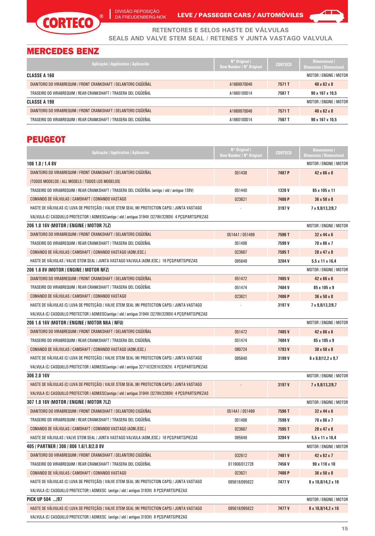

Ī

DA FREUDENBERG-NOK LEVE / PASSEGER CARS / AUTOMOVILES



**RETENTORES E SELOS HASTE DE VÁLVULAS SEALS AND VALVE STEM SEAL / RETENES Y JUNTA VASTAGO VALVULA**

# MERCEDES BENZ

| Aplicação / Application / Aplicación                             | $N^{\circ}$ Original /<br>Oem Number / N° Original | <b>CORTECO</b> | Dimensional /<br><b>Dimension / Dimensional</b> |
|------------------------------------------------------------------|----------------------------------------------------|----------------|-------------------------------------------------|
| CLASSE A 160                                                     |                                                    |                | MOTOR / ENGINE / MOTOR                          |
| DIANTEIRO DO VIRABREQUIM / FRONT CRANKSHAFT / DELANTERO CIGÜEÑAL | A1669970046                                        | 7571 T         | $40 \times 62 \times 8$                         |
| TRASEIRO DO VIRABREQUIM / REAR CRANKSHAFT / TRASERA DEL CIGÜEÑAL | A1660100014                                        | 7587 T         | $90 \times 167 \times 10.5$                     |
| CLASSE A 190                                                     |                                                    |                | MOTOR / ENGINE / MOTOR                          |
| DIANTEIRO DO VIRABREQUIM / FRONT CRANKSHAFT / DELANTERO CIGÜEÑAL | A1669970046                                        | 7571 T         | $40 \times 62 \times 8$                         |
| TRASEIRO DO VIRABREQUIM / REAR CRANKSHAFT / TRASERA DEL CIGÜEÑAL | A1660100014                                        | 7587 T         | $90 \times 167 \times 10.5$                     |

# **PEUGEOT**

| Aplicação / Application / Aplicación                                                                    | N° Original /<br>Oem Number / N° Original | <b>CORTECO</b> | <b>Dimensional /</b><br><b>Dimension / Dimensional</b> |
|---------------------------------------------------------------------------------------------------------|-------------------------------------------|----------------|--------------------------------------------------------|
| 106 1.0 / 1.4 8V                                                                                        |                                           |                | MOTOR / ENGINE / MOTOR                                 |
| DIANTEIRO DO VIRABREQUIM / FRONT CRANKSHAFT / DELANTERO CIGÜEÑAL                                        | 051438                                    | 7487 P         | 42 x 66 x 8                                            |
| (TODOS MODELOS / ALL MODELS / TODOS LOS MODELOS)                                                        |                                           |                |                                                        |
| TRASEIRO DO VIRABREQUIM / REAR CRANKSHAFT / TRASERA DEL CIGÜEÑAL (antigo / old / antiguo 138V)          | 051440                                    | 1326 V         | 85 x 105 x 11                                          |
| COMANDO DE VÁLVULAS / CAMSHAFT / COMANDO VASTAGO                                                        | 023621                                    | 7486 P         | 36 x 50 x 8                                            |
| HASTE DE VÁLVULAS (C/ LUVA DE PROTEÇÃO) / VALVE STEM SEAL (W/ PROTECTION CAPS) / JUNTA VASTAGO          |                                           | 3197 V         | 7 x 9,8/13,2/9,7                                       |
| VALVULA (C/ CASQUILLO PROTECTOR ) ADM/ESC(antigo / old / antiguo 3194V /3279V/3280V) 4 PCS/PARTS/PIEZAS |                                           |                |                                                        |
| 206 1.0 16V (MOTOR / ENGINE / MOTOR 7LZ)                                                                |                                           |                | MOTOR / ENGINE / MOTOR                                 |
| DIANTEIRO DO VIRABREQUIM / FRONT CRANKSHAFT / DELANTERO CIGÜEÑAL                                        | 0514A1 / 051499                           | 7596 T         | 32 x 44 x 6                                            |
| TRASEIRO DO VIRABREQUIM / REAR CRANKSHAFT / TRASERA DEL CIGÜEÑAL                                        | 051498                                    | 7598V          | 70 x 86 x 7                                            |
| COMANDO DE VÁLVULAS / CAMSHAFT / COMANDO VASTAGO (ADM./ESC.)                                            | 023667                                    | 7595T          | 28 x 47 x 8                                            |
| HASTE DE VÁLVULAS / VALVE STEM SEAL / JUNTA VASTAGO VALVULA (ADM./ESC.) 16 PÇS/PARTS/PIEZAS             | 095649                                    | 3284V          | $5.5 \times 11 \times 16.4$                            |
| 206 1.6 8V (MOTOR / ENGINE / MOTOR NFZ)                                                                 |                                           |                | MOTOR / ENGINE / MOTOR                                 |
| DIANTEIRO DO VIRABREQUIM / FRONT CRANKSHAFT / DELANTERO CIGÜEÑAL                                        | 051472                                    | 7485V          | 42 x 66 x 6                                            |
| TRASEIRO DO VIRABREQUIM / REAR CRANKSHAFT / TRASERA DEL CIGÜEÑAL                                        | 051474                                    | 7484V          | 85 x 105 x 9                                           |
| COMANDO DE VÁLVULAS / CAMSHAFT / COMANDO VASTAGO                                                        | 023621                                    | 7486 P         | $36 \times 50 \times 8$                                |
| HASTE DE VÁLVULAS (C/ LUVA DE PROTEÇÃO) / VALVE STEM SEAL (W/ PROTECTION CAPS) / JUNTA VASTAGO          |                                           | 3197 V         | 7 x 9,8/13,2/9,7                                       |
| VALVULA (C/ CASQUILLO PROTECTOR ) ADM/ESC(antigo / old / antiguo 3194V /3279V/3280V) 4 PCS/PARTS/PIEZAS |                                           |                |                                                        |
| 206 1.6 16V (MOTOR / ENGINE / MOTOR N6A / NFU)                                                          |                                           |                | MOTOR / ENGINE / MOTOR                                 |
| DIANTEIRO DO VIRABREQUIM / FRONT CRANKSHAFT / DELANTERO CIGÜEÑAL                                        | 051472                                    | 7485V          | 42 x 66 x 6                                            |
| TRASEIRO DO VIRABREQUIM / REAR CRANKSHAFT / TRASERA DEL CIGÜEÑAL                                        | 051474                                    | 7484V          | 85 x 105 x 9                                           |
| COMANDO DE VÁLVULAS / CAMSHAFT / COMANDO VASTAGO (ADM./ESC.)                                            | 080724                                    | 1793V          | 38 x 50 x 8                                            |
| HASTE DE VÁLVULAS (C/ LUVA DE PROTEÇÃO) / VALVE STEM SEAL (W/ PROTECTION CAPS) / JUNTA VASTAGO          | 095640                                    | 3199 V         | $6 \times 8,8/12,2 \times 9,7$                         |
| VALVULA (C/ CASQUILLO PROTECTOR ) ADM/ESC(antigo / old / antiguo 3271V/3281V/3282V) 4 PCS/PARTS/PIEZAS  |                                           |                |                                                        |
| 306 2.0 16V                                                                                             |                                           |                | MOTOR / ENGINE / MOTOR                                 |
| HASTE DE VÁLVULAS (C/ LUVA DE PROTEÇÃO) / VALVE STEM SEAL (W/ PROTECTION CAPS) / JUNTA VASTAGO          |                                           | 3197 V         | 7 x 9,8/13,2/9,7                                       |
| VALVULA (C/ CASQUILLO PROTECTOR ) ADM/ESC(antigo / old / antiguo 3194V /3279V/3280V) 4 PCS/PARTS/PIEZAS |                                           |                |                                                        |
| 307 1.0 16V (MOTOR / ENGINE / MOTOR 7LZ)                                                                |                                           |                | MOTOR / ENGINE / MOTOR                                 |
| DIANTEIRO DO VIRABREQUIM / FRONT CRANKSHAFT / DELANTERO CIGÜEÑAL                                        | 0514A1 / 051499                           | 7596 T         | 32 x 44 x 6                                            |
| TRASEIRO DO VIRABREQUIM / REAR CRANKSHAFT / TRASERA DEL CIGÜEÑAL                                        | 051498                                    | 7598V          | 70 x 86 x 7                                            |
| COMANDO DE VÁLVULAS / CAMSHAFT / COMANDO VASTAGO (ADM./ESC.)                                            | 023667                                    | 7595 T         | 28 x 47 x 8                                            |
| HASTE DE VALVULAS / VALVE STEM SEAL / JUNTA VASTAGO VALVULA (ADM./ESC.) 16 PCS/PARTS/PIEZAS             | 095649                                    | 3284V          | $5,5 \times 11 \times 16,4$                            |
| 405 / PARTNER / 306 / 806 1.6/1.8/2.0 8V                                                                |                                           |                | MOTOR / ENGINE / MOTOR                                 |
| DIANTEIRO DO VIRABREQUIM / FRONT CRANKSHAFT / DELANTERO CIGÜEÑAL                                        | 032612                                    | 7481V          | 42 x 62 x 7                                            |
| TRASEIRO DO VIRABREQUIM / REAR CRANKSHAFT / TRASERA DEL CIGÜEÑAL                                        | 011906/012728                             | 7456V          | 90 x 110 x 10                                          |
| COMANDO DE VÁLVULAS / CAMSHAFT / COMANDO VASTAGO                                                        | 023621                                    | 7486 P         | 36 x 50 x 8                                            |
| HASTE DE VÁLVULAS (C/ LUVA DE PROTEÇÃO) / VALVE STEM SEAL (W/ PROTECTION CAPS) / JUNTA VASTAGO          | 095618/095622                             | 7477 V         | 8 x 10,8/14,2 x 10                                     |
| VALVULA (C/ CASQUILLO PROTECTOR ) ADM/ESC (antigo / old / antiguo 3193V) 8 PCS/PARTS/PIEZAS             |                                           |                |                                                        |
| PICK UP 504  /97                                                                                        |                                           |                | MOTOR / ENGINE / MOTOR                                 |
| HASTE DE VÁLVULAS (C/ LUVA DE PROTEÇÃO) / VALVE STEM SEAL (W/ PROTECTION CAPS) / JUNTA VASTAGO          | 095618/095622                             | 7477 V         | 8 x 10,8/14,2 x 10                                     |
| VALVULA (C/ CASQUILLO PROTECTOR ) ADM/ESC (antigo / old / antiguo 3193V) 8 PCS/PARTS/PIEZAS             |                                           |                |                                                        |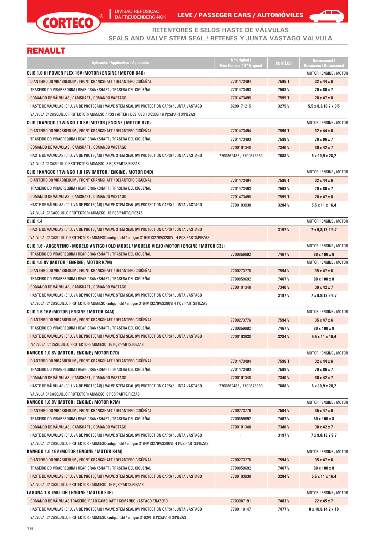



**RETENTORES E SELOS HASTE DE VÁLVULAS SEALS AND VALVE STEM SEAL / RETENES Y JUNTA VASTAGO VALVULA**

# RENAULT

| Aplicação / Application / Aplicación                                                                             | N° Original /<br><b>Oem Number / N° Original</b> | <b>CORTECO</b>  | Dimensional /<br><b>Dimension / Dimensional</b> |
|------------------------------------------------------------------------------------------------------------------|--------------------------------------------------|-----------------|-------------------------------------------------|
| CLIO 1.0 HI POWER FLEX 16V (MOTOR / ENGINE / MOTOR D4D)                                                          |                                                  |                 | MOTOR / ENGINE / MOTOR                          |
| DIANTEIRO DO VIRABREQUIM / FRONT CRANKSHAFT / DELANTERO CIGÜEÑAL                                                 | 7701473494                                       | 7596 T          | 32 x 44 x 6                                     |
| TRASEIRO DO VIRABREQUIM / REAR CRANKSHAFT / TRASERA DEL CIGÜEÑAL                                                 | 7701473493                                       | 7598V           | 70 x 86 x 7                                     |
| COMANDO DE VÁLVULAS / CAMSHAFT / COMANDO VASTAGO                                                                 | 7701473495                                       | 7595T           | 28 x 47 x 8                                     |
| HASTE DE VÁLVULAS (C/ LUVA DE PROTEÇÃO) / VALVE STEM SEAL (W/ PROTECTION CAPS) / JUNTA VASTAGO                   | 8200171215                                       | 3275V           | $5,5 \times 8,3/10,7 \times 8/5$                |
| VALVULA C/ CASQUILLO PROTECTOR) ADM/ESC APÓS / AFTER / DESPUES 10/2005 16 PCS/PARTS/PIEZAS                       |                                                  |                 |                                                 |
| CLIO / KANGOO / TWINGO 1.0 8V (MOTOR / ENGINE / MOTOR D7D)                                                       |                                                  |                 | <b>MOTOR / ENGINE / MOTOR</b>                   |
| DIANTEIRO DO VIRABREQUIM / FRONT CRANKSHAFT / DELANTERO CIGÜEÑAL                                                 | 7701473494                                       | 7596T           | 32 x 44 x 6                                     |
| TRASEIRO DO VIRABREQUIM / REAR CRANKSHAFT / TRASERA DEL CIGÜEÑAL                                                 | 7701473493                                       | 7598V           | 70 x 86 x 7                                     |
| COMANDO DE VÁLVULAS / CAMSHAFT / COMANDO VASTAGO                                                                 | 7700101348                                       | 7340V           | $30 \times 42 \times 7$                         |
| HASTE DE VÁLVULAS (C/ LUVA DE PROTECÃO) / VALVE STEM SEAL (W/ PROTECTION CAPS) / JUNTA VASTAGO                   | 7700862483 / 7700875389                          | 7688V           | $6 \times 10,9 \times 28,2$                     |
| VALVULA C/ CASQUILLO PROTECTOR) ADM/ESC 8 PCS/PARTS/PIEZAS                                                       |                                                  |                 |                                                 |
| CLIO / KANGOO / TWINGO 1.0 16V (MOTOR / ENGINE / MOTOR D4D)                                                      |                                                  |                 | MOTOR / ENGINE / MOTOR                          |
| DIANTEIRO DO VIRABREQUIM / FRONT CRANKSHAFT / DELANTERO CIGÜEÑAL                                                 | 7701473494                                       | 7596T           | $32 \times 44 \times 6$                         |
| TRASEIRO DO VIRABREQUIM / REAR CRANKSHAFT / TRASERA DEL CIGÜEÑAL                                                 | 7701473493                                       | 7598V           | 70 x 86 x 7                                     |
| COMANDO DE VÁLVULAS / CAMSHAFT / COMANDO VASTAGO                                                                 | 7701473495                                       | 7595T           | 28 x 47 x 8                                     |
| HASTE DE VÁLVULAS (C/ LUVA DE PROTEÇÃO) / VALVE STEM SEAL (W/ PROTECTION CAPS) / JUNTA VASTAGO                   | 7700103938                                       | 3284V           | $5.5 \times 11 \times 16.4$                     |
| VALVULA (C/ CASQUILLO PROTECTOR) ADM/ESC 16 PCS/PARTS/PIEZAS                                                     |                                                  |                 |                                                 |
| <b>CLIO 1.4</b>                                                                                                  |                                                  |                 | MOTOR / ENGINE / MOTOR                          |
| HASTE DE VÁLVULAS (C/ LUVA DE PROTEÇÃO) / VALVE STEM SEAL (W/ PROTECTION CAPS) / JUNTA VASTAGO                   |                                                  | 3197 V          | 7 x 9,8/13,2/9,7                                |
| VALVULA (C/ CASQUILLO PROTECTOR ) ADM/ESC (antigo / old / antiguo 3194V /3279V/3280V 4 PCS/PARTS/PIEZAS          |                                                  |                 |                                                 |
| CLIO 1.6 - ARGENTINO - MODELO ANTIGO / OLD MODEL / MODELO VIEJO (MOTOR / ENGINE / MOTOR C3L)                     |                                                  |                 | <b>MOTOR / ENGINE / MOTOR</b>                   |
| TRASEIRO DO VIRABREQUIM / REAR CRANKSHAFT / TRASERA DEL CIGUENAL                                                 | 7700859692                                       | 7467V           | 80 x 100 x 8                                    |
| CLIO 1.6 8V (MOTOR / ENGINE / MOTOR K7M)                                                                         |                                                  |                 | <b>MOTOR / ENGINE / MOTOR</b>                   |
| DIANTEIRO DO VIRABREQUIM / FRONT CRANKSHAFT / DELANTERO CIGÜEÑAL                                                 | 7700273776                                       | 7594V           | $35 \times 47 \times 6$                         |
| TRASEIRO DO VIRABREQUIM / REAR CRANKSHAFT / TRASERA DEL CIGÜEÑAL                                                 | 7700859692                                       | 7467V           | 80 x 100 x 8                                    |
| COMANDO DE VÁLVULAS / CAMSHAFT / COMANDO VASTAGO                                                                 | 7700101348                                       | 7340V           | $30 \times 42 \times 7$                         |
| HASTE DE VÁLVULAS (C/ LUVA DE PROTEÇÃO) / VALVE STEM SEAL (W/ PROTECTION CAPS) / JUNTA VASTAGO                   |                                                  | 3197 V          | 7 x 9,8/13,2/9,7                                |
| VALVULA (C/ CASQUILLO PROTECTOR) ADM/ESC (antigo / old / antiguo 3194V /3279V/3280V) 4 PCS/PARTS/PIEZAS          |                                                  |                 |                                                 |
| CLIO 1.6 16V (MOTOR / ENGINE / MOTOR K4M)                                                                        |                                                  |                 | MOTOR / ENGINE / MOTOR                          |
| DIANTEIRO DO VIRABREQUIM / FRONT CRANKSHAFT / DELANTERO CIGÜEÑAL                                                 | 7700273776                                       | 7594V           | $35 \times 47 \times 6$                         |
| TRASEIRO DO VIRABREQUIM / REAR CRANKSHAFT / TRASERA DEL CIGÜEÑAL                                                 | 7700859692                                       | 7467 V          | 80 x 100 x 8                                    |
| HASTE DE VÁLVULAS (C/ LUVA DE PROTECÃO) / VALVE STEM SEAL (W/ PROTECTION CAPS) / JUNTA VASTAGO                   | 7700103938                                       | 3284V           | $5,5 \times 11 \times 16,4$                     |
| VALVULA (C/ CASQUILLO PROTECTOR) ADM/ESC 16 PCS/PARTS/PIEZAS                                                     |                                                  |                 |                                                 |
| KANGOO 1.0 8V (MOTOR / ENGINE / MOTOR D7D)                                                                       |                                                  |                 | MOTOR / ENGINE / MOTOR                          |
| DIANTEIRO DO VIRABREQUIM / FRONT CRANKSHAFT / DELANTERO CIGÜEÑAL                                                 | 7701473494                                       | 7596T           | $32 \times 44 \times 6$                         |
| TRASEIRO DO VIRABREQUIM / REAR CRANKSHAFT / TRASERA DEL CIGÜEÑAL                                                 | 7701473493                                       | 7598V           | 70 x 86 x 7                                     |
| COMANDO DE VÁLVULAS / CAMSHAFT / COMANDO VASTAGO                                                                 | 7700101348                                       | 7340V           | 30 x 42 x 7                                     |
| HASTE DE VÁLVULAS (C/ LUVA DE PROTEÇÃO) / VALVE STEM SEAL (W/ PROTECTION CAPS) / JUNTA VASTAGO                   | 7700862483   7700875389                          | 7688V           | $6 \times 10,9 \times 28,2$                     |
| VALVULA C/ CASQUILLO PROTECTOR) ADM/ESC 8 PCS/PARTS/PIEZAS                                                       |                                                  |                 |                                                 |
| KANGOO 1.6 8V (MOTOR / ENGINE / MOTOR K7M)                                                                       |                                                  |                 | MOTOR / ENGINE / MOTOR                          |
| DIANTEIRO DO VIRABREQUIM / FRONT CRANKSHAFT / DELANTERO CIGÜEÑAL                                                 | 7700273776                                       | 7594V           | $35 \times 47 \times 6$                         |
| TRASEIRO DO VIRABREQUIM / REAR CRANKSHAFT / TRASERA DEL CIGÜEÑAL                                                 | 7700859692                                       | 7467V           | 80 x 100 x 8                                    |
| COMANDO DE VÁLVULAS / CAMSHAFT / COMANDO VASTAGO                                                                 | 7700101348                                       | 7340V           | $30 \times 42 \times 7$                         |
| HASTE DE VÁLVULAS (C/ LUVA DE PROTEÇÃO) / VALVE STEM SEAL (W/ PROTECTION CAPS) / JUNTA VASTAGO                   |                                                  | 3197 V          | 7 x 9,8/13,2/9,7                                |
| VALVULA (C/ CASQUILLO PROTECTOR ) ADM/ESC(antigo / old / antiguo 3194V /3279V/3280V) 4 PCS/PARTS/PIEZAS          |                                                  |                 |                                                 |
| KANGOO 1.6 16V (MOTOR / ENGINE / MOTOR K4M)                                                                      |                                                  |                 | MOTOR / ENGINE / MOTOR                          |
| DIANTEIRO DO VIRABREQUIM / FRONT CRANKSHAFT / DELANTERO CIGÜEÑAL                                                 | 7700273776                                       | 7594V           | $35 \times 47 \times 6$                         |
| TRASEIRO DO VIRABREQUIM / REAR CRANKSHAFT / TRASERA DEL CIGÜEÑAL                                                 | 7700859692                                       | 7467 V          | 80 x 100 x 8                                    |
| HASTE DE VÁLVULAS (C/ LUVA DE PROTEÇÃO) / VALVE STEM SEAL (W/ PROTECTION CAPS) / JUNTA VASTAGO                   | 7700103938                                       | 3284V           | $5,5 \times 11 \times 16,4$                     |
| VALVULA (C/ CASQUILLO PROTECTOR ) ADM/ESC 16 PCS/PARTS/PIEZAS                                                    |                                                  |                 |                                                 |
| LAGUNA 1.8 (MOTOR / ENGINE / MOTOR F3P)<br>COMANDO DE VÁLVULAS TRASEIRO/ REAR CAMSHAFT / COMANDO VASTAGO TRAZERO |                                                  |                 | MOTOR / ENGINE / MOTOR                          |
| HASTE DE VÁLVULAS (C/ LUVA DE PROTEÇÃO) / VALVE STEM SEAL (W/ PROTECTION CAPS) / JUNTA VASTAGO                   | 7703087191<br>7700110147                         | 7483V<br>7477 V | 22 x 45 x 7<br>8 x 10,8/14,2 x 10               |
| VALVULA (C/ CASQUILLO PROTECTOR ) ADM/ESC (antigo / old / antiguo 3193V) 8 PCS/PARTS/PIEZAS                      |                                                  |                 |                                                 |
|                                                                                                                  |                                                  |                 |                                                 |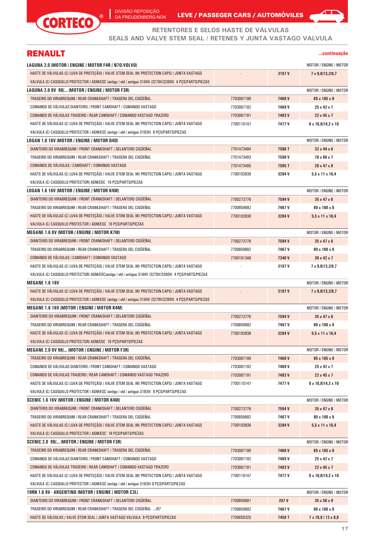

DA FREUDENBERG-NOK LEVE / PASSEGER CARS / AUTOMOVILES



#### **RETENTORES E SELOS HASTE DE VÁLVULAS**

**SEALS AND VALVE STEM SEAL / RETENES Y JUNTA VASTAGO VALVULA**

### RENAULT

| continuacao |  |
|-------------|--|
|             |  |

| LAGUNA 2.0 (MOTOR / ENGINE / MOTOR F4R / N7Q-VOLVO)                                                      |            |        | MOTOR / ENGINE / MOTOR        |
|----------------------------------------------------------------------------------------------------------|------------|--------|-------------------------------|
| HASTE DE VÁLVULAS (C/ LUVA DE PROTEÇÃO) / VALVE STEM SEAL (W/ PROTECTION CAPS) / JUNTA VASTAGO           |            | 3197 V | 7 x 9,8/13,2/9,7              |
| VALVULA (C/ CASQUILLO PROTECTOR ) ADM/ESC (antigo / old / antiguo 3194V /3279V/3280V) 4 PCS/PARTS/PIEZAS |            |        |                               |
| LAGUNA 2.0 8V  98/ (MOTOR / ENGINE / MOTOR F3R)                                                          |            |        | MOTOR / ENGINE / MOTOR        |
| TRASEIRO DO VIRABREQUIM / REAR CRANKSHAFT / TRASERA DEL CIGÜEÑAL                                         | 7703087190 | 7468V  | 85 x 105 x 8                  |
| COMANDO DE VÁLVULAS DIANTEIRO / FRONT CAMSHAFT / COMANDO VASTAGO                                         | 7703087192 | 7469 V | $25 \times 42 \times 7$       |
| COMANDO DE VÁLVULAS TRASEIRO / REAR CAMSHAFT / COMANDO VASTAGO TRAZERO                                   | 7703087191 | 7483V  | 22x45x7                       |
| HASTE DE VÁLVULAS (C/ LUVA DE PROTEÇÃO) / VALVE STEM SEAL (W/ PROTECTION CAPS) / JUNTA VASTAGO           | 7700110147 | 7477 V | 8 x 10,8/14,2 x 10            |
| VALVULA (C/ CASQUILLO PROTECTOR ) ADM/ESC (antigo / old / antiguo 3193V) 8 PCS/PARTS/PIEZAS              |            |        |                               |
| LOGAN 1.0 16V (MOTOR / ENGINE / MOTOR D4D)                                                               |            |        | MOTOR / ENGINE / MOTOR        |
| DIANTEIRO DO VIRABREQUIM / FRONT CRANKSHAFT / DELANTERO CIGÜEÑAL                                         | 7701473494 | 7596 T | $32 \times 44 \times 6$       |
| TRASEIRO DO VIRABREQUIM / REAR CRANKSHAFT / TRASERA DEL CIGÜEÑAL                                         | 7701473493 | 7598V  | 70 x 86 x 7                   |
| COMANDO DE VALVULAS / CAMSHAFT / COMANDO VASTAGO                                                         | 7701473495 | 7595T  | 28 x 47 x 8                   |
| HASTE DE VÁLVULAS (C/ LUVA DE PROTEÇÃO) / VALVE STEM SEAL (W/ PROTECTION CAPS) / JUNTA VASTAGO           | 7700103938 | 3284 V | $5.5 \times 11 \times 16.4$   |
| VALVULA (C/ CASQUILLO PROTECTOR) ADM/ESC 16 PCS/PARTS/PIEZAS                                             |            |        |                               |
| LOGAN 1.6 16V (MOTOR / ENGINE / MOTOR K4M)                                                               |            |        | MOTOR / ENGINE / MOTOR        |
| DIANTEIRO DO VIRABREQUIM / FRONT CRANKSHAFT / DELANTERO CIGÜEÑAL                                         | 7700273776 | 7594 V | $35 \times 47 \times 6$       |
| TRASEIRO DO VIRABREQUIM / REAR CRANKSHAFT / TRASERA DEL CIGÜEÑAL                                         | 7700859692 | 7467 V | 80 x 100 x 8                  |
| HASTE DE VÁLVULAS (C/ LUVA DE PROTEÇÃO) / VALVE STEM SEAL (W/ PROTECTION CAPS) / JUNTA VASTAGO           | 7700103938 | 3284V  | $5.5 \times 11 \times 16.4$   |
| VALVULA (C/ CASQUILLO PROTECTOR ) ADM/ESC 16 PCS/PARTS/PIEZAS                                            |            |        |                               |
| MEGANE 1.6 8V (MOTOR / ENGINE / MOTOR K7M)                                                               |            |        | <b>MOTOR / ENGINE / MOTOR</b> |
| DIANTEIRO DO VIRABREQUIM / FRONT CRANKSHAFT / DELANTERO CIGÜEÑAL                                         | 7700273776 | 7594 V | $35 \times 47 \times 6$       |
| TRASEIRO DO VIRABREQUIM / REAR CRANKSHAFT / TRASERA DEL CIGÜEÑAL                                         | 7700859692 | 7467 V | 80 x 100 x 8                  |
| COMANDO DE VÁLVULAS / CAMSHAFT / COMANDO VASTAGO                                                         | 7700101348 | 7340 V | $30 \times 42 \times 7$       |
| HASTE DE VÁLVULAS (C/ LUVA DE PROTEÇÃO) / VALVE STEM SEAL (W/ PROTECTION CAPS) / JUNTA VASTAGO           |            | 3197 V | 7 x 9,8/13,2/9,7              |
| VALVULA (C/ CASQUILLO PROTECTOR) ADM/ESC(antigo / old / antiguo 3194V /3279V/3280V) 4 PCS/PARTS/PIEZAS   |            |        |                               |
| <b>MEGANE 1.6 16V</b>                                                                                    |            |        | MOTOR / ENGINE / MOTOR        |
| HASTE DE VÁLVULAS (C/ LUVA DE PROTEÇÃO) / VALVE STEM SEAL (W/ PROTECTION CAPS) / JUNTA VASTAGO           |            | 3197 V | 7 x 9,8/13,2/9,7              |
| VALVULA (C/ CASQUILLO PROTECTOR ) ADM/ESC (antigo / old / antiguo 3194V /3279V/3280V) 4 PCS/PARTS/PIEZAS |            |        |                               |
| MEGANE 1.6 16V (MOTOR / ENGINE / MOTOR K4M)                                                              |            |        | MOTOR / ENGINE / MOTOR        |
| DIANTEIRO DO VIRABREQUIM / FRONT CRANKSHAFT / DELANTERO CIGÜEÑAL                                         | 7700273776 | 7594 V | $35 \times 47 \times 6$       |
| TRASEIRO DO VIRABREQUIM / REAR CRANKSHAFT / TRASERA DEL CIGÜEÑAL                                         | 7700859692 | 7467 V | 80 x 100 x 8                  |
| HASTE DE VÁLVULAS (C/ LUVA DE PROTEÇÃO) / VALVE STEM SEAL (W/ PROTECTION CAPS) / JUNTA VASTAGO           | 7700103938 | 3284V  | 5,5 x 11 x 16,4               |
| VALVULA (C/ CASQUILLO PROTECTOR) ADM/ESC 16 PCS/PARTS/PIEZAS                                             |            |        |                               |
| MEGANE 2.0 8V 98/ (MOTOR / ENGINE / MOTOR F3R)                                                           |            |        | MOTOR / ENGINE / MOTOR        |
| TRASEIRO DO VIRABREQUIM / REAR CRANKSHAFT / TRASERA DEL CIGÜEÑAL                                         | 7703087190 | 7468V  | 85 x 105 x 8                  |
| COMANDO DE VÁLVULAS DIANTEIRO / FRONT CAMSHAFT / COMANDO VASTAGO                                         | 7703087192 | 7469 V | $25 \times 42 \times 7$       |
| COMANDO DE VÁLVULAS TRASEIRO / REAR CAMSHAFT / COMANDO VASTAGO TRAZERO                                   | 7703087191 | 7483V  | 22 x 45 x 7                   |
| HASTE DE VÁLVULAS (C/ LUVA DE PROTEÇÃO) / VALVE STEM SEAL (W/ PROTECTION CAPS) / JUNTA VASTAGO           | 7700110147 | 7477 V | 8 x 10,8/14,2 x 10            |
| VALVULA (C/ CASQUILLO PROTECTOR ) ADM/ESC (antigo / old / antiguo 3193V) 8 PCS/PARTS/PIEZAS              |            |        |                               |
| SCENIC 1.6 16V (MOTOR / ENGINE / MOTOR K4M)                                                              |            |        | MOTOR / ENGINE / MOTOR        |
| DIANTEIRO DO VIRABREQUIM / FRONT CRANKSHAFT / DELANTERO CIGÜEÑAL                                         | 7700273776 | 7594 V | $35 \times 47 \times 6$       |
| TRASEIRO DO VIRABREQUIM / REAR CRANKSHAFT / TRASERA DEL CIGÜEÑAL                                         | 7700859692 | 7467 V | 80 x 100 x 8                  |
| HASTE DE VÁLVULAS (C/ LUVA DE PROTECÃO) / VALVE STEM SEAL (W/ PROTECTION CAPS) / JUNTA VASTAGO           | 7700103938 | 3284V  | $5.5 \times 11 \times 16.4$   |
| VALVULA (C/ CASQUILLO PROTECTOR ) ADM/ESC 16 PCS/PARTS/PIEZAS                                            |            |        |                               |
| SCENIC 2.0 98/ (MOTOR / ENGINE / MOTOR F3R)                                                              |            |        | MOTOR / ENGINE / MOTOR        |
| TRASEIRO DO VIRABREQUIM / REAR CRANKSHAFT / TRASERA DEL CIGÜEÑAL                                         | 7703087190 | 7468V  | 85 x 105 x 8                  |
| COMANDO DE VÁLVULAS DIANTEIRO / FRONT CAMSHAFT / COMANDO VASTAGO                                         | 7703087192 | 7469 V | 25 x 42 x 7                   |
| COMANDO DE VÁLVULAS TRASEIRO / REAR CAMSHAFT / COMANDO VASTAGO TRAZERO                                   | 7703087191 | 7483V  | 22 x 45 x 7                   |
| HASTE DE VÁLVULAS (C/ LUVA DE PROTECÃO) / VALVE STEM SEAL (W/ PROTECTION CAPS) / JUNTA VASTAGO           | 7700110147 | 7477 V | 8 x 10,8/14,2 x 10            |
| VALVULA (C/ CASQUILLO PROTECTOR ) ADM/ESC (antigo / old / antiguo 3193V) 8 PCS/PARTS/PIEZAS              |            |        |                               |
| 19RN 1.6 8V - ARGENTINO (MOTOR / ENGINE / MOTOR C3L)                                                     |            |        | MOTOR / ENGINE / MOTOR        |
| DIANTEIRO DO VIRABREQUIM / FRONT CRANKSHAFT / DELANTERO CIGÜEÑAL                                         | 7700859691 | 207 V  | $35 \times 50 \times 9$       |
| TRASEIRO DO VIRABREQUIM / REAR CRANKSHAFT / TRASERA DEL CIGÜEÑAL  /97                                    | 7700859692 | 7467 V | 80 x 100 x 8                  |
| HASTE DE VÁLVULAS / VALVE STEM SEAL / JUNTA VASTAGO VALVULA 8 PÇS/PARTS/PIEZAS                           | 7700658325 | 7458 T | 7 x 10,8 / 13 x 9,8           |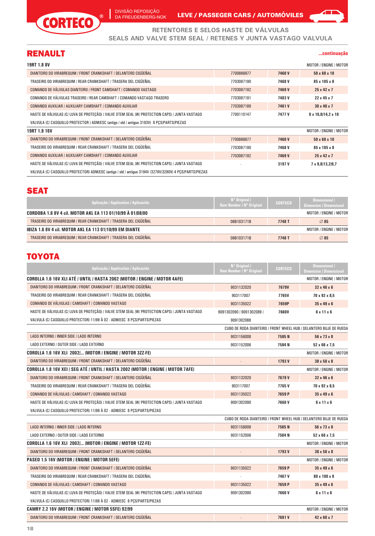

DIVISÃO REPOSIÇÃO DA FREUDENBERG-NOK

Ī

LEVE / PASSEGER CARS / AUTOMÓVILES

**RETENTORES E SELOS HASTE DE VÁLVULAS SEALS AND VALVE STEM SEAL / RETENES Y JUNTA VASTAGO VALVULA**

#### RENAULT

#### **...continuação**

◢

| <b>19RT 1.8 8V</b>                                                                             |            |        | MOTOR / ENGINE / MOTOR   |
|------------------------------------------------------------------------------------------------|------------|--------|--------------------------|
| DIANTEIRO DO VIRABREQUIM / FRONT CRANKSHAFT / DELANTERO CIGÜEÑAL                               | 7700866877 | 7460V  | $50 \times 68 \times 10$ |
| TRASEIRO DO VIRABREQUIM / REAR CRANKSHAFT / TRASERA DEL CIGÜEÑAL                               | 7703087190 | 7468V  | 85 x 105 x 8             |
| COMANDO DE VÁLVULAS DIANTEIRO / FRONT CAMSHAFT / COMANDO VASTAGO                               | 7703087192 | 7469 V | $25 \times 42 \times 7$  |
| COMANDO DE VÁLVULAS TRASEIRO / REAR CAMSHAFT / COMANDO VASTAGO TRASERO                         | 7703087191 | 7483V  | $22 \times 45 \times 7$  |
| COMANDO AUXILIAR / AUXILIARY CAMSHAFT / COMANDO AUXILIAR                                       | 7703087189 | 7461V  | $30 \times 40 \times 7$  |
| HASTE DE VÁLVULAS (C/ LUVA DE PROTECÃO) / VALVE STEM SEAL (W/ PROTECTION CAPS) / JUNTA VASTAGO | 7700110147 | 7477 V | 8 x 10,8/14,2 x 10       |
| VALVULA (C/ CASQUILLO PROTECTOR ) ADM/ESC (antigo / old / antiguo 3193V) 8 PCS/PARTS/PIEZAS    |            |        |                          |
| 19RT 1.8 16V                                                                                   |            |        | MOTOR / ENGINE / MOTOR   |
| DIANTEIRO DO VIRABREQUIM / FRONT CRANKSHAFT / DELANTERO CIGÜEÑAL                               | 7700866877 | 7460V  | $50 \times 68 \times 10$ |
| TRASEIRO DO VIRABREQUIM / REAR CRANKSHAFT / TRASERA DEL CIGÜEÑAL                               | 7703087190 | 7468V  | 85 x 105 x 8             |
| COMANDO AUXILIAR / AUXILIARY CAMSHAFT / COMANDO AUXILIAR                                       | 7703087192 | 7469 V | $25 \times 42 \times 7$  |
| HASTE DE VÁLVULAS (C/ LUVA DE PROTECÃO) / VALVE STEM SEAL (W/ PROTECTION CAPS) / JUNTA VASTAGO |            | 3197 V | 7 x 9,8/13,2/9,7         |

VALVULA (C/ CASQUILLO PROTECTOR) ADM/ESC (antigo / old / antiguo 3194V /3279V/3280V) 4 PÇS/PARTS/PIEZAS

#### **SEAT**

| Aplicação / Application / Aplicación                             | $N^{\circ}$ Original /<br>Oem Number / N° Original | <b>CORTECO</b> | Dimensional /<br><b>Dimension / Dimensional</b> |
|------------------------------------------------------------------|----------------------------------------------------|----------------|-------------------------------------------------|
| CORDOBA 1.6 8V 4 cil. MOTOR AKL EA 113 01/10/99 À 01/08/00       |                                                    |                | MOTOR / ENGINE / MOTOR                          |
| TRASEIRO DO VIRABREQUIM / REAR CRANKSHAFT / TRASERA DEL CIGÜEÑAL | 06B103171B                                         | 7748 T         | 85                                              |
| <b>IBIZA 1.6 8V 4 cil. MOTOR AKL EA 113 01/10/99 EM DIANTE</b>   |                                                    |                | MOTOR / ENGINE / MOTOR                          |
| TRASEIRO DO VIRABREQUIM / REAR CRANKSHAFT / TRASERA DEL CIGÜEÑAL | 06B103171B                                         | 7748 T         | 85                                              |

# TOYOTA

| Aplicação / Application / Aplicación                                                           | N° Original /<br><b>Oem Number / N° Original</b> | <b>CORTECO</b> | <b>Dimensional</b> /<br><b>Dimension / Dimensional</b>             |
|------------------------------------------------------------------------------------------------|--------------------------------------------------|----------------|--------------------------------------------------------------------|
| COROLLA 1.6 16V XLI ATÉ / UNTIL / HASTA 2002 (MOTOR / ENGINE / MOTOR 4AFE)                     |                                                  |                | MOTOR / ENGINE / MOTOR                                             |
| DIANTEIRO DO VIRABREQUIM / FRONT CRANKSHAFT / DELANTERO CIGÜEÑAL                               | 9031132020                                       | <b>7679V</b>   | $32 \times 46 \times 6$                                            |
| TRASEIRO DO VIRABREQUIM / REAR CRANKSHAFT / TRASERA DEL CIGÜEÑAL                               | 903117007                                        | 7765V          | 70 x 92 x 8.5                                                      |
| COMANDO DE VÁLVULAS / CAMSHAFT / COMANDO VASTAGO                                               | 9031135022                                       | 7659P          | $35 \times 49 \times 6$                                            |
| HASTE DE VÁLVULAS (C/ LUVA DE PROTECÃO) / VALVE STEM SEAL (W/ PROTECTION CAPS) / JUNTA VASTAGO | 9091302090 / 9091302089 /                        | <b>7660V</b>   | $6 \times 11 \times 6$                                             |
| VALVULA (C/ CASQUILLO PROTECTOR) 11/98 À 02 - ADM/ESC 8 PCS/PARTS/PIEZAS                       | 9091302088                                       |                |                                                                    |
|                                                                                                |                                                  |                | CUBO DE RODA DIANTEIRO / FRONT WHEEL HUB / DELANTERO BUJE DE RUEDA |
| LADO INTERNO / INNER SIDE / LADO INTERNO                                                       | 9031156008                                       | 7585N          | 56 x 73 x 8                                                        |
| LADO EXTERNO / OUTER SIDE / LADO EXTERNO                                                       | 9031152006                                       | 7584 N         | $52 \times 66 \times 7.5$                                          |
| COROLLA 1.6 16V XLI 2002/ (MOTOR / ENGINE / MOTOR 3ZZ-FE)                                      |                                                  |                | MOTOR / ENGINE / MOTOR                                             |
| DIANTEIRO DO VIRABREQUIM / FRONT CRANKSHAFT / DELANTERO CIGÜEÑAL                               |                                                  | 1793V          | $38 \times 50 \times 8$                                            |
| COROLLA 1.8 16V XEI / SEG ATÉ / UNTIL / HASTA 2002 (MOTOR / ENGINE / MOTOR 7AFE)               |                                                  |                | MOTOR / ENGINE / MOTOR                                             |
| DIANTEIRO DO VIRABREQUIM / FRONT CRANKSHAFT / DELANTERO CIGÜEÑAL                               | 9031132020                                       | 7679V          | $32 \times 46 \times 6$                                            |
| TRASEIRO DO VIRABREQUIM / REAR CRANKSHAFT / TRASERA DEL CIGÜEÑAL                               | 903117007                                        | 7765V          | 70 x 92 x 8,5                                                      |
| COMANDO DE VÁLVULAS / CAMSHAFT / COMANDO VASTAGO                                               | 9031135022                                       | 7659 P         | $35 \times 49 \times 6$                                            |
| HASTE DE VÁLVULAS (C/ LUVA DE PROTECÃO) / VALVE STEM SEAL (W/ PROTECTION CAPS) / JUNTA VASTAGO | 9091302090                                       | 7660V          | $6 \times 11 \times 6$                                             |
| VALVULA (C/ CASQUILLO PROTECTOR) 11/98 À 02 - ADM/ESC 8 PCS/PARTS/PIEZAS                       |                                                  |                |                                                                    |
|                                                                                                |                                                  |                | CUBO DE RODA DIANTEIRO / FRONT WHEEL HUB / DELANTERO BUJE DE RUEDA |
| LADO INTERNO / INNER SIDE / LADO INTERNO                                                       | 9031156008                                       | 7585N          | 56 x 73 x 8                                                        |
| LADO EXTERNO / OUTER SIDE / LADO EXTERNO                                                       | 9031152006                                       | 7584N          | $52 \times 66 \times 7,5$                                          |
| COROLLA 1.6 16V XLI 2002/ (MOTOR / ENGINE / MOTOR 1ZZ-FE)                                      |                                                  |                | MOTOR / ENGINE / MOTOR                                             |
| DIANTEIRO DO VIRABREQUIM / FRONT CRANKSHAFT / DELANTERO CIGÜEÑAL                               |                                                  | 1793V          | 38 x 50 x 8                                                        |
| PASEO 1.5 16V (MOTOR / ENGINE / MOTOR 5EFE)                                                    |                                                  |                | MOTOR / ENGINE / MOTOR                                             |
| DIANTEIRO DO VIRABREQUIM / FRONT CRANKSHAFT / DELANTERO CIGÜEÑAL                               | 9031135022                                       | 7659 P         | $35 \times 49 \times 6$                                            |
| TRASEIRO DO VIRABREQUIM / REAR CRANKSHAFT / TRASERA DEL CIGÜEÑAL                               |                                                  | 7467 V         | 80 x 100 x 8                                                       |
| COMANDO DE VÁLVULAS / CAMSHAFT / COMANDO VASTAGO                                               | 9031135022                                       | 7659 P         | $35 \times 49 \times 6$                                            |
| HASTE DE VÁLVULAS (C/ LUVA DE PROTEÇÃO) / VALVE STEM SEAL (W/ PROTECTION CAPS) / JUNTA VASTAGO | 9091302090                                       | 7660V          | $6 \times 11 \times 6$                                             |
| VALVULA (C/ CASQUILLO PROTECTOR) 11/98 À 02 - ADM/ESC 8 PCS/PARTS/PIEZAS                       |                                                  |                |                                                                    |
| CAMRY 2.2 16V (MOTOR / ENGINE / MOTOR 5SFE) 92/99                                              |                                                  |                | MOTOR / ENGINE / MOTOR                                             |
| DIANTEIRO DO VIRABREQUIM / FRONT CRANKSHAFT / DELANTERO CIGÜEÑAL                               |                                                  | 7681V          | $42 \times 60 \times 7$                                            |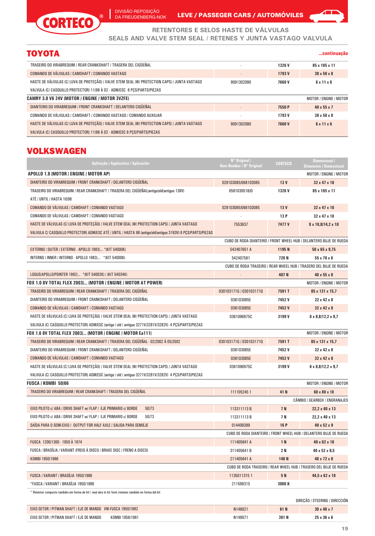Ī DIVISÃO REPOSIÇÃO DA FREUDENBERG-NOK

 $^{\circ}$ 



**...continuação**

**RETENTORES E SELOS HASTE DE VÁLVULAS**

**SEALS AND VALVE STEM SEAL / RETENES Y JUNTA VASTAGO VALVULA**

# TOYOTA

**CORTECO** 

| TRASEIRO DO VIRABREQUIM / REAR CRANKSHAFT / TRASERA DEL CIGÜEÑAL                               | $\overline{\phantom{a}}$ | 1326 V        | 85 x 105 x 11           |
|------------------------------------------------------------------------------------------------|--------------------------|---------------|-------------------------|
| COMANDO DE VÁLVULAS / CAMSHAFT / COMANDO VASTAGO                                               | $\overline{\phantom{a}}$ | 1793 V        | $38 \times 50 \times 8$ |
| HASTE DE VÁLVULAS (C/ LUVA DE PROTECÃO) / VALVE STEM SEAL (W/ PROTECTION CAPS) / JUNTA VASTAGO | 9091302090               | <b>7660 V</b> | $6 \times 11 \times 6$  |
| VALVULA (C/ CASQUILLO PROTECTOR) 11/98 À 02 - ADM/ESC 8 PCS/PARTS/PIEZAS                       |                          |               |                         |
| <b>CAMRY 3.0 V6 24V (MOTOR / ENGINE / MOTOR 3VZFE)</b>                                         |                          |               | MOTOR / ENGINE / MOTOR  |
| DIANTEIRO DO VIRABREQUIM / FRONT CRANKSHAFT / DELANTERO CIGÜEÑAL                               |                          | 7550 P        | $40 \times 55 \times 7$ |
| COMANDO DE VÁLVULAS / CAMSHAFT / COMANDO VASTAGO / COMANDO AUXILIAR                            |                          | 1793 V        | $38 \times 50 \times 8$ |
| HASTE DE VÁLVULAS (C/ LUVA DE PROTEÇÃO) / VALVE STEM SEAL (W/ PROTECTION CAPS) / JUNTA VASTAGO | 9091302090               | <b>7660V</b>  | $6 \times 11 \times 6$  |
| VALVULA (C/ CASQUILLO PROTECTOR) 11/98 À 02 - ADM/ESC 8 PCS/PARTS/PIEZAS                       |                          |               |                         |

### VOLKSWAGEN

| Aplicação / Application / Aplicación                                                                                   | N° Original /<br>Oem Number / N° Original | <b>CORTECO</b>  | <b>Dimensional</b> /<br><b>Dimension / Dimensional</b>             |
|------------------------------------------------------------------------------------------------------------------------|-------------------------------------------|-----------------|--------------------------------------------------------------------|
| APOLLO 1.8 (MOTOR / ENGINE / MOTOR AP)                                                                                 |                                           |                 | MOTOR / ENGINE / MOTOR                                             |
| DIANTEIRO DO VIRABREQUIM / FRONT CRANKSHAFT / DELANTERO CIGÜEÑAL                                                       | 028103085/068103085                       | 13 <sub>V</sub> | 32 x 47 x 10                                                       |
| TRASEIRO DO VIRABREQUIM / REAR CRANKSHAFT / TRASERA DEL CIGÜEÑAL(antigo/old/antiguo 138V)<br>ATÉ / UNTIL / HASTA 10/98 | 056103051B/D                              | 1326 V          | 85 x 105 x 11                                                      |
| COMANDO DE VÁLVULAS / CAMSHAFT / COMANDO VASTAGO                                                                       | 028103085/068103085                       | 13 V            | 32 x 47 x 10                                                       |
| COMANDO DE VÁLVULAS / CAMSHAFT / COMANDO VASTAGO                                                                       |                                           | 13 P            | 32 x 47 x 10                                                       |
| HASTE DE VÁLVULAS (C/ LUVA DE PROTEÇÃO) / VALVE STEM SEAL (W/ PROTECTION CAPS) / JUNTA VASTAGO                         | 7553637                                   | 7477 V          | 8 x 10,8/14,2 x 10                                                 |
| VALVULA C/ CASQUILLO PROTECTOR) ADM/ESC ATÉ / UNTIL / HASTA 98 (antigo/old/antiguo 3193V) 8 PCS/PARTS/PIEZAS           |                                           |                 |                                                                    |
|                                                                                                                        |                                           |                 | CUBO DE RODA DIANTEIRO / FRONT WHEEL HUB / DELANTERO BUJE DE RUEDA |
| EXTERNO / OUTER / EXTERNO - APOLLO 1983/ * (KIT 54000K)                                                                | 542407651 A                               | 1195N           | $50 \times 65 \times 9,75$                                         |
| INTERNO / INNER / INTERNO - APOLLO 1983/ * (KIT 54000K)                                                                | 542407561                                 | 720 N           | $55 \times 70 \times 6$                                            |
|                                                                                                                        |                                           |                 | CUBO DE RODA TRASEIRO / REAR WHEEL HUB / TRASERO DEL BUJE DE RUEDA |
| LOGUS/APOLLO/POINTER 1992/ * (KIT 54002K) / (KIT 54034K)                                                               |                                           | 407 N           | 40 x 55 x 8                                                        |
| FOX 1.0 8V TOTAL FLEX 2003/ (MOTOR / ENGINE / MOTOR AT POWER)                                                          |                                           |                 | MOTOR / ENGINE / MOTOR                                             |
| TRASEIRO DO VIRABREQUIM / REAR CRANKSHAFT / TRASERA DEL CIGÜEÑAL                                                       | 030103171G / 0301031710                   | 7591T           | 85 x 131 x 15,7                                                    |
| DIANTEIRO DO VIRABREQUIM / FRONT CRANKSHAFT / DELANTERO CIGÜEÑAL                                                       | 036103085E                                | 7452V           | 32 x 42 x 8                                                        |
| COMANDO DE VÁLVULAS / CAMSHAFT / COMANDO VASTAGO                                                                       | 036103085E                                | 7452V           | $32 \times 42 \times 8$                                            |
| HASTE DE VÁLVULAS (C/ LUVA DE PROTEÇÃO) / VALVE STEM SEAL (W/ PROTECTION CAPS) / JUNTA VASTAGO                         | 0361096975C                               | 3199 V          | $6 \times 8,8/12,2 \times 9,7$                                     |
| VALVULA (C/ CASQUILLO PROTECTOR) ADM/ESC (antigo / old / antiguo 3271V/3281V/3282V) 4 PCS/PARTS/PIEZAS                 |                                           |                 |                                                                    |
| FOX 1.6 8V TOTAL FLEX 2003/ (MOTOR / ENGINE / MOTOR Ea111)                                                             |                                           |                 | MOTOR / ENGINE / MOTOR                                             |
| TRASEIRO DO VIRABREQUIM / REAR CRANKSHAFT / TRASERA DEL CIGÜEÑAL - 02/2002 À 05/2002                                   | 030103171G / 0301031710                   | 7591T           | 85 x 131 x 15,7                                                    |
| DIANTEIRO DO VIRABREQUIM / FRONT CRANKSHAFT / DELANTERO CIGÜEÑAL                                                       | 036103085E                                | 7452V           | 32 x 42 x 8                                                        |
| COMANDO DE VÁLVULAS / CAMSHAFT / COMANDO VASTAGO                                                                       | 036103085E                                | 7452V           | $32 \times 42 \times 8$                                            |
| HASTE DE VÁLVULAS (C/ LUVA DE PROTEÇÃO) / VALVE STEM SEAL (W/ PROTECTION CAPS) / JUNTA VASTAGO                         | 0361096975C                               | 3199 V          | $6 \times 8,8/12,2 \times 9,7$                                     |
| VALVULA (C/ CASQUILLO PROTECTOR) ADM/ESC (antigo / old / antiguo 3271V/3281V/3282V) 4 PCS/PARTS/PIEZAS                 |                                           |                 |                                                                    |
| <b>FUSCA / KOMBI 50/66</b>                                                                                             |                                           |                 | MOTOR / ENGINE / MOTOR                                             |
| TRASEIRO DO VIRABREQUIM / REAR CRANKSHAFT / TRASERA DEL CIGÜEÑAL                                                       | 1111052451                                | 41 N            | 60 x 80 x 10                                                       |
|                                                                                                                        |                                           |                 | CÂMBIO / GEARBOX / ENGRANAJES                                      |
| EIXO PILOTO c/ ABA / DRIVE SHAFT w/ FLAP / EJE PRIMARIO c/ BORDE<br>50/73                                              | 113311113B                                | 7 N             | 22,2 x 40 x 13                                                     |
| 50/73<br>EIXO PILOTO c/ ABA / DRIVE SHAFT w/ FLAP / EJE PRIMARIO c/ BORDE                                              | 113311113B                                | 7 N             | 22,2 x 40 x 13                                                     |
| SAÍDA PARA O SEMI-EIXO / OUTPUT FOR HALF AXLE / SALIDA PARA SEMIEJE                                                    | 014409399                                 | 16 P            | 40 x 52 x 9                                                        |
|                                                                                                                        |                                           |                 | CUBO DE RODA DIANTEIRO / FRONT WHEEL HUB / DELANTERO BUJE DE RUEDA |
| FUSCA 1200/1300 - 1950 À 1974                                                                                          | 111405641 A                               | 1 N             | 40 x 62 x 10                                                       |
| FUSCA / BRASÍLIA / VARIANT (FREIO À DISCO / BRAKE DISC / FRENO A DISCO)                                                | 311405641B                                | 2 N             | 40 x 52 x 8,5                                                      |
| KOMBI 1950/1966                                                                                                        | 211405641 A                               | 148 N           | 48 x 72 x 8                                                        |
|                                                                                                                        |                                           |                 | CUBO DE RODA TRASEIRO / REAR WHEEL HUB / TRASERO DEL BUJE DE RUEDA |
| FUSCA / VARIANT / BRASÍLIA 1950/1986                                                                                   | 11350113151                               | 5 N             | 44.5 x 62 x 10                                                     |
| *FUSCA / VARIANT / BRASÍLIA 1950/1986                                                                                  | 211598315                                 | 3000 K          |                                                                    |
| * Retentor composto também em forma de kit / seal also in kit form /retenes también en forma del kit                   |                                           |                 | DIRECÃO / STEERING / DIRECCIÓN                                     |
|                                                                                                                        |                                           |                 |                                                                    |

| <sup>OF</sup> MANDO<br><b>VW-FUSCA</b><br>1950/1982<br>EIX <sub>(</sub><br>чч                              | 14902 | 61N   | Anv |
|------------------------------------------------------------------------------------------------------------|-------|-------|-----|
| A MANDO<br>1956/196<br>KOMBI<br>EIX (<br><b>SH</b><br>.<br>the contract of the contract of the contract of | 14907 | 381 N | 36  |
|                                                                                                            |       |       |     |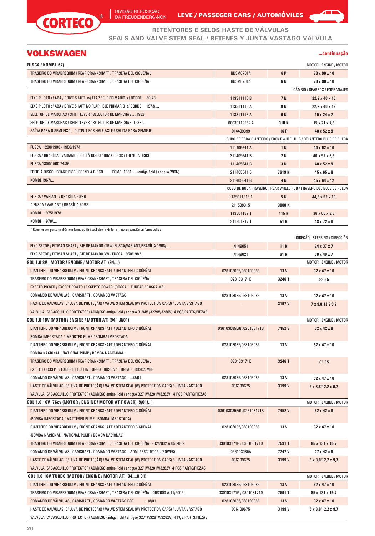

DIVISÃO REPOSIÇÃO DA FREUDENBERG-NOK

LEVE / PASSEGER CARS / AUTOMÓVILES



### VOLKSWAGEN

#### **...continuação**

◢

| <b>FUSCA / KOMBI 67/</b>                                                                               |                          |                 | MOTOR / ENGINE / MOTOR                                             |
|--------------------------------------------------------------------------------------------------------|--------------------------|-----------------|--------------------------------------------------------------------|
| TRASEIRO DO VIRABREQUIM / REAR CRANKSHAFT / TRASERA DEL CIGÜEÑAL                                       | <b>BD3M6701A</b>         | 6 P             | 70 x 90 x 10                                                       |
| TRASEIRO DO VIRABREQUIM / REAR CRANKSHAFT / TRASERA DEL CIGUENAL                                       | <b>BD3M6701A</b>         | 6 N             | 70 x 90 x 10                                                       |
|                                                                                                        |                          |                 | CÂMBIO / GEARBOX / ENGRANAJES                                      |
| EIXO PILOTO c/ ABA / DRIVE SHAFT w/ FLAP / EJE PRIMARIO c/ BORDE 50/73                                 | 113311113B               | 7 N             | 22,2 x 40 x 13                                                     |
| EIXO PILOTO S/ ABA / DRIVE SHAFT NO FLAP / EJE PRIMARIO S/ BORDE 1973/                                 | 113311113 A              | 8 N             | 22,2 x 40 x 12                                                     |
| SELETOR DE MARCHAS / SHIFT LEVER / SELECTOR DE MARCHAS  /1982                                          | 113311113 A              | 9 N             | $15 \times 24 \times 7$                                            |
| SELETOR DE MARCHAS / SHIFT LEVER / SELECTOR DE MARCHAS 1983/                                           | 080301122524             | 318N            | $15 \times 21 \times 7.5$                                          |
| SAIDA PARA O SEMI-EIXO / OUTPUT FOR HALF AXLE / SALIDA PARA SEMIEJE                                    | 014409399                | 16 P            | $40 \times 52 \times 9$                                            |
|                                                                                                        |                          |                 | CUBO DE RODA DIANTEIRO / FRONT WHEEL HUB / DELANTERO BUJE DE RUEDA |
| FUSCA 1200/1300 - 1950/1974                                                                            | 111405641 A              | 1 N             | 40 x 62 x 10                                                       |
| FUSCA / BRASÍLIA / VARIANT (FREIO À DISCO / BRAKE DISC / FRENO A DISCO)                                | 311405641B               | 2 N             | 40 x 52 x 8,5                                                      |
| FUSCA 1300/1500 74/86                                                                                  | 111405641B               | 3 N             | $40 \times 52 \times 9$                                            |
| FREIO À DISCO / BRAKE DISC / FRENO A DISCO<br>KOMBI 1981/ (antigo / old / antiguo 296N)                | 2114056415               | 7619N           | $45 \times 65 \times 8$                                            |
| KOMBI 1967/                                                                                            | 211405641B               | 4N              | 45 x 64 x 12                                                       |
|                                                                                                        |                          |                 | CUBO DE RODA TRASEIRO / REAR WHEEL HUB / TRASERO DEL BUJE DE RUEDA |
| FUSCA / VARIANT / BRASILIA 50/86                                                                       | 11350113151              | 5 N             | 44,5 x 62 x 10                                                     |
| * FUSCA / VARIANT / BRASÍLIA 50/86                                                                     | 211598315                | 3000 K          |                                                                    |
| KOMBI 1975/1978                                                                                        | 1133011891               | 115N            | 36 x 60 x 9,5                                                      |
| KOMBI 1978/                                                                                            | 2115013171               | 51N             | 48 x 72 x 8                                                        |
| * Retentor composto também em forma de kit / seal also in kit form / retenes también en forma del kit  |                          |                 | DIRECÃO / STEERING / DIRECCIÓN                                     |
| EIXO SETOR / PITMAN SHAFT / EJE DE MANDO (TRW) FUSCA/VARIANT/BRASÍLIA 1968/                            | N149051                  | 11 <sub>N</sub> | 24 x 37 x 7                                                        |
| EIXO SETOR / PITMAN SHAFT / EJE DE MANDO VW - FUSCA 1950/1982                                          | N149021                  | 61 N            | 30 x 40 x 7                                                        |
| GOL 1.0 8V - MOTOR / ENGINE / MOTOR AT (94/)                                                           |                          |                 | MOTOR / ENGINE / MOTOR                                             |
| DIANTEIRO DO VIRABREQUIM / FRONT CRANKSHAFT / DELANTERO CIGÜEÑAL                                       | 028103085/068103085      | 13 <sub>V</sub> | 32 x 47 x 10                                                       |
| TRASEIRO DO VIRABREQUIM / REAR CRANKSHAFT / TRASERA DEL CIGÜEÑAL                                       | 028103171K               | 3246 T          | 85                                                                 |
| EXCETO POWER / EXCEPT POWER / EXCEPTO POWER (ROSCA / THREAD / ROSCA M6)                                |                          |                 |                                                                    |
| COMANDO DE VÁLVULAS / CAMSHAFT / COMANDO VASTAGO                                                       | 028103085/068103085      | 13 V            | 32 x 47 x 10                                                       |
| HASTE DE VÁLVULAS (C/ LUVA DE PROTEÇÃO) / VALVE STEM SEAL (W/ PROTECTION CAPS) / JUNTA VASTAGO         |                          | 3197 V          | 7 x 9,8/13,2/9,7                                                   |
| VALVULA (C/ CASQUILLO PROTECTOR) ADM/ESC(antigo / old / antiguo 3194V /3279V/3280V) 4 PCS/PARTS/PIEZAS |                          |                 |                                                                    |
| GOL 1.0 16V (MOTOR / ENGINE / MOTOR AT) (94/8/01)                                                      |                          |                 | MOTOR / ENGINE / MOTOR                                             |
| DIANTEIRO DO VIRABREQUIM / FRONT CRANKSHAFT / DELANTERO CIGUENAL                                       | 036103085E/G /026103171B | 7452V           | $32 \times 42 \times 8$                                            |
| BOMBA IMPORTADA / IMPORTED PUMP / BOMBA IMPORTADA                                                      |                          |                 |                                                                    |
| DIANTEIRO DO VIRABREQUIM / FRONT CRANKSHAFT / DELANTERO CIGÜEÑAL                                       | 028103085/068103085      | 13 V            | 32 x 47 x 10                                                       |
| BOMBA NACIONAL / NATIONAL PUMP / BOMBA NACIOANAL                                                       |                          |                 |                                                                    |
| TRASEIRO DO VIRABREQUIM / REAR CRANKSHAFT / TRASERA DEL CIGÜEÑAL                                       | 028103171K               | 3246 T          | 85                                                                 |
| EXCETO / EXCEPT / EXCEPTO 1.0 16V TURBO (ROSCA / THREAD / ROSCA M6)                                    |                          |                 |                                                                    |
| COMANDO DE VÁLVULAS / CAMSHAFT / COMANDO VASTAGO  /8/01                                                | 028103085/068103085      | 13 V            | 32 x 47 x 10                                                       |
| HASTE DE VÁLVULAS (C/ LUVA DE PROTECÃO) / VALVE STEM SEAL (W/ PROTECTION CAPS) / JUNTA VASTAGO         | 036109675                | 3199 V          | $6 \times 8,8/12,2 \times 9,7$                                     |
| VALVULA (C/ CASQUILLO PROTECTOR) ADM/ESC(antigo / old / antiguo 3271V/3281V/3282V) 4 PCS/PARTS/PIEZAS  |                          |                 |                                                                    |
| GOL 1.0 16V 76cv (MOTOR / ENGINE / MOTOR AT POWER) (9/01/)                                             |                          |                 | MOTOR / ENGINE / MOTOR                                             |
| DIANTEIRO DO VIRABREQUIM / FRONT CRANKSHAFT / DELANTERO CIGÜEÑAL                                       | 036103085E/G /026103171B | 7452V           | 32 x 42 x 8                                                        |
| (BOMBA IMPORTADA / MATTERED PUMP / BOMBA IMPORTADA)                                                    |                          |                 |                                                                    |
| DIANTEIRO DO VIRABREQUIM / FRONT CRANKSHAFT / DELANTERO CIGÜEÑAL                                       | 028103085/068103085      | 13 V            | 32 x 47 x 10                                                       |
| (BOMBA NACIONAL / NATIONAL PUMP / BOMBA NACIONAL)                                                      |                          |                 |                                                                    |
| TRASEIRO DO VIRABREQUIM / REAR CRANKSHAFT / TRASERA DEL CIGÜEÑAL - 02/2002 À 05/2002                   | 030103171G / 0301031710  | 7591T           | 85 x 131 x 15,7                                                    |
| COMANDO DE VÁLVULAS / CAMSHAFT / COMANDO VASTAGO ADM. / ESC. 9/01/ (POWER)                             | 036103085A               | 7747 V          | 27 x 42 x 8                                                        |
| HASTE DE VÁLVULAS (C/ LUVA DE PROTEÇÃO) / VALVE STEM SEAL (W/ PROTECTION CAPS) / JUNTA VASTAGO         | 036109675                | 3199 V          | $6 \times 8,8/12,2 \times 9,7$                                     |
| VALVULA (C/ CASQUILLO PROTECTOR) ADM/ESC(antigo / old / antiguo 3271V/3281V/3282V) 4 PCS/PARTS/PIEZAS  |                          |                 |                                                                    |
| GOL 1.0 16V TURBO (MOTOR / ENGINE / MOTOR AT) (94/8/01)                                                |                          |                 | MOTOR / ENGINE / MOTOR                                             |
| DIANTEIRO DO VIRABREQUIM / FRONT CRANKSHAFT / DELANTERO CIGÜEÑAL                                       | 028103085/068103085      | 13 V            | 32 x 47 x 10                                                       |
| TRASEIRO DO VIRABREQUIM / REAR CRANKSHAFT / TRASERA DEL CIGÜEÑAL 09/2000 À 11/2002                     | 030103171G / 0301031710  | 7591 T          | 85 x 131 x 15,7                                                    |
| COMANDO DE VÁLVULAS / CAMSHAFT / COMANDO VASTAGO ESC.<br> 8 01                                         | 028103085/068103085      | 13 <sub>V</sub> | 32 x 47 x 10                                                       |
| HASTE DE VÁLVULAS (C/ LUVA DE PROTEÇÃO) / VALVE STEM SEAL (W/ PROTECTION CAPS) / JUNTA VASTAGO         | 036109675                | 3199 V          | $6 \times 8,8/12,2 \times 9,7$                                     |
| VALVULA (C/ CASQUILLO PROTECTOR) ADM/ESC (antigo / old / antiguo 3271V/3281V/3282V) 4 PCS/PARTS/PIEZAS |                          |                 |                                                                    |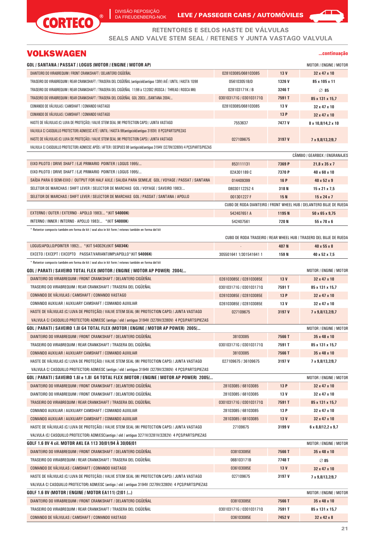

DA FREUDENBERG-NOK LEVE / PASSEGER CARS / AUTOMOVILES

**RETENTORES E SELOS HASTE DE VÁLVULAS SEALS AND VALVE STEM SEAL / RETENES Y JUNTA VASTAGO VALVULA**

# VOLKSWAGEN

#### **...continuação**

◢

| GOL / SANTANA / PASSAT / LOGUS (MOTOR / ENGINE / MOTOR AP)                                                                    |                         |                 | MOTOR / ENGINE / MOTOR                                             |
|-------------------------------------------------------------------------------------------------------------------------------|-------------------------|-----------------|--------------------------------------------------------------------|
| DIANTEIRO DO VIRABREQUIM / FRONT CRANKSHAFT / DELANTERO CIGÜEÑAL                                                              | 028103085/068103085     | 13 <sub>V</sub> | 32 x 47 x 10                                                       |
| TRASEIRO DO VIRABREQUIM / REAR CRANKSHAFT / TRASERA DEL CIGÜEÑAL (antigo/old/antiguo 138V) AtÉ / UNTIL / HASTA 10/98          | 056103051B/D            | 1326V           | 85 x 105 x 11                                                      |
| TRASEIRO DO VIRABREQUIM / REAR CRANKSHAFT / TRASERA DEL CIGÜEÑAL 11/98 à 12/2002 (ROSCA / THREAD / ROSCA M6)                  | 028103171K / B          | 3246 T          | 85                                                                 |
| TRASEIRO DO VIRABREQUIM / REAR CRANKSHAFT / TRASERA DEL CIGÜEÑAL GOL 2003//SANTANA 2004/                                      | 030103171G / 0301031710 | 7591T           | 85 x 131 x 15,7                                                    |
| COMANDO DE VÁLVULAS / CAMSHAFT / COMANDO VASTAGO                                                                              | 028103085/068103085     | 13 V            | 32 x 47 x 10                                                       |
| COMANDO DE VÁLVULAS / CAMSHAFT / COMANDO VASTAGO                                                                              |                         | 13 P            | 32 x 47 x 10                                                       |
| HASTE DE VÁLVULAS (C/ LUVA DE PROTECÃO) / VALVE STEM SEAL (W/ PROTECTION CAPS) / JUNTA VASTAGO                                | 7553637                 | 7477 V          | 8 x 10,8/14,2 x 10                                                 |
| VALVULA C/ CASQUILLO PROTECTOR) ADM/ESC ATÉ / UNTIL / HASTA 98(antigo/old/antiguo 3193V) 8 PCS/PARTS/PIEZAS                   |                         |                 |                                                                    |
| HASTE DE VÁLVULAS (C/ LUVA DE PROTECÃO) / VALVE STEM SEAL (W/ PROTECTION CAPS) / JUNTA VASTAGO                                | 027109675               | 3197 V          | 7 x 9,8/13,2/9,7                                                   |
| VALVULA C/ CASQUILLO PROTECTOR) ADM/ESC APÓS / AFTER / DESPUES 98 (antigo/old/antiguo 3194V /3279V/3280V)) 4 PCS/PARTS/PIEZAS |                         |                 |                                                                    |
|                                                                                                                               |                         |                 | CÂMBIO / GEARBOX / ENGRANAJES                                      |
| EIXO PILOTO / DRIVE SHAFT / EJE PRIMARIO POINTER / LOGUS 1995/                                                                | 853111131               | 7369 P          | $21,8 \times 35 \times 7$                                          |
| EIXO PILOTO / DRIVE SHAFT / EJE PRIMARIO POINTER / LOGUS 1995/                                                                | 02A301189 C             | 7370 P          | 40 x 60 x 10                                                       |
| SAÍDA PARA O SEMI-EIXO / OUTPUT FOR HALF AXLE / SALIDA PARA SEMIEJE GOL / VOYAGE / PASSAT / SANTANA                           | 014409399               | <b>16 P</b>     | $40 \times 52 \times 9$                                            |
| SELETOR DE MARCHAS / SHIFT LEVER / SELECTOR DE MARCHAS GOL / VOYAGE / SAVEIRO 1983/                                           | 080301122524            | 318N            | $15 \times 21 \times 7.5$                                          |
| SELETOR DE MARCHAS / SHIFT LEVER / SELECTOR DE MARCHAS GOL / PASSAT / SANTANA / APOLLO                                        | 001301227 F             | <b>15N</b>      | $15 \times 24 \times 7$                                            |
|                                                                                                                               |                         |                 | CUBO DE RODA DIANTEIRO / FRONT WHEEL HUB / DELANTERO BUJE DE RUEDA |
| EXTERNO / OUTER / EXTERNO - APOLLO 1983/ * (KIT 54000K)                                                                       | 542407651 A             | 1195N           | $50 \times 65 \times 9,75$                                         |
| INTERNO / INNER / INTERNO - APOLLO 1983/ * (KIT 54000K)                                                                       | 542407561               | 720 N           | $55 \times 70 \times 6$                                            |
| Retentor composto também em forma de kit / seal also in kit form / retenes también en forma del kit *                         |                         |                 |                                                                    |
|                                                                                                                               |                         |                 | CUBO DE RODA TRASEIRO / REAR WHEEL HUB / TRASERO DEL BUJE DE RUEDA |
| LOGUS/APOLLO/POINTER 1992/ * (KIT 54002K)/(KIT 54034K)                                                                        |                         | 407N            | $40 \times 55 \times 8$                                            |
| EXCETO / EXCEPT / EXCEPTO  PASSAT/VARIANT(IMP)/APOLLO*(KIT 54006K)                                                            | 305501641 1/301541641 1 | 159 N           | 40 x 52 x 7,5                                                      |
| Netentor composto também em forma de kit / seal also in kit form / retenes también en forma del kit *                         |                         |                 |                                                                    |
| GOL / PARATI / SAVEIRO TOTAL FLEX (MOTOR / ENGINE / MOTOR AP POWER) 2004/                                                     |                         |                 | MOTOR / ENGINE / MOTOR                                             |
| DIANTEIRO DO VIRABREQUIM / FRONT CRANKSHAFT / DELANTERO CIGUENAL                                                              | 026103085E / 028103085E | 13 <sub>V</sub> | 32 x 47 x 10                                                       |
| TRASEIRO DO VIRABREQUIM / REAR CRANKSHAFT / TRASERA DEL CIGÜEÑAL                                                              | 030103171G / 0301031710 | 7591 T          | 85 x 131 x 15,7                                                    |
| COMANDO DE VALVULAS / CAMSHAFT / COMANDO VASTAGO                                                                              | 026103085E / 028103085E | 13 P            | 32 x 47 x 10                                                       |
| COMANDO AUXILIAR / AUXILIARY CAMSHAFT / COMANDO AUXILIAR                                                                      | 026103085E / 028103085E | 13 V            | 32 x 47 x 10                                                       |
| HASTE DE VÁLVULAS (C/ LUVA DE PROTEÇÃO) / VALVE STEM SEAL (W/ PROTECTION CAPS) / JUNTA VASTAGO                                | 027109675               | 3197 V          | 7 x 9,8/13,2/9,7                                                   |
| VALVULA C/ CASQUILLO PROTECTOR) ADM/ESC (antigo / old / antiguo 3194V /3279V/3280V) 4 PCS/PARTS/PIEZAS                        |                         |                 |                                                                    |
| GOL / PARATI / SAVEIRO 1.01 G4 TOTAL FLEX (MOTOR / ENGINE / MOTOR AP POWER) 2005/                                             |                         |                 | MOTOR / ENGINE / MOTOR                                             |
| DIANTEIRO DO VIRABREQUIM / FRONT CRANKSHAFT / DELANTERO CIGÜEÑAL                                                              | 38103085                | 7566 T          | 35 x 48 x 10                                                       |
| TRASEIRO DO VIRABREQUIM / REAR CRANKSHAFT / TRASERA DEL CIGÜEÑAL                                                              |                         |                 |                                                                    |
|                                                                                                                               | 030103171G / 0301031710 | 7591 T          | 85 x 131 x 15,7                                                    |
| COMANDO AUXILIAR / AUXILIARY CAMSHAFT / COMANDO AUXILIAR                                                                      | 38103085                | 7566 T          | 35 x 48 x 10                                                       |
| HASTE DE VÁLVULAS (C/ LUVA DE PROTECÃO) / VALVE STEM SEAL (W/ PROTECTION CAPS) / JUNTA VASTAGO                                | 027109675 / 36109675    | 3197 V          | 7 x 9,8/13,2/9,7                                                   |
| VALVULA C/ CASQUILLO PROTECTOR) ADM/ESC (antigo / old / antiguo 3194V /3279V/3280V) 4 PCS/PARTS/PIEZAS                        |                         |                 |                                                                    |
| GOL / PARATI / SAVEIRO 1.61 e 1.81 G4 TOTAL FLEX (MOTOR / ENGINE / MOTOR AP POWER) 2005/                                      |                         |                 | MOTOR / ENGINE / MOTOR                                             |
| DIANTEIRO DO VIRABREQUIM / FRONT CRANKSHAFT / DELANTERO CIGUENAL                                                              | 28103085 / 68103085     | 13 P            | 32 x 47 x 10                                                       |
| DIANTEIRO DO VIRABREQUIM / FRONT CRANKSHAFT / DELANTERO CIGÜEÑAL                                                              | 28103085 / 68103085     | 13 V            | 32 x 47 x 10                                                       |
| TRASEIRO DO VIRABREQUIM / REAR CRANKSHAFT / TRASERA DEL CIGÜEÑAL                                                              | 030103171G / 0301031710 | 7591 T          | 85 x 131 x 15,7                                                    |
| COMANDO AUXILIAR / AUXILIARY CAMSHAFT / COMANDO AUXILIAR                                                                      | 28103085 / 68103085     | 13 P            | 32 x 47 x 10                                                       |
| COMANDO AUXILIAR / AUXILIARY CAMSHAFT / COMANDO AUXILIAR                                                                      | 28103085 / 68103085     | 13 <sub>V</sub> | 32 x 47 x 10                                                       |
| HASTE DE VÁLVULAS (C/ LUVA DE PROTEÇÃO) / VALVE STEM SEAL (W/ PROTECTION CAPS) / JUNTA VASTAGO                                | 27109675                | 3199 V          | $6 \times 8,8/12,2 \times 9,7$                                     |
| VALVULA (C/ CASQUILLO PROTECTOR) ADM/ESC(antigo / old / antiguo 3271V/3281V/3282V) 4 PCS/PARTS/PIEZAS                         |                         |                 |                                                                    |
| GOLF 1.6 8V 4 cil. MOTOR AKL EA 113 30/01/94 A 30/06/01                                                                       |                         |                 | MOTOR / ENGINE / MOTOR                                             |
| DIANTEIRO DO VIRABREQUIM / FRONT CRANKSHAFT / DELANTERO CIGÜEÑAL                                                              | 038103085E              | 7566 T          | 35 x 48 x 10                                                       |
| TRASEIRO DO VIRABREQUIM / REAR CRANKSHAFT / TRASERA DEL CIGÜEÑAL                                                              | 06B103171B              | 7748 T          | 85                                                                 |
| COMANDO DE VÁLVULAS / CAMSHAFT / COMANDO VASTAGO                                                                              | 036103085E              | 13V             | 32 x 47 x 10                                                       |
| HASTE DE VÁLVULAS (C/ LUVA DE PROTEÇÃO) / VALVE STEM SEAL (W/ PROTECTION CAPS) / JUNTA VASTAGO                                | 027109675               | 3197 V          | 7 x 9,8/13,2/9,7                                                   |
| VALVULA C/ CASQUILLO PROTECTOR) ADM/ESC (antigo / old / antiguo 3194V /3279V/3280V) 4 PCS/PARTS/PIEZAS                        |                         |                 |                                                                    |
| GOLF 1.6 8V (MOTOR / ENGINE / MOTOR EA111) (2/01 /)                                                                           |                         |                 | MOTOR / ENGINE / MOTOR                                             |
| DIANTEIRO DO VIRABREQUIM / FRONT CRANKSHAFT / DELANTERO CIGÜEÑAL                                                              | 038103085E              | 7566 T          | 35 x 48 x 10                                                       |
| TRASEIRO DO VIRABREQUIM / REAR CRANKSHAFT / TRASERA DEL CIGÜEÑAL                                                              | 030103171G / 0301031710 | 7591 T          | 85 x 131 x 15,7                                                    |
| COMANDO DE VÁLVULAS / CAMSHAFT / COMANDO VASTAGO                                                                              | 036103085E              | 7452V           | 32 x 42 x 8                                                        |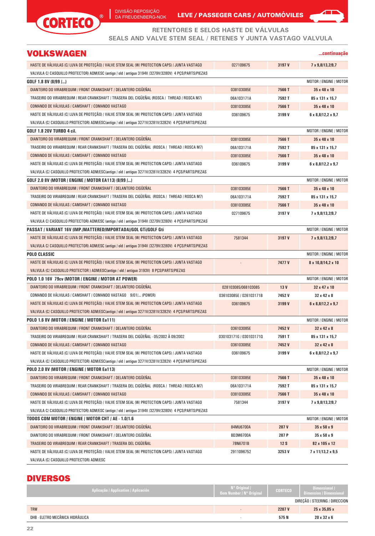

Ī



**...continuação**

**RETENTORES E SELOS HASTE DE VÁLVULAS**

**SEALS AND VALVE STEM SEAL / RETENES Y JUNTA VASTAGO VALVULA**

# VOLKSWAGEN

| HASTE DE VÁLVULAS (C/ LUVA DE PROTEÇÃO) / VALVE STEM SEAL (W/ PROTECTION CAPS) / JUNTA VASTAGO         | 027109675               | 3197 V          | 7 x 9,8/13,2/9,7               |
|--------------------------------------------------------------------------------------------------------|-------------------------|-----------------|--------------------------------|
| VALVULA C/ CASQUILLO PROTECTOR) ADM/ESC (antigo / old / antiguo 3194V /3279V/3280V) 4 PCS/PARTS/PIEZAS |                         |                 |                                |
| GOLF 1.8 8V (8/99 /)                                                                                   |                         |                 | MOTOR / ENGINE / MOTOR         |
| DIANTEIRO DO VIRABREQUIM / FRONT CRANKSHAFT / DELANTERO CIGÜEÑAL                                       | 038103085E              | 7566T           | 35 x 48 x 10                   |
| TRASEIRO DO VIRABREQUIM / REAR CRANKSHAFT / TRASERA DEL CIGÜEÑAL (ROSCA / THREAD / ROSCA M7)           | 06A103171A              | 7592T           | 85 x 131 x 15,7                |
| COMANDO DE VÁLVULAS / CAMSHAFT / COMANDO VASTAGO                                                       | 038103085E              | 7566T           | 35 x 48 x 10                   |
| HASTE DE VÁLVULAS (C/ LUVA DE PROTECÃO) / VALVE STEM SEAL (W/ PROTECTION CAPS) / JUNTA VASTAGO         | 036109675               | 3199 V          | $6 \times 8,8/12,2 \times 9,7$ |
| VALVULA (C/ CASQUILLO PROTECTOR) ADM/ESC(antigo / old / antiguo 3271V/3281V/3282V) 4 PCS/PARTS/PIEZAS  |                         |                 |                                |
| GOLF 1.8 20V TURBO 4 cil.                                                                              |                         |                 | MOTOR / ENGINE / MOTOR         |
| DIANTEIRO DO VIRABREQUIM / FRONT CRANKSHAFT / DELANTERO CIGÜEÑAL                                       | 038103085E              | 7566T           | 35 x 48 x 10                   |
| TRASEIRO DO VIRABREQUIM / REAR CRANKSHAFT / TRASERA DEL CIGÜEÑAL (ROSCA / THREAD / ROSCA M7)           | 06A103171A              | 7592T           | 85 x 131 x 15,7                |
| COMANDO DE VÁLVULAS / CAMSHAFT / COMANDO VASTAGO                                                       | 038103085E              | 7566T           | 35 x 48 x 10                   |
| HASTE DE VÁLVULAS (C/ LUVA DE PROTEÇÃO) / VALVE STEM SEAL (W/ PROTECTION CAPS) / JUNTA VASTAGO         | 036109675               | 3199 V          | $6 \times 8,8/12,2 \times 9,7$ |
| VALVULA (C/ CASQUILLO PROTECTOR) ADM/ESC(antigo / old / antiguo 3271V/3281V/3282V) 4 PCS/PARTS/PIEZAS  |                         |                 |                                |
| GOLF 2.0 8V (MOTOR / ENGINE / MOTOR EA113) (8/99 /)                                                    |                         |                 | MOTOR / ENGINE / MOTOR         |
| DIANTEIRO DO VIRABREQUIM / FRONT CRANKSHAFT / DELANTERO CIGÜEÑAL                                       | 038103085E              | 7566T           | 35 x 48 x 10                   |
| TRASEIRO DO VIRABREQUIM / REAR CRANKSHAFT / TRASERA DEL CIGÜEÑAL (ROSCA / THREAD / ROSCA M7)           | 06A103171A              | 7592T           | 85 x 131 x 15,7                |
| COMANDO DE VÁLVULAS / CAMSHAFT / COMANDO VASTAGO                                                       | 038103085E              | 7566T           | 35 x 48 x 10                   |
| HASTE DE VÁLVULAS (C/ LUVA DE PROTECÃO) / VALVE STEM SEAL (W/ PROTECTION CAPS) / JUNTA VASTAGO         | 027109675               | 3197 V          | 7 x 9,8/13,2/9,7               |
| VALVULA C/ CASQUILLO PROTECTOR) ADM/ESC (antigo / old / antiguo 3194V /3279V/3280V) 4 PCS/PARTS/PIEZAS |                         |                 |                                |
| PASSAT / VARIANT 16V (IMP./MATTERED/IMPORTADA)/GOL GTI/GOLF Gti                                        |                         |                 | MOTOR / ENGINE / MOTOR         |
| HASTE DE VÁLVULAS (C/ LUVA DE PROTECÃO) / VALVE STEM SEAL (W/ PROTECTION CAPS) / JUNTA VASTAGO         | 7581344                 | 3197 V          | 7 x 9,8/13,2/9,7               |
| VALVULA C/ CASQUILLO PROTECTOR) ADM/ESC (antigo / old / antiguo 3194V /3279V/3280V) 4 PCS/PARTS/PIEZAS |                         |                 |                                |
| POLO CLASSIC                                                                                           |                         |                 | MOTOR / ENGINE / MOTOR         |
| HASTE DE VÁLVULAS (C/ LUVA DE PROTEÇÃO) / VALVE STEM SEAL (W/ PROTECTION CAPS) / JUNTA VASTAGO         |                         | 7477V           | 8 x 10,8/14,2 x 10             |
| VALVULA (C/ CASQUILLO PROTECTOR ) ADM/ESC(antigo / old / antiguo 3193V) 8 PCS/PARTS/PIEZAS             |                         |                 |                                |
| POLO 1.0 16V  79cv (MOTOR / ENGINE / MOTOR AT POWER)                                                   |                         |                 | MOTOR / ENGINE / MOTOR         |
| DIANTEIRO DO VIRABREQUIM / FRONT CRANKSHAFT / DELANTERO CIGÜEÑAL                                       | 028103085/068103085     | 13 <sub>V</sub> | 32 x 47 x 10                   |
| COMANDO DE VÁLVULAS / CAMSHAFT / COMANDO VASTAGO 9/01/ (POWER)                                         | 036103085E / 026103171B | 7452V           | $32 \times 42 \times 8$        |
| HASTE DE VÁLVULAS (C/ LUVA DE PROTECÃO) / VALVE STEM SEAL (W/ PROTECTION CAPS) / JUNTA VASTAGO         | 036109675               | 3199 V          | $6 \times 8.8112.2 \times 9.7$ |
| VALVULA (C/ CASQUILLO PROTECTOR) ADM/ESC(antigo / old / antiguo 3271V/3281V/3282V) 4 PCS/PARTS/PIEZAS  |                         |                 |                                |
| POLO 1.6 8V (MOTOR / ENGINE / MOTOR Ea111)                                                             |                         |                 | MOTOR / ENGINE / MOTOR         |
| DIANTEIRO DO VIRABREQUIM / FRONT CRANKSHAFT / DELANTERO CIGÜEÑAL                                       | 036103085E              | 7452V           | 32 x 42 x 8                    |
| TRASEIRO DO VIRABREQUIM / REAR CRANKSHAFT / TRASERA DEL CIGÜEÑAL - 05/2002 À 09/2002                   | 030103171G / 0301031710 | 7591T           | 85 x 131 x 15,7                |
| COMANDO DE VALVULAS / CAMSHAFT / COMANDO VASTAGO                                                       | 036103085E              | 7452V           | 32 x 42 x 8                    |
| HASTE DE VÁLVULAS (C/ LUVA DE PROTECÃO) / VALVE STEM SEAL (W/ PROTECTION CAPS) / JUNTA VASTAGO         | 036109675               | 3199 V          | $6 \times 8,8/12,2 \times 9,7$ |
| VALVULA (C/ CASQUILLO PROTECTOR) ADM/ESC(antigo / old / antiguo 3271V/3281V/3282V) 4 PCS/PARTS/PIEZAS  |                         |                 |                                |
| POLO 2.0 8V (MOTOR / ENGINE / MOTOR Ea113)                                                             |                         |                 | MOTOR / ENGINE / MOTOR         |
| DIANTEIRO DO VIRABREQUIM / FRONT CRANKSHAFT / DELANTERO CIGÜEÑAL                                       | 038103085E              | 7566 T          | 35 x 48 x 10                   |
| TRASEIRO DO VIRABREQUIM / REAR CRANKSHAFT / TRASERA DEL CIGÜEÑAL (ROSCA / THREAD / ROSCA M7)           | 06A103171A              | 7592T           | 85 x 131 x 15,7                |
| COMANDO DE VÁLVULAS / CAMSHAFT / COMANDO VASTAGO                                                       | 038103085E              | 7566 T          | 35 x 48 x 10                   |
| HASTE DE VÁLVULAS (C/ LUVA DE PROTEÇÃO) / VALVE STEM SEAL (W/ PROTECTION CAPS) / JUNTA VASTAGO         | 7581344                 | 3197 V          | 7 x 9,8/13,2/9,7               |
| VALVULA C/ CASQUILLO PROTECTOR) ADM/ESC (antigo / old / antiguo 3194V /3279V/3280V) 4 PCS/PARTS/PIEZAS |                         |                 |                                |
| TODOS COM MOTOR / ENGINE / MOTOR CHT / AE - 1.0/1.6                                                    |                         |                 | MOTOR / ENGINE / MOTOR         |
| DIANTEIRO DO VIRABREQUIM / FRONT CRANKSHAFT / DELANTERO CIGUENAL                                       | 84MU6700A               | 207 V           | $35 \times 50 \times 9$        |
| DIANTEIRO DO VIRABREQUIM / FRONT CRANKSHAFT / DELANTERO CIGÜEÑAL                                       | <b>BD3M6700A</b>        | 207 P           | $35 \times 50 \times 9$        |
| TRASEIRO DO VIRABREQUIM / REAR CRANKSHAFT / TRASERA DEL CIGÜEÑAL                                       | 78N6701B                | 12S             | 82 x 105 x 12                  |
| HASTE DE VÁLVULAS (C/ LUVA DE PROTEÇÃO) / VALVE STEM SEAL (W/ PROTECTION CAPS) / JUNTA VASTAGO         | 2911096752              | 3253V           | 7 x 11/13,2 x 9,5              |
| VALVULA (C/ CASQUILLO PROTECTOR) ADM/ESC                                                               |                         |                 |                                |

# DIVERSOS

| Aplicação / Application / Aplicación | $N^{\circ}$ Original /<br>Oem Number / Nº Original | <b>CORTECO</b> | <b>Dimensional</b><br>Dimension / Dimensional |
|--------------------------------------|----------------------------------------------------|----------------|-----------------------------------------------|
|                                      |                                                    |                | DIREÇÃO / STEERING / DIRECCION                |
| <b>TRW</b>                           |                                                    | 2207 V         | 25 x 35,05 x                                  |
| DHB - ELETRO MECÂNICA HIDRÁULICA     |                                                    | 575 N          | $20 \times 32 \times 6$                       |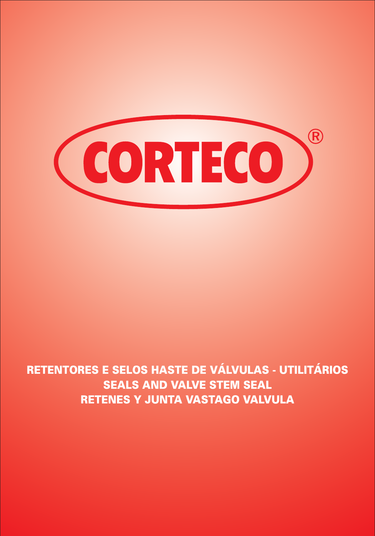

# *RETENTORES E SELOS HASTE DE VÁLVULAS - UTILITÁRIOS SEALS AND VALVE STEM SEAL RETENES Y JUNTA VASTAGO VALVULA*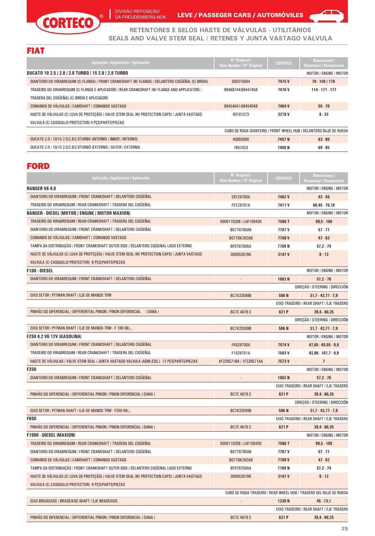DIVISÃO REPOSIÇÃO DA FREUDENBERG-NOK

 $\overline{1}$ 

 $^{\circ}$ 

LEVE / PASSEGER CARS / AUTOMÓVILES

7657423

**7459 N**



**69 - 85**

**RETENTORES E SELOS HASTE DE VÁLVULAS - UTILITÁRIOS SEALS AND VALVE STEM SEAL / RETENES Y JUNTA VASTAGO VALVULA**

#### FIAT

CORTECO

| Aplicação / Application / Aplicación                                                                | $N^{\circ}$ Original /<br>Oem Number / N° Original | <b>CORTECO</b> | Dimensional /<br><b>Dimension / Dimensional</b>                    |
|-----------------------------------------------------------------------------------------------------|----------------------------------------------------|----------------|--------------------------------------------------------------------|
| DUCATO 10 2.5 / 2.8 / 2.8 TURBO / 15 2.8 / 2.8 TURBO                                                |                                                    |                | MOTOR / ENGINE / MOTOR                                             |
| DIANTEIRO DO VIRABREQUIM (C/ FLANGE) / FRONT CRANKSHAFT (W/ FLANGE) / DELANTERO CIGÜEÑAL (C/ BRIDA) | 500315684                                          | 7475V          | 70.1591179                                                         |
| TRASEIRO DO VIRABREQUIM (C/ FLANGE E APLICADOR) / REAR CRANKSHAFT (W/ FLANGE AND APPLICATOR) /      | 99468744/99447458                                  | 7476 V         | 114.171.177                                                        |
| TRASERA DEL CIGÜEÑAL (C/ BRIDA E APLICADOR)                                                         |                                                    |                |                                                                    |
| COMANDO DE VÁLVULAS / CAMSHAFT / COMANDO VASTAGO                                                    | 98454041/98454048                                  | 7464 V         | $55 - 70$                                                          |
| HASTE DE VÁLVULAS (C/ LUVA DE PROTECÃO) / VALVE STEM SEAL (W/ PROTECTION CAPS) / JUNTA VASTAGO      | 40101573                                           | 3278V          | $8 - 33$                                                           |
| VALVULA (C/ CASQUILLO PROTECTOR) 4 PCS/PARTS/PIEZAS                                                 |                                                    |                |                                                                    |
|                                                                                                     |                                                    |                | CUBO DE RODA DIANTEIRO / FRONT WHEEL HUB / DELANTERO BUJE DE RUEDA |
| DUCATO 2.0 / 10/15 2.5/2.8/2.8TURBO (INTERNO / INNER / INTERNO)                                     | 40003080                                           | 7457 N         | $63 - 80$                                                          |

#### FORD

DUCATO 2.0 / 10/15 2.5/2.8/2.8TURBO (EXTERNO / OUTER / EXTERNO)

| Aplicação / Application / Aplicación                                                           | N° Original /<br><b>Oem Number / N° Original</b> | <b>CORTECO</b> | <b>Dimensional /</b><br><b>Dimension / Dimensional</b>             |
|------------------------------------------------------------------------------------------------|--------------------------------------------------|----------------|--------------------------------------------------------------------|
| <b>RANGER V6 4.0</b>                                                                           |                                                  |                | MOTOR / ENGINE / MOTOR                                             |
| DIANTEIRO DO VIRABREQUIM / FRONT CRANKSHAFT / DELANTERO CIGUENAL                               | E6TZ6700A                                        | 7462V          | $42 - 56$                                                          |
| TRASEIRO DO VIRABREQUIM / REAR CRANKSHAFT / TRASERA DEL CIGÜEÑAL                               | F5TZ6701A                                        | 7471V          | $60,45 - 76,18$                                                    |
| RANGER - DIESEL (MOTOR / ENGINE / MOTOR MAXION)                                                |                                                  |                | MOTOR / ENGINE / MOTOR                                             |
| TRASEIRO DO VIRABREQUIM / REAR CRANKSHAFT / TRASERA DEL CIGÜEÑAL                               | 0000110208 / LUF100430                           | 7586T          | $99,5 - 108$                                                       |
| DIANTEIRO DO VIRABREQUIM / FRONT CRANKSHAFT / DELANTERO CIGÜEÑAL                               | <b>BG1T6700AB</b>                                | 7767 V         | $57 - 71$                                                          |
| COMANDO DE VALVULAS / CAMSHAFT / COMANDO VASTAGO                                               | <b>BG1T6K292AB</b>                               | 7768V          | $47 - 62$                                                          |
| TAMPA DA DISTRIBUIÇÃO / FRONT CRANKSHAFT OUTER SIDE / DELANTERO CIGÜENAL LADO EXTERNO          | BF0T6700AA                                       | 7769 N         | 57,2.74                                                            |
| HASTE DE VÁLVULAS (C/ LUVA DE PROTEÇÃO) / VALVE STEM SEAL (W/ PROTECTION CAPS) / JUNTA VASTAGO | 0000530796                                       | 3147 V         | $8 - 13$                                                           |
| VALVULA (C/ CASQUILLO PROTECTOR) 8 PCS/PARTS/PIEZAS                                            |                                                  |                |                                                                    |
| <b>F100 - DIESEL</b>                                                                           |                                                  |                | MOTOR / ENGINE / MOTOR                                             |
| DIANTEIRO DO VIRABREQUIM / FRONT CRANKSHAFT / DELANTERO CIGÜEÑAL                               |                                                  | 1063N          | $57,2 - 76$                                                        |
|                                                                                                |                                                  |                | DIREÇÃO / STEERING / DIRECCIÓN                                     |
| EIXO SETOR / PITMAN SHAFT / EJE DE MANDO TRW                                                   | BC7A33599B                                       | 586 N          | $31,7 - 42,77 - 7,9$                                               |
|                                                                                                |                                                  |                | EIXO TRASEIRO / REAR SHAFT / EJE TRASERO                           |
| PINHÃO DO DIFERENCIAL / DIFFERENTIAL PINION / PINON DIFERENCIAL (DANA)                         | BC7C 4676 C                                      | 621 P          | $39,4 - 80,25$                                                     |
|                                                                                                |                                                  |                | DIREÇÃO / STEERING / DIRECCIÓN                                     |
| EIXO SETOR / PITMAN SHAFT / EJE DE MANDO TRW - F 100 68/                                       | BC7A33599B                                       | 586N           | $31,7 - 42,77 - 7,9$                                               |
| <b>F250 4.2 V6 12V (GASOLINA)</b>                                                              |                                                  |                | MOTOR / ENGINE / MOTOR                                             |
| DIANTEIRO DO VIRABREQUIM / FRONT CRANKSHAFT / DELANTERO CIGÜEÑAL                               | F4SZ6700A                                        | 7574V          | $47,65 - 65,05 - 9,9$                                              |
| TRASEIRO DO VIRABREQUIM / REAR CRANKSHAFT / TRASERA DEL CIGÜEÑAL                               | F1SZ6701A                                        | 7583V          | $92,08 - 107,7 - 9,9$                                              |
| HASTE DE VALVULAS / VALVE STEM SEAL / JUNTA VASTAGO VALVULA (ADM./ESC.) 12 PCS/PARTS/PIEZAS    | XF2Z6571BA / 1F2Z6571AA                          | 7573V          | $\overline{1}$                                                     |
| <b>F350</b>                                                                                    |                                                  |                | <b>MOTOR / ENGINE / MOTOR</b>                                      |
| DIANTEIRO DO VIRABREQUIM / FRONT CRANKSHAFT / DELANTERO CIGUENAL                               |                                                  | 1063N          | $57,2 - 76$                                                        |
|                                                                                                |                                                  |                | EIXO TRASEIRO / REAR SHAFT / EJE TRASERO                           |
| PINHÃO DO DIFERENCIAL / DIFFERENTIAL PINION / PINON DIFERENCIAL (DANA )                        | <b>BC7C 4676 C</b>                               | 621 P          | $39,4 - 80,25$                                                     |
|                                                                                                |                                                  |                | DIREÇÃO / STEERING / DIRECCIÓN                                     |
| EIXO SETOR / PITMAN SHAFT / EJE DE MANDO TRW - F350 68/                                        | BC7A33599B                                       | 586N           | $31,7 - 42,77 - 7,9$                                               |
| <b>F600</b>                                                                                    |                                                  |                | EIXO TRASEIRO / REAR SHAFT / EJE TRASERO                           |
| PINHÃO DO DIFERENCIAL / DIFFERENTIAL PINION / PINON DIFERENCIAL (DANA )                        | BC7C 4676 C                                      | 621 P          | $39,4 - 80,25$                                                     |
| <b>F1000 - DIESEL (MAXION)</b>                                                                 |                                                  |                | MOTOR / ENGINE / MOTOR                                             |
| TRASEIRO DO VIRABREQUIM / REAR CRANKSHAFT / TRASERA DEL CIGÜEÑAL                               | 0000110208 / LUF100430                           | 7586T          | $99,5 - 108$                                                       |
| DIANTEIRO DO VIRABREQUIM / FRONT CRANKSHAFT / DELANTERO CIGÜEÑAL                               | <b>BG1T6700AB</b>                                | 7767 V         | $57 - 71$                                                          |
| COMANDO DE VÁLVULAS / CAMSHAFT / COMANDO VASTAGO                                               | <b>BG1T6K292AB</b>                               | 7768V          | $47 - 62$                                                          |
| TAMPA DA DISTRIBUICÃO / FRONT CRANKSHAFT OUTER SIDE / DELANTERO CIGÜENAL LADO EXTERNO          | BF0T6700AA                                       | 7769 N         | 57,2.74                                                            |
| HASTE DE VÁLVULAS (C/ LUVA DE PROTECÃO) / VALVE STEM SEAL (W/ PROTECTION CAPS) / JUNTA VASTAGO | 0000530796                                       | 3147 V         | $8 - 13$                                                           |
| VALVULA (C/ CASQUILLO PROTECTOR) 8 PCS/PARTS/PIEZAS                                            |                                                  |                |                                                                    |
|                                                                                                |                                                  |                | CUBO DE RODA TRASEIRO / REAR WHEEL HUB / TRASERO DEL BUJE DE RUEDA |
| EIXO BRASEIXOS / BRASEIXOS SHAFT / EJE BRASEIXOS                                               |                                                  | 1330 N         | $45 - 73,1$                                                        |
|                                                                                                |                                                  |                | EIXO TRASEIRO / REAR SHAFT / EJE TRASERO                           |
| PINHÃO DO DIFERENCIAL / DIFFERENTIAL PINION / PINON DIFERENCIAL ( DANA )                       | BC7C 4676 C                                      | 621 P          | $39,4 - 80,25$                                                     |
|                                                                                                |                                                  |                |                                                                    |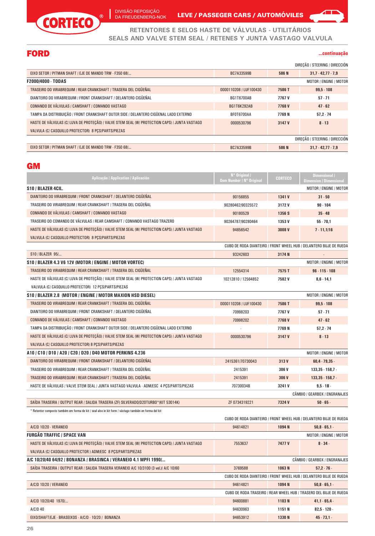

 $\overline{\phantom{a}}$ 

DA FREUDENBERG-NOK LEVE / PASSEGER CARS / AUTOMOVILES

**RETENTORES E SELOS HASTE DE VÁLVULAS - UTILITÁRIOS SEALS AND VALVE STEM SEAL / RETENES Y JUNTA VASTAGO VALVULA**

# FORD

**...continuação**

 $\sqrt{1}$ 

|                                                                                                |                        |        | DIRECÃO / STEERING / DIRECCIÓN |
|------------------------------------------------------------------------------------------------|------------------------|--------|--------------------------------|
| EIXO SETOR / PITMAN SHAFT / EJE DE MANDO TRW - F350 68/                                        | BC7A33599B             | 586 N  | $31.7 - 42.77 - 7.9$           |
| F2000/4000 - TODAS                                                                             |                        |        | MOTOR / ENGINE / MOTOR         |
| TRASEIRO DO VIRABREQUIM / REAR CRANKSHAFT / TRASERA DEL CIGÜEÑAL                               | 0000110208 / LUF100430 | 7586T  | $99.5 - 108$                   |
| DIANTEIRO DO VIRABREQUIM / FRONT CRANKSHAFT / DELANTERO CIGÜEÑAL                               | <b>BG1T6700AB</b>      | 7767 V | $57 - 71$                      |
| COMANDO DE VÁLVULAS / CAMSHAFT / COMANDO VASTAGO                                               | <b>BG1T6K292AB</b>     | 7768V  | $47 - 62$                      |
| TAMPA DA DISTRIBUICÃO / FRONT CRANKSHAFT OUTER SIDE / DELANTERO CIGÜENAL LADO EXTERNO          | <b>BF0T6700AA</b>      | 7769 N | $57.2 - 74$                    |
| HASTE DE VÁLVULAS (C/ LUVA DE PROTECÃO) / VALVE STEM SEAL (W/ PROTECTION CAPS) / JUNTA VASTAGO | 0000530796             | 3147 V | $8 - 13$                       |
| VALVULA (C/ CASQUILLO PROTECTOR) 8 PCS/PARTS/PIEZAS                                            |                        |        |                                |
|                                                                                                |                        |        | DIRECÃO / STEERING / DIRECCIÓN |
| EIXO SETOR / PITMAN SHAFT / EJE DE MANDO TRW - F350 68/                                        | BC7A33599B             | 586 N  | $31.7 - 42.77 - 7.9$           |

#### **GM**

| Aplicacão / Application / Aplicación                                                                  | N° Original /<br><b>Oem Number / N° Original</b> | <b>CORTECO</b> | Dimensional /<br><b>Dimension / Dimensional</b>                    |
|-------------------------------------------------------------------------------------------------------|--------------------------------------------------|----------------|--------------------------------------------------------------------|
| S10 / BLAZER 4CIL.                                                                                    |                                                  |                | MOTOR / ENGINE / MOTOR                                             |
| DIANTEIRO DO VIRABREQUIM / FRONT CRANKSHAFT / DELANTERO CIGÜEÑAL                                      | 90156855                                         | 1341 V         | $31 - 50$                                                          |
| TRASEIRO DO VIRABREQUIM / REAR CRANKSHAFT / TRASERA DEL CIGÜEÑAL                                      | 90280462/90325572                                | 3172V          | $90 - 104$                                                         |
| COMANDO DE VÁLVULAS / CAMSHAFT / COMANDO VASTAGO                                                      | 90180529                                         | 1356 S         | $35 - 48$                                                          |
| TRASEIRO DO COMANDO DE VÁLVULAS / REAR CAMSHAFT / COMANDO VASTAGO TRAZERO                             | 90264787/90280464                                | 1353 V         | $55 - 70.1$                                                        |
| HASTE DE VÁLVULAS (C/ LUVA DE PROTECÃO) / VALVE STEM SEAL (W/ PROTECTION CAPS) / JUNTA VASTAGO        | 94656542                                         | 3008V          | $7 - 11,1/16$                                                      |
| VALVULA (C/ CASQUILLO PROTECTOR) 8 PCS/PARTS/PIEZAS                                                   |                                                  |                |                                                                    |
|                                                                                                       |                                                  |                | CUBO DE RODA DIANTEIRO / FRONT WHEEL HUB / DELANTERO BUJE DE RUEDA |
| S10 / BLAZER 95/                                                                                      | 93242603                                         | 3174N          | $\overline{a}$                                                     |
| S10 / BLAZER 4.3 V6 12V (MOTOR / ENGINE / MOTOR VORTEC)                                               |                                                  |                | MOTOR / ENGINE / MOTOR                                             |
| TRASEIRO DO VIRABREQUIM / REAR CRANKSHAFT / TRASERA DEL CIGÜEÑAL                                      | 12554314                                         | 7575T          | $96 - 115 - 108$                                                   |
| HASTE DE VÁLVULAS (C/ LUVA DE PROTECÃO) / VALVE STEM SEAL (W/ PROTECTION CAPS) / JUNTA VASTAGO        | 10212810 / 12564852                              | 7582V          | $8,6 - 14,1$                                                       |
| VALVULA (C/ CASQUILLO PROTECTOR) 12 PCS/PARTS/PIEZAS                                                  |                                                  |                |                                                                    |
| S10 / BLAZER 2.8 (MOTOR / ENGINE / MOTOR MAXION HSD DIESEL)                                           |                                                  |                | MOTOR / ENGINE / MOTOR                                             |
| TRASEIRO DO VIRABREQUIM / REAR CRANKSHAFT / TRASERA DEL CIGÜEÑAL                                      | 0000110208 / LUF100430                           | 7586T          | $99.5 - 108$                                                       |
| DIANTEIRO DO VIRABREQUIM / FRONT CRANKSHAFT / DELANTERO CIGÜEÑAL                                      | 70998203                                         | 7767 V         | $57 - 71$                                                          |
| COMANDO DE VÁLVULAS / CAMSHAFT / COMANDO VASTAGO                                                      | 70998202                                         | 7768V          | $47 - 62$                                                          |
| TAMPA DA DISTRIBUICÃO / FRONT CRANKSHAFT OUTER SIDE / DELANTERO CIGÜENAL LADO EXTERNO                 |                                                  | 7769 N         | $57.2 - 74$                                                        |
| HASTE DE VÁLVULAS (C/ LUVA DE PROTECÃO) / VALVE STEM SEAL (W/ PROTECTION CAPS) / JUNTA VASTAGO        | 0000530796                                       | 3147 V         | $8 - 13$                                                           |
| VALVULA (C/ CASQUILLO PROTECTOR) 8 PCS/PARTS/PIEZAS                                                   |                                                  |                |                                                                    |
| A10 / C10 / D10 / A20 / C20 / D20 / D40 MOTOR PERKINS 4.236                                           |                                                  |                | MOTOR / ENGINE / MOTOR                                             |
| DIANTEIRO DO VIRABREQUIM / FRONT CRANKSHAFT / DELANTERO CIGÜEÑAL                                      | 2415361/70730043                                 | 313V           | $60,4 - 79,35$ .                                                   |
| TRASEIRO DO VIRABREQUIM / REAR CRANKSHAFT / TRASERA DEL CIGÜEÑAL                                      | 2415391                                          | 306 V          | $133.35 - 158.7 -$                                                 |
| TRASEIRO DO VIRABREQUIM / REAR CRANKSHAFT / TRASERA DEL CIGÜEÑAL                                      | 2415391                                          | 306 V          | $133,35 \cdot 158,7$ .                                             |
| HASTE DE VÁLVULAS / VALVE STEM SEAL / JUNTA VASTAGO VALVULA - ADM/ESC 4 PCS/PARTS/PIEZAS              | 70730034B                                        | 3241 V         | $9.5 - 1B -$                                                       |
|                                                                                                       |                                                  |                | CÂMBIO / GEARBOX / ENGRANAJES                                      |
| SAIDA TRASEIRA / OUTPUT REAR / SALIDA TRASERA (ZF) SILVERADO/D20TURBO*(KIT 53014K)                    | ZF 0734319221                                    | 7324 V         | $50 - 65 -$                                                        |
| * Retentor composto também em forma de kit / seal also in kit form / vástago también en forma del kit |                                                  |                | CUBO DE RODA DIANTEIRO / FRONT WHEEL HUB / DELANTERO BUJE DE RUEDA |

| A/C/D 10/20 - VERANEIO                                                                         | 94614821 | 1094 <sub>N</sub> | 50,8.65,1.                                                         |
|------------------------------------------------------------------------------------------------|----------|-------------------|--------------------------------------------------------------------|
| FURGÃO TRAFFIC / SPACE VAN                                                                     |          |                   | MOTOR / ENGINE / MOTOR                                             |
| HASTE DE VÁLVULAS (C/ LUVA DE PROTECÃO) / VALVE STEM SEAL (W/ PROTECTION CAPS) / JUNTA VASTAGO | 7553637  | 7477 V            | $8 - 34 -$                                                         |
| VALVULA (C/ CASQUILLO PROTECTOR ) ADM/ESC 8 PCS/PARTS/PIEZAS                                   |          |                   |                                                                    |
| A/C 10/20/40 64/92 / BONANZA / BRASINCA / VERANEIO 4.1 MPFI 1990/                              |          |                   | CÂMBIO / GEARBOX / ENGRANAJES                                      |
| SAÍDA TRASEIRA / OUTPUT REAR / SALIDA TRASERA VERANEIO A/C 10/3100 (3 vel.)/ A/C 10/60         | 3769588  | 1063N             | $57.2 - 76$                                                        |
|                                                                                                |          |                   | CUBO DE RODA DIANTEIRO / FRONT WHEEL HUB / DELANTERO BUJE DE RUEDA |
| A/C/D 10/20 / VERANEIO                                                                         | 94614821 | 1094 <sub>N</sub> | $50,8 - 65,1 -$                                                    |
|                                                                                                |          |                   | CUBO DE RODA TRASEIRO / REAR WHEEL HUB / TRASERO DEL BUJE DE RUEDA |
| A/C/D 10/20/40 1970/                                                                           | 94600881 | 1103N             | 41,1.65,4.                                                         |
| A/C/D 40                                                                                       | 94630963 | 1151 N            | $82,5 - 120 -$                                                     |
| EIXO/SHAFT/EJE - BRASEIXOS - A/C/D - 10/20 / BONANZA                                           | 94653912 | 1330 N            | $45 - 73.1 -$                                                      |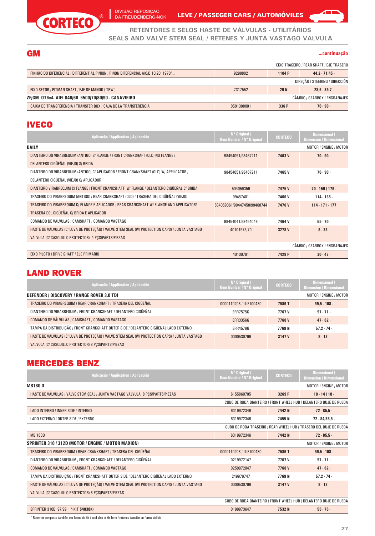

DIVISÃO REPOSIÇÃO DA FREUDENBERG-NOK

LEVE / PASSEGER CARS / AUTOMÓVILES

**RETENTORES E SELOS HASTE DE VÁLVULAS - UTILITÁRIOS SEALS AND VALVE STEM SEAL / RETENES Y JUNTA VASTAGO VALVULA**

GM **...continuação**

◢

|                                                                                     |            |             | EIXO TRASEIRO / REAR SHAFT / EJE TRASERO |
|-------------------------------------------------------------------------------------|------------|-------------|------------------------------------------|
| PINHÃO DO DIFERENCIAL / DIFFERENTIAL PINION / PINON DIFERENCIAL A/C/D 10/20 1970/   | 9298802    | 1104 P      | $44.2 \cdot 71.45$                       |
|                                                                                     |            |             | DIRECÃO / STEERING / DIRECCIÓN           |
| EIXO SETOR / PITMAN SHAFT / EJE DE MANDO (TRW)                                      | 7317552    | <b>29 N</b> | $28.6 - 39.7 -$                          |
| CÂMBIO / GEARBOX / ENGRANAJES<br>ZF/GM QT6x4 AIEI D40/60 6500/70/80/90 - CANAVIEIRO |            |             |                                          |
| CAIXA DE TRANSFERÊNCIA / TRANSFER BOX / CAJA DE LA TRANSFERENCIA                    | 0501398001 | 336 P       | $70 - 90 -$                              |

#### **IVECO**

| Aplicação / Application / Aplicación                                                           | N° Original /<br><b>Oem Number / N° Original</b> | <b>CORTECO</b> | Dimensional /<br><b>Dimension / Dimensional</b> |
|------------------------------------------------------------------------------------------------|--------------------------------------------------|----------------|-------------------------------------------------|
| <b>DAILY</b>                                                                                   |                                                  |                | MOTOR / ENGINE / MOTOR                          |
| DIANTEIRO DO VIRABREQUIM (ANTIGO) S/ FLANGE / FRONT CRANKSHAFT (OLD) NO FLANGE /               | 98454051/98467211                                | 7463V          | $70.90 -$                                       |
| DELANTERO CIGÜEÑAL (VIEJO) S/ BRIDA                                                            |                                                  |                |                                                 |
| DIANTEIRO DO VIRABREQUIM (ANTIGO) C/ APLICADOR / FRONT CRANKSHAFT (OLD) W/ APPLICATOR /        | 98454051/98467211                                | 7465V          | $70 - 90 -$                                     |
| DELANTERO CIGÜEÑAL (VIEJO) C/ APLICADOR                                                        |                                                  |                |                                                 |
| DIANTEIRO VIRABREQUIM C/ FLANGE / FRONT CRANKSHAFT W/ FLANGE / DELANTERO CIGÜEÑAL C/ BRIDA     | 504059359                                        | 7475V          | 70.159/179.                                     |
| TRASEIRO DO VIRABREQUIM (ANTIGO) / REAR CRANKSHAFT (OLD) / TRASERA DEL CIGÜEÑAL (VIEJO)        | 99457401                                         | 7466V          | 114.135.                                        |
| TRASEIRO DO VIRABREQUIM C/ FLANGE E APLICADOR / REAR CRANKSHAFT W/ FLANGE AND APPLICATOR/      | 504059361/99447458/99468744                      | 7476V          | $114 \cdot 171 \cdot 177$                       |
| TRASERA DEL CIGÜEÑAL C/ BRIDA E APLICADOR                                                      |                                                  |                |                                                 |
| COMANDO DE VÁLVULAS / CAMSHAFT / COMANDO VASTAGO                                               | 98454041/98454048                                | 7464 V         | $55 - 70 -$                                     |
| HASTE DE VÁLVULAS (C/ LUVA DE PROTEÇÃO) / VALVE STEM SEAL (W/ PROTECTION CAPS) / JUNTA VASTAGO | 40101573/70                                      | 3278V          | $8 - 33 -$                                      |
| VALVULA (C/ CASQUILLO PROTECTOR) 4 PCS/PARTS/PIEZAS                                            |                                                  |                |                                                 |
|                                                                                                |                                                  |                | CÂMBIO / GEARBOX / ENGRANAJES                   |
| EIXO PILOTO / DRIVE SHAFT / EJE PRIMARIO                                                       | 40100791                                         | 7428 P         | $30 - 47$ .                                     |

# LAND ROVER

| Aplicação / Application / Aplicación                                                           | $N^{\circ}$ Original /<br>Oem Number / N° Original | <b>CORTECO</b> | Dimensional /<br><b>Dimension / Dimensional</b> |
|------------------------------------------------------------------------------------------------|----------------------------------------------------|----------------|-------------------------------------------------|
| DEFENDER / DISCOVERY / RANGE ROVER 3.0 TDI                                                     |                                                    |                | MOTOR / ENGINE / MOTOR                          |
| TRASEIRO DO VIRABREQUIM / REAR CRANKSHAFT / TRASERA DEL CIGÜEÑAL                               | 0000110208 / LUF100430                             | 7586 T         | $99.5 - 108 -$                                  |
| DIANTEIRO DO VIRABREQUIM / FRONT CRANKSHAFT / DELANTERO CIGÜEÑAL                               | <b>ERR7575G</b>                                    | 7767 V         | $57 - 71$                                       |
| COMANDO DE VÁLVULAS / CAMSHAFT / COMANDO VASTAGO                                               | <b>ERR3356G</b>                                    | 7768V          | $47 - 62$                                       |
| TAMPA DA DISTRIBUICÃO / FRONT CRANKSHAFT OUTER SIDE / DELANTERO CIGÜENAL LADO EXTERNO          | <b>ERR4576G</b>                                    | 7769N          | $57.2 - 74$                                     |
| HASTE DE VÁLVULAS (C/ LUVA DE PROTECÃO) / VALVE STEM SEAL (W/ PROTECTION CAPS) / JUNTA VASTAGO | 0000530796                                         | 3147 V         | $8 - 13 -$                                      |
| VALVULA (C/ CASQUILLO PROTECTOR) 8 PCS/PARTS/PIEZAS                                            |                                                    |                |                                                 |

# MERCEDES BENZ

| Aplicação / Application / Aplicación                                                           | N° Original /<br><b>Oem Number / N° Original</b> | <b>CORTECO</b> | Dimensional /<br><b>Dimension / Dimensional</b>                    |
|------------------------------------------------------------------------------------------------|--------------------------------------------------|----------------|--------------------------------------------------------------------|
| <b>MB180 D</b>                                                                                 |                                                  |                | MOTOR / ENGINE / MOTOR                                             |
| HASTE DE VÁLVULAS / VALVE STEM SEAL / JUNTA VASTAGO VALVULA 8 PÇS/PARTS/PIEZAS                 | 6155860705                                       | 3269 P         | $10 - 14 / 18 -$                                                   |
|                                                                                                |                                                  |                | CUBO DE RODA DIANTEIRO / FRONT WHEEL HUB / DELANTERO BUJE DE RUEDA |
| LADO INTERNO / INNER SIDE / INTERNO                                                            | 6319972346                                       | 7442 N         | $72 - 85.5 -$                                                      |
| LADO EXTERNO / OUTER SIDE / EXTERNO                                                            | 6319972346                                       | 7455N          | $72 - 84/85.5 -$                                                   |
|                                                                                                |                                                  |                | CUBO DE RODA TRASEIRO / REAR WHEEL HUB / TRASERO DEL BUJE DE RUEDA |
| <b>MB 180D</b>                                                                                 | 6319972346                                       | 7442 N         | $72 - 85.5 -$                                                      |
| SPRINTER 310 / 312D (MOTOR / ENGINE / MOTOR MAXION)                                            |                                                  |                | MOTOR / ENGINE / MOTOR                                             |
| TRASEIRO DO VIRABREQUIM / REAR CRANKSHAFT / TRASERA DEL CIGÜEÑAL                               | 0000110208 / LUF100430                           | 7586 T         | $99,5 - 108 -$                                                     |
| DIANTEIRO DO VIRABREQUIM / FRONT CRANKSHAFT / DELANTERO CIGÜEÑAL                               | 0219972147                                       | 7767 V         | $57 - 71 -$                                                        |
| COMANDO DE VÁLVULAS / CAMSHAFT / COMANDO VASTAGO                                               | 0259972047                                       | 7768V          | $47 - 62 -$                                                        |
| TAMPA DA DISTRIBUIÇÃO / FRONT CRANKSHAFT OUTER SIDE / DELANTERO CIGÜENAL LADO EXTERNO          | 249976747                                        | 7769 N         | $57,2 - 74 -$                                                      |
| HASTE DE VÁLVULAS (C/ LUVA DE PROTEÇÃO) / VALVE STEM SEAL (W/ PROTECTION CAPS) / JUNTA VASTAGO | 0000530796                                       | 3147 V         | $8 - 13 -$                                                         |
| VALVULA (C/ CASQUILLO PROTECTOR) 8 PCS/PARTS/PIEZAS                                            |                                                  |                |                                                                    |
|                                                                                                |                                                  |                | CUBO DE RODA DIANTEIRO / FRONT WHEEL HUB / DELANTERO BUJE DE RUEDA |
| <b>SPRINTER 310D 97/99</b><br>$*(KIT 54038K)$                                                  | 0199973647                                       | 7532 N         | $55 - 75 -$                                                        |

\* Retentor composto também em forma de kit / seal also in kit form / retenes también en forma del kit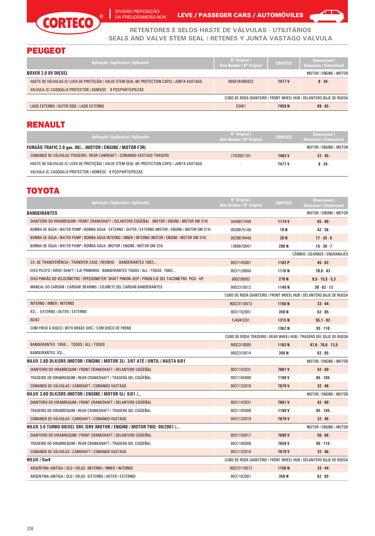

DA FREUDENBERG-NOK LEVE / PASSEGER CARS / AUTOMOVILES



**RETENTORES E SELOS HASTE DE VÁLVULAS - UTILITÁRIOS SEALS AND VALVE STEM SEAL / RETENES Y JUNTA VASTAGO VALVULA**

# PEUGEOT

| Aplicação / Application / Aplicación                                                           | $N^{\circ}$ Original /<br>Oem Number / N° Original | <b>CORTECO</b> | Dimensional /<br><b>Dimension / Dimensional</b>                    |
|------------------------------------------------------------------------------------------------|----------------------------------------------------|----------------|--------------------------------------------------------------------|
| <b>BOXER 2.0 8V DIESEL</b>                                                                     |                                                    |                | MOTOR / ENGINE / MOTOR                                             |
| HASTE DE VÁLVULAS (C/ LUVA DE PROTECÃO) / VALVE STEM SEAL (W/ PROTECTION CAPS) / JUNTA VASTAGO | 095618/095622                                      | 7477 V         | $8 - 34 -$                                                         |
| VALVULA (C/ CASQUILLO PROTECTOR ) ADM/ESC 8 PCS/PARTS/PIEZAS                                   |                                                    |                |                                                                    |
|                                                                                                |                                                    |                | CUBO DE RODA DIANTEIRO / FRONT WHEEL HUB / DELANTERO BUJE DE RUEDA |
| LADO EXTERNO / OUTER SIDE / LADO EXTERNO                                                       | 33461                                              | 7459 N         | $69 - 85$                                                          |

#### RENAULT

| Aplicação / Application / Aplicación                                                           | $N^{\circ}$ Original /<br>Oem Number / N° Original | <b>CORTECO</b> | Dimensional /<br><b>Dimension / Dimensional</b> |
|------------------------------------------------------------------------------------------------|----------------------------------------------------|----------------|-------------------------------------------------|
| FURGÃO TRAFIC 2.0 gas. 98/ (MOTOR / ENGINE / MOTOR F3R)                                        |                                                    |                | MOTOR / ENGINE / MOTOR                          |
| COMANDO DE VÁLVULAS TRASEIRO / REAR CAMSHAFT / COMANDO VASTAGO TRASERO                         | 7703087191                                         | 7483V          | $22 - 45$                                       |
| HASTE DE VÁLVULAS (C/ LUVA DE PROTECÃO) / VALVE STEM SEAL (W/ PROTECTION CAPS) / JUNTA VASTAGO |                                                    | 7477 V         | $8 - 34 -$                                      |
| VALVULA (C/ CASQUILLO PROTECTOR ) ADM/ESC 8 PCS/PARTS/PIEZAS                                   |                                                    |                |                                                 |

# TOYOTA

| Aplicação / Application / Aplicación                                                                | N° Original /<br><b>Oem Number / N° Original</b> | <b>CORTECO</b>    | Dimensional /<br><b>Dimension / Dimensional</b>                    |
|-----------------------------------------------------------------------------------------------------|--------------------------------------------------|-------------------|--------------------------------------------------------------------|
| <b>BANDEIRANTES</b>                                                                                 |                                                  |                   | MOTOR / ENGINE / MOTOR                                             |
| DIANTEIRO DO VIRABREQUIM / FRONT CRANKSHAFT / DELANTERO CIGÜEÑAL (MOTOR / ENGINE / MOTOR OM 314)    | 3449977446                                       | 1174 V            | $65 - 90 -$                                                        |
| BOMBA DE ÁGUA / WATER PUMP / BOMBA AGUA - EXTERNO / OUTER / EXTERNO (MOTOR / ENGINE / MOTOR OM 314) | 0039975146                                       | 19N               | $42 - 56 -$                                                        |
| BOMBA DE AGUA / WATER PUMP / BOMBA AGUA INTERNO / INNER / INTERNO (MOTOR / ENGINE / MOTOR OM 314)   | 0029878446                                       | <b>20N</b>        | $17 - 35 - 6$                                                      |
| BOMBA DE ÁGUA / WATER PUMP / BOMBA AGUA (MOTOR / ENGINE / MOTOR OM 324)                             | 1369970047                                       | <b>200 N</b>      | $15 - 30 - 7$                                                      |
|                                                                                                     |                                                  |                   | CÂMBIO / GEARBOX / ENGRANAJES                                      |
| CX. DE TRANSFERÊNCIA / TRANSFER CASE / REENVIO BANDEIRANTES 1982/                                   | 9031145001                                       | 1182 P            | $45 - 62 -$                                                        |
| EIXO PILOTO / DRIVE SHAFT / EJE PRIMARIO - BANDEIRANTES TODOS / ALL / TODOS 1960/                   | 9037128004                                       | 1110N             | $28.6 - 43 -$                                                      |
| EIXO PINHÃO DO VELOCÍMETRO / SPEEDOMETER' SHAFT PINION JEEP / PINON EJE DEL TACOMETRO PICK - UP     | 900230002                                        | 278N              | $9,5 - 15,5 - 5,3$                                                 |
| MANCAL DO CARDAN / CARDAN' BEARING / COJINETE DEL CARDAN BANDEIRANTES                               | 9002310012                                       | 1149 <sub>N</sub> | $38 - 62 - 12$                                                     |
|                                                                                                     |                                                  |                   | CUBO DE RODA DIANTEIRO / FRONT WHEEL HUB / DELANTERO BUJE DE RUEDA |
| INTERNO / INNER / INTERNO                                                                           | 90023110013                                      | 1150N             | $33 - 44$ .                                                        |
| 83/ EXTERNO / OUTER / EXTERNO                                                                       | 9031162001                                       | 359 N             | $62 - 85 -$                                                        |
| 60/82                                                                                               | FJ4043201                                        | 1315N             | $55,1.82$ .                                                        |
| COM FREIO À DISCO / WITH BRAKE DISC / COM DISCO DE FRENO                                            |                                                  | 1362N             | $93 - 110 -$                                                       |
|                                                                                                     |                                                  |                   | CUBO DE RODA TRASEIRO / REAR WHEEL HUB / TRASERO DEL BUJE DE RUEDA |
| BANDEIRANTES 1958/ TODOS / ALL / TODOS                                                              | 9002310005                                       | 1183N             | $47,6 - 70,6 - 13,5$                                               |
| <b>BANDEIRANTES 83/</b>                                                                             | 9002310014                                       | 359 N             | $62 - 85 -$                                                        |
| HILUX 2.8D DLX/SR5 (MOTOR / ENGINE / MOTOR 3L)  3/97 ATÉ / UNTIL / HASTA 6/01                       |                                                  |                   | MOTOR / ENGINE / MOTOR                                             |
| DIANTEIRO DO VIRABREQUIM / FRONT CRANKSHAFT / DELANTERO CIGÜEÑAL                                    | 9031142031                                       | 7681V             | $42 - 60 -$                                                        |
| TRASEIRO DO VIRABREQUIM / REAR CRANKSHAFT / TRASERA DEL CIGÜEÑAL                                    | 9031185008                                       | 1189 V            | $85 - 105 -$                                                       |
| COMANDO DE VÁLVULAS / CAMSHAFT / COMANDO VASTAGO                                                    | 9031132019                                       | 7679V             | $32 - 46 -$                                                        |
| HILUX 3.0D DLX/SR5 (MOTOR / ENGINE / MOTOR 5L) 6/01 /                                               |                                                  |                   | MOTOR / ENGINE / MOTOR                                             |
| DIANTEIRO DO VIRABREQUIM / FRONT CRANKSHAFT / DELANTERO CIGÜEÑAL                                    | 9031142031                                       | 7681V             | $42 - 60 -$                                                        |
| TRASEIRO DO VIRABREQUIM / REAR CRANKSHAFT / TRASERA DEL CIGÜEÑAL                                    | 9031185008                                       | 1189 V            | $85 - 105 -$                                                       |
| COMANDO DE VALVULAS / CAMSHAFT / COMANDO VASTAGO                                                    | 9031132019                                       | 7679V             | $32 - 46 -$                                                        |
| HILUX 3.0 TURBO DIESEL SR5 /SRV (MOTOR / ENGINE / MOTOR TBO)  08/2001 /                             |                                                  |                   | MOTOR / ENGINE / MOTOR                                             |
| DIANTEIRO DO VIRABREQUIM / FRONT CRANKSHAFT / DELANTERO CIGÜEÑAL                                    | 9031150017                                       | 7680V             | $50 - 68 -$                                                        |
| TRASEIRO DO VIRABREQUIM / REAR CRANKSHAFT / TRASERA DEL CIGÜEÑAL                                    | 9031195008                                       | 7658V             | $95 - 115$ .                                                       |
| COMANDO DE VÁLVULAS / CAMSHAFT / COMANDO VASTAGO                                                    | 9031132019                                       | 7679V             | $32 - 46 -$                                                        |
| HILUX / Sw4                                                                                         |                                                  |                   | CUBO DE RODA DIANTEIRO / FRONT WHEEL HUB / DELANTERO BUJE DE RUEDA |
| ARGENTINA (ANTIGA / OLD / VIEJO) (INTERNO / INNER / INTERNO)                                        | 90023110013                                      | 1150 <sub>N</sub> | $33 - 44 -$                                                        |
| ARGENTINA (ANTIGA / OLD / VIEJO) (EXTERNO / OUTER / EXTERNO)                                        | 9031162001                                       | 359N              | $62 - 85 -$                                                        |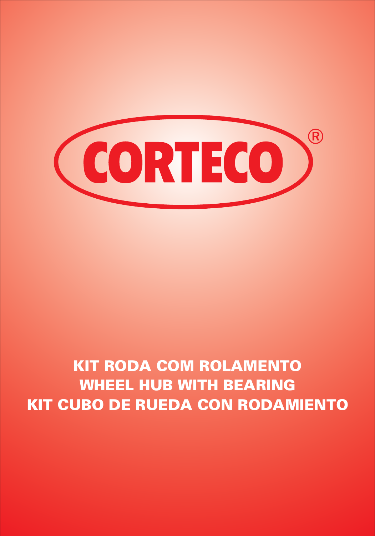

# *KIT RODA COM ROLAMENTO WHEEL HUB WITH BEARING KIT CUBO DE RUEDA CON RODAMIENTO*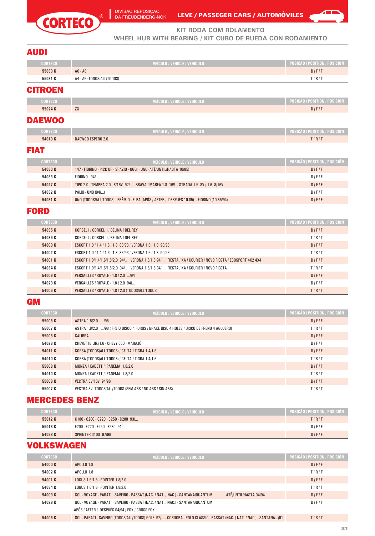



**KIT RODA COM ROLAMENTO**

**WHEEL HUB WITH BEARING / KIT CUBO DE RUEDA CON RODAMIENTO**

#### AUDI

| <b>CORTECO</b> | VEÍCULO / VEHICLE / VEHICULO   | POSIÇÃO / POSITION / POSICIÓN   |
|----------------|--------------------------------|---------------------------------|
| 55030 K        | $AG - AS$                      | $D$ $ F F$                      |
| 55031 K        | A4 - A6 (TODOS/ALL/TODOS)      | TIRIT                           |
| <b>CITROEN</b> |                                |                                 |
| <b>CORTECO</b> | VEÍCULO / VEHICLE / VEHICULO , | POSIÇÃO / POSITION / POSICIÓN / |

#### **55024 K** ZX D / F / F

#### DAEWOO

| <b>CORTECO</b> | VEICULO / VEHICLE / VEHICULO | <b>POSICAO / POSITION / POSICION</b> |
|----------------|------------------------------|--------------------------------------|
| 54010K         | DAEWOO ESPERO 2.0            | T/R/T                                |

#### FIAT

| <b>CORTECO</b> | VEICULO / VEHICLE / VEHICULO                                                              | <b>POSICÃO / POSITION / POSICIÓN</b> |
|----------------|-------------------------------------------------------------------------------------------|--------------------------------------|
| 54030K         | 147 - FIORINO - PICK UP - SPAZIO - OGGI - UNO (ATÉ/UNTIL/HASTA 10/85)                     | $D$ $IF$                             |
| 54033 K        | FIORINO 94/                                                                               | $D$ $IF$ $IF$                        |
| 54027K         | TIPO 2.0 · TEMPRA 2.0 · 8/16V 92/ · BRAVA / MAREA 1.8 16V · STRADA 1.5 8V / 1.6 8/16V     | $D$ $IF$                             |
| 54032 K        | PÁLIO - UNO (94/)                                                                         | $D$ $IF$ $IF$                        |
| 54031K         | UNO (TODOS/ALL/TODOS) - PRÊMIO - ELBA (APÓS / AFTER / DESPUÉS 10-85) - FIORINO (10-85/94) | $D$ $IF$                             |

#### FORD

| <b>CORTECO</b> | VEÍCULO / VEHICLE / VEHICULO                                                                             | POSIÇÃO / POSITION / POSICIÓN |
|----------------|----------------------------------------------------------------------------------------------------------|-------------------------------|
| 54035 K        | CORCEL I / CORCEL II / BELINA / DEL REY                                                                  | $D$ $IF$                      |
| 54036 K        | CORCEL I / CORCEL II / BELINA / DEL REY                                                                  | TIRIT                         |
| 54000 K        | ESCORT 1.0 / 1.4 / 1.6 / 1.8 83/93 / VERONA 1.6 / 1.8 90/93                                              | $D$ $F$ $F$                   |
| 54002 K        | ESCORT 1.0 / 1.4 / 1.6 / 1.8 83/93 / VERONA 1.6 / 1.8 90/93                                              | TIRIT                         |
| 54001 K        | ESCORT 1.0/1.4/1.6/1.8/2.0 94/ VERONA 1.6/1.8 94/ FIESTA / KA / COURIER / NOVO FIESTA / ECOSPORT 4X2 4X4 | $D$ $IF$                      |
| 54034 K        | ESCORT 1.0/1.4/1.6/1.8/2.0 94/ VERONA 1.6/1.8 94/ FIESTA / KA / COURIER / NOVO FIESTA                    | TIRIT                         |
| 54009 K        | VERSAILLES / ROYALE - 1.8 / 2.0  /94                                                                     | $D$ $IF$                      |
| 54029 K        | VERSAILLES / ROYALE - 1.8 / 2.0 94/                                                                      | $D$ $IF$ $IF$                 |
| 54006 K        | VERSAILLES / ROYALE - 1.8 / 2.0 (TODOS/ALL/TODOS)                                                        | TIRIT                         |

#### **GM**

| <b>CORTECO</b> | VEÍCULO / VEHICLE / VEHICULO                                                             | POSIÇÃO / POSITION / POSICIÓN |
|----------------|------------------------------------------------------------------------------------------|-------------------------------|
| 55008 K        | ASTRA 1.8/2.0 /98                                                                        | $D$ $IF$                      |
| 55007 K        | ASTRA 1.8/2.0 /98 ( FREID DISCO 4 FUROS / BRAKE DISC 4 HOLES / DISCO DE FRENO 4 AGUJERO) | TIRIT                         |
| 55008 K        | CALIBRA                                                                                  | $D$ $F$ $F$                   |
| 54028 K        | CHEVETTE JR./1.6 - CHEVY 500 - MARAJÓ                                                    | $D$ / $F$ / $F$               |
| 54011 K        | CORSA (TODOS/ALL/TODOS) / CELTA / TIGRA 1.4/1.6                                          | $D$ $F$ $F$                   |
| 54010 K        | CORSA (TODOS/ALL/TODOS) / CELTA / TIGRA 1.4/1.6                                          | TIRIT                         |
| 55008 K        | MONZA / KADETT / IPANEMA 1.8/2.0                                                         | $D$ $F$ $F$                   |
| 54010 K        | MONZA / KADETT / IPANEMA 1.8/2.0                                                         | TIRIT                         |
| 55008 K        | <b>VECTRA 8V/16V 94/96</b>                                                               | $D$ $F$ $F$                   |
| 55007 K        | VECTRA 8V TODOS/ALL/TODOS (SEM ABS / NO ABS / SIN ABS)                                   | TIRIT                         |

#### MERCEDES BENZ

| <b>CORTECO</b> | VEICULO / VEHICLE / VEHICULO /       | <b>POSICÃO / POSITION / POSICIÓN</b> |
|----------------|--------------------------------------|--------------------------------------|
| 55012K         | C180 - C200 - C220 - C250 - C280 93/ | TIRIT                                |
| 55013K         | E200 - E220 - E250 - E280 94/        | $D$ $IF$ $IF$                        |
| 54038K         | <b>SPRINTER 310D 97/99</b>           | $D$ $IF$ $IF$                        |

# VOLKSWAGEN

| <b>CORTECO</b> | VEÍCULO / VEHICLE / VEHICULO                                                                                          | <u>  Posicã</u> o / Position / Posición ; |
|----------------|-----------------------------------------------------------------------------------------------------------------------|-------------------------------------------|
| 54000 K        | APOLLO 1.8                                                                                                            | $D$ $IF$                                  |
| 54002 K        | APOLLO 1.8                                                                                                            | TIRIT                                     |
| 54001K         | LOGUS 1.6/1.8 - POINTER 1.8/2.0                                                                                       | $D$ $IF$                                  |
| 54034 K        | LOGUS 1.6/1.8 - POINTER 1.8/2.0                                                                                       | TIRIT                                     |
| 54009 K        | ATÉ/UNTIL/HASTA 04/94<br>GOL · VOYAGE · PARATI · SAVEIRO · PASSAT (NAC. / NAT. / NAC.) · SANTANA/QUANTUM              | $D$ $IF$                                  |
| 54029 K        | GOL - VOYAGE - PARATI - SAVEIRO - PASSAT (NAC. / NAT. / NAC.) - SANTANA/QUANTUM                                       | $D$ $IF$ $IF$                             |
|                | APÓS / AFTER / DESPUÉS 04/94 / FOX / CROSS FOX                                                                        |                                           |
| 54006 K        | GOL - PARATI - SAVEIRO (TODOS/ALL/TODOS) GOLF 92/ - CORDOBA - POLO CLASSIC - PASSAT (NAC. / NAT. / NAC.) - SANTANA/O1 | TIRIT                                     |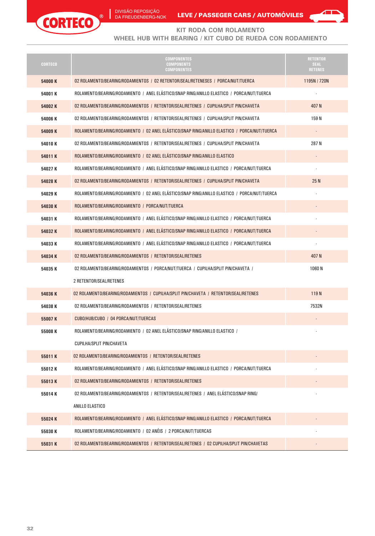



#### **KIT RODA COM ROLAMENTO**

#### **WHEEL HUB WITH BEARING / KIT CUBO DE RUEDA CON RODAMIENTO**

| <b>CORTECO</b> | <b>COMPONENTES</b><br><b>COMPONENTS</b><br><b>COMPONENTES</b>                                | <b>RETENTOR</b><br><b>SEAL</b><br><b>RETENES</b> |
|----------------|----------------------------------------------------------------------------------------------|--------------------------------------------------|
| 54000K         | 02 ROLAMENTO/BEARING/RODAMIENTOS / 02 RETENTOR/SEAL/RETENESES / PORCA/NUT/TUERCA             | 1195N / 720N                                     |
| 54001K         | ROLAMENTO/BEARING/RODAMIENTO / ANEL ELÁSTICO/SNAP RING/ANILLO ELASTICO / PORCA/NUT/TUERCA    |                                                  |
| 54002K         | 02 ROLAMENTO/BEARING/RODAMIENTOS / RETENTOR/SEAL/RETENES / CUPILHA/SPLIT PIN/CHAVETA         | 407 N                                            |
| 54006 K        | 02 ROLAMENTO/BEARING/RODAMIENTOS / RETENTOR/SEAL/RETENES / CUPILHA/SPLIT PIN/CHAVETA         | 159 N                                            |
| 54009 K        | ROLAMENTO/BEARING/RODAMIENTO / 02 ANEL ELÁSTICO/SNAP RING/ANILLO ELASTICO / PORCA/NUT/TUERCA |                                                  |
| 54010K         | 02 ROLAMENTO/BEARING/RODAMIENTOS / RETENTOR/SEAL/RETENES / CUPILHA/SPLIT PIN/CHAVETA         | 287N                                             |
| 54011K         | ROLAMENTO/BEARING/RODAMIENTO / 02 ANEL ELÁSTICO/SNAP RING/ANILLO ELASTICO                    |                                                  |
| 54027K         | ROLAMENTO/BEARING/RODAMIENTO / ANEL ELÁSTICO/SNAP RING/ANILLO ELASTICO / PORCA/NUT/TUERCA    |                                                  |
| 54028K         | 02 ROLAMENTO/BEARING/RODAMIENTOS / RETENTOR/SEAL/RETENES / CUPILHA/SPLIT PIN/CHAVETA         | 25 N                                             |
| 54029K         | ROLAMENTO/BEARING/RODAMIENTO / 02 ANEL ELÁSTICO/SNAP RING/ANILLO ELASTICO / PORCA/NUT/TUERCA |                                                  |
| 54030K         | ROLAMENTO/BEARING/RODAMIENTO / PORCA/NUT/TUERCA                                              |                                                  |
| 54031K         | ROLAMENTO/BEARING/RODAMIENTO / ANEL ELÁSTICO/SNAP RING/ANILLO ELASTICO / PORCA/NUT/TUERCA    |                                                  |
| 54032K         | ROLAMENTO/BEARING/RODAMIENTO / ANEL ELÁSTICO/SNAP RING/ANILLO ELASTICO / PORCA/NUT/TUERCA    |                                                  |
| 54033K         | ROLAMENTO/BEARING/RODAMIENTO / ANEL ELÁSTICO/SNAP RING/ANILLO ELASTICO / PORCA/NUT/TUERCA    |                                                  |
| 54034K         | 02 ROLAMENTO/BEARING/RODAMIENTOS / RETENTOR/SEAL/RETENES                                     | 407 N                                            |
| 54035K         | 02 ROLAMENTO/BEARING/RODAMIENTOS / PORCA/NUT/TUERCA / CUPILHA/SPLIT PIN/CHAVETA /            | 1060 N                                           |
|                | 2 RETENTOR/SEAL/RETENES                                                                      |                                                  |
| 54036K         | 02 ROLAMENTO/BEARING/RODAMIENTOS / CUPILHA/SPLIT PIN/CHAVETA / RETENTOR/SEAL/RETENES         | 119 <sub>N</sub>                                 |
| 54038K         | 02 ROLAMENTO/BEARING/RODAMIENTOS / RETENTOR/SEAL/RETENES                                     | 7532N                                            |
| 55007K         | CUBO/HUB/CUBO / 04 PORCA/NUT/TUERCAS                                                         |                                                  |
| 55008 K        | ROLAMENTO/BEARING/RODAMIENTO / 02 ANEL ELÁSTICO/SNAP RING/ANILLO ELASTICO /                  |                                                  |
|                | <b>CUPILHA/SPLIT PIN/CHAVETA</b>                                                             |                                                  |
| 55011K         | 02 ROLAMENTO/BEARING/RODAMIENTOS / RETENTOR/SEAL/RETENES                                     |                                                  |
| 55012K         | ROLAMENTO/BEARING/RODAMIENTO / ANEL ELÁSTICO/SNAP RING/ANILLO ELASTICO / PORCA/NUT/TUERCA    |                                                  |
| 55013K         | 02 ROLAMENTO/BEARING/RODAMIENTOS / RETENTOR/SEAL/RETENES                                     |                                                  |
| 55014K         | 02 ROLAMENTO/BEARING/RODAMIENTOS / RETENTOR/SEAL/RETENES / ANEL ELÁSTICO/SNAP RING/          |                                                  |
|                | ANILLO ELASTICO                                                                              |                                                  |
| 55024K         | ROLAMENTO/BEARING/RODAMIENTO / ANEL ELÁSTICO/SNAP RING/ANILLO ELASTICO / PORCA/NUT/TUERCA    |                                                  |
| 55030K         | ROLAMENTO/BEARING/RODAMIENTO / 02 ANÉIS / 2 PORCA/NUT/TUERCAS                                |                                                  |
| 55031K         | 02 ROLAMENTO/BEARING/RODAMIENTOS / RETENTOR/SEAL/RETENES / 02 CUPILHA/SPLIT PIN/CHAVETAS     |                                                  |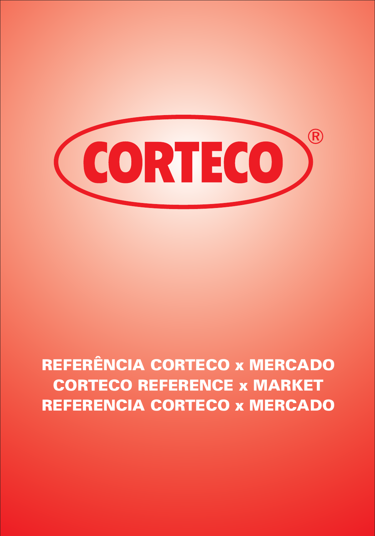

# *REFERÊNCIA CORTECO x MERCADO CORTECO REFERENCE x MARKET REFERENCIA CORTECO x MERCADO*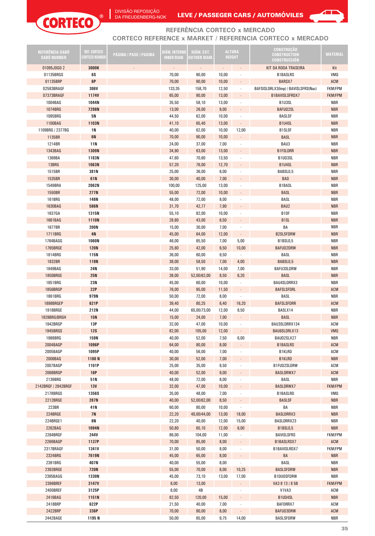

DA FREUDENBERG-NOK LEVE / PASSEGER CARS / AUTOMOVILES



#### **REFERÊNCIA CORTECO x MERCADO CORTECO REFERENCE x MARKET / REFERENCIA CORTECO x MERCADO**

| REFERÊNCIA SABO<br><b>SABÓ NUMBER</b> | <b>REF. CORTECO</b><br>Corteco Number | PÁGINA / PAGE / PAGINA | DIÄM. INTERNO<br><b>INNER DIAM.</b> | DIÂM. EXT.<br>OUTHER DIAM. |                             | <b>ALTURA</b><br><b>HEIGHT</b> | <b>CONSTRUCÃO</b><br><b>CONSTRUCTION</b><br><b>CONSTRUCCIÓN</b> | <b>MATERIAL</b> |
|---------------------------------------|---------------------------------------|------------------------|-------------------------------------|----------------------------|-----------------------------|--------------------------------|-----------------------------------------------------------------|-----------------|
| 01095J0G0 2                           | 3000K                                 |                        | $\mathcal{L}_{\mathcal{A}}$         | $\blacksquare$             | $\mathcal{L}_{\mathcal{A}}$ | $\overline{\phantom{a}}$       | KIT DA RODA TRASEIRA                                            | Kit             |
| 01135BRGS                             | 6S                                    |                        | 70,00                               | 90,00                      | 10,00                       |                                | <b>B1BASLRS</b>                                                 | <b>VMQ</b>      |
| 01135BRP                              | 6P                                    |                        | 70,00                               | 90,00                      | 10,00                       |                                | BARSX7                                                          | ACM             |
| 02583BRAGF                            | 306V                                  |                        | 133,35                              | 158,70                     | 12,50                       |                                | BAFSISLDRLX3(Imp) / BAVISLSFRS(Nac)                             | <b>FKM/FPM</b>  |
|                                       |                                       |                        |                                     |                            |                             |                                |                                                                 |                 |
| 07373BRAGF                            | <b>1174V</b>                          |                        | 65,00                               | 90,00                      | 13,00                       |                                | B1BAVISLSFRDX7                                                  | <b>FKM/FPM</b>  |
| 1004BAG                               | 1044N                                 |                        | 35,50                               | 58,10                      | 13,00                       |                                | B1U3SL                                                          | NBR             |
| 1074BRG                               | 7298N                                 |                        | 13,00                               | 26,00                      | 9,00                        | $\overline{\phantom{a}}$       | <b>BAFUD2SL</b>                                                 | <b>NBR</b>      |
| 1095BRG                               | 5N                                    |                        | 44,50                               | 62,00                      | 10,00                       |                                | <b>BASLSF</b>                                                   | NBR             |
| 1100BAG                               | 1103N                                 |                        | 41,10                               | 65,40                      | 13,00                       |                                | B1U4SL                                                          | <b>NBR</b>      |
| 1109BRG / 2377BG                      | 1 N                                   |                        | 40,00                               | 62,00                      | 10,00                       | 12,00                          | <b>B1SLSF</b>                                                   | <b>NBR</b>      |
| 1135BR                                | <b>6N</b>                             |                        | 70,00                               | 90,00                      | 10,00                       | $\ddot{\phantom{a}}$           | <b>BASL</b>                                                     | <b>NBR</b>      |
| 1214BR                                | 11N                                   |                        | 24,00                               | 37,00                      | 7,00                        |                                | BAU3                                                            | NBR             |
| 1343BAG                               | 1309N                                 |                        | 34,90                               | 63,00                      | 13,00                       | $\overline{\phantom{a}}$       | <b>B1FSLDRR</b>                                                 | <b>NBR</b>      |
| 1369BA                                | 1183N                                 |                        | 47,60                               | 70,60                      | 13,50                       |                                | B1UD3SL                                                         | <b>NBR</b>      |
| 13BRG                                 | 1063N                                 |                        | 57,20                               | 76,00                      | 12,70                       |                                | B1U4SL                                                          | <b>NBR</b>      |
| 1515BR                                | 381N                                  |                        | 25,00                               | 36,00                      | 6,00                        |                                | BABSL0,5                                                        | <b>NBR</b>      |
|                                       |                                       |                        |                                     |                            |                             |                                |                                                                 |                 |
| 1535BR                                | 61N                                   |                        | 30,00                               | 40,00                      | 7,00                        | $\overline{\phantom{a}}$       | <b>BAD</b>                                                      | <b>NBR</b>      |
| 1549BRA                               | 2062N                                 |                        | 100,00                              | 125,00                     | 13,00                       |                                | <b>B1BASL</b>                                                   | NBR             |
| 1550BR                                | <b>277N</b>                           |                        | 55,00                               | 72,00                      | 10,00                       | $\ddot{\phantom{0}}$           | <b>BASL</b>                                                     | <b>NBR</b>      |
| <b>161BRG</b>                         | 148N                                  |                        | 48,00                               | 72,00                      | 8,00                        |                                | BASL                                                            | <b>NBR</b>      |
| 1630BAG                               | 586N                                  |                        | 31,70                               | 42,77                      | 7,90                        |                                | BAU2                                                            | <b>NBR</b>      |
| 1637GA                                | 1315N                                 |                        | 55,10                               | 82,00                      | 10,00                       |                                | <b>B10F</b>                                                     | <b>NBR</b>      |
| 1661BAG                               | 1110N                                 |                        | 28,60                               | 43,00                      | 6,50                        | $\blacksquare$                 | B <sub>1</sub> SL                                               | <b>NBR</b>      |
| 1677BR                                | <b>200N</b>                           |                        | 15,00                               | 30,00                      | 7,00                        |                                | BA                                                              | NBR             |
| 1711BRG                               | 4N                                    |                        | 45,00                               | 64,00                      | 12,00                       | $\cdot$                        | <b>B2SLSFDRW</b>                                                | <b>NBR</b>      |
| 1764BAGG                              | 1060N                                 |                        | 46,00                               | 65,50                      | 7,00                        | 5,00                           | B1BSL0,5                                                        | <b>NBR</b>      |
|                                       |                                       |                        |                                     |                            |                             |                                |                                                                 |                 |
| 1765BRGE                              | <b>120N</b>                           |                        | 25,60                               | 42,00                      | 6,50                        | 10,00                          | <b>BAFUD2DRW</b>                                                | <b>NBR</b>      |
| 1814BRG                               | 115N                                  |                        | 36,00                               | 60,00                      | 9,50                        | $\cdot$                        | BASL                                                            | <b>NBR</b>      |
| 1832BR                                | <b>119N</b>                           |                        | 38,00                               | 58,50                      | 7,00                        | 4,00                           | BABSL0,5                                                        | <b>NBR</b>      |
| 1849BAG                               | 24N                                   |                        | 33,00                               | 51,90                      | 14,00                       | 7,00                           | <b>BAFU3SLDRW</b>                                               | NBR             |
| <b>1850BRGE</b>                       | <b>25N</b>                            |                        | 38,00                               | 52,00/62,00                | 8,50                        | 6,20                           | <b>BASL</b>                                                     | <b>NBR</b>      |
| 1851BRG                               | 23N                                   |                        | 45,00                               | 60,00                      | 10,00                       | $\cdot$                        | BAU4SLDRRX3                                                     | <b>NBR</b>      |
| 1856BRGP                              | 22P                                   |                        | 76,00                               | 95,00                      | 11,50                       | $\bullet$                      | <b>BAFSLSFDRL</b>                                               | <b>ACM</b>      |
| 1861BRG                               | 979N                                  |                        | 50,00                               | 72,00                      | 8,00                        | $\cdot$                        | BASL                                                            | <b>NBR</b>      |
| 1898BRGEP                             | 621P                                  |                        | 39,40                               | 80,25                      | 6,40                        | 16,20                          | <b>BAFSLSFDRR</b>                                               | ACM             |
| 1918BRGE                              | 212N                                  |                        | 44,00                               | 65,00/73,00                | 12,00                       | 9,50                           | BASLX14                                                         | NBR             |
| 1929BRG/BRGH                          | <b>15N</b>                            |                        | 15,00                               | 24,00                      | 7,00                        | $\ddot{\phantom{0}}$           | <b>BASL</b>                                                     | <b>NBR</b>      |
| 1942BRGP                              | 13P                                   |                        |                                     |                            |                             |                                | BAU3SLDRRX134                                                   | ACM             |
|                                       |                                       |                        | 32,00                               | 47,00                      | 10,00                       |                                |                                                                 |                 |
| 1945BRGS                              | <b>12S</b>                            |                        | 82,00                               | 105,00                     | 12,00                       |                                | BAU6SLDRLX13                                                    | <b>VMQ</b>      |
| 1988BRG                               | 159N                                  |                        | 40,00                               | 52,00                      | 7,50                        | 6,00                           | BAUD2SLX27                                                      | <b>NBR</b>      |
| 2004BAGP                              | 1096P                                 |                        | 64,00                               | 80,00                      | 8,00                        | $\blacksquare$                 | <b>B1BASLRS</b>                                                 | ACM             |
| 2005BAGP                              | 1095P                                 |                        | 40,00                               | 56,00                      | 7,00                        |                                | <b>B1KLRD</b>                                                   | ACM             |
| 2006BAG                               | 1100N                                 |                        | 30,00                               | 52,00                      | 7,00                        | $\overline{\phantom{a}}$       | <b>B1KLRD</b>                                                   | <b>NBR</b>      |
| 2007BAGP                              | 1101P                                 |                        | 25,00                               | 35,00                      | 8,50                        |                                | B1FUD2SLDRW                                                     | ACM             |
| 2068BRGP                              | <b>16P</b>                            |                        | 40,00                               | 52,00                      | 9,00                        | $\blacksquare$                 | <b>BASLDRWX7</b>                                                | ACM             |
| 2139BRG                               | 51N                                   |                        | 48,00                               | 72,00                      | 8,00                        |                                | BASL                                                            | <b>NBR</b>      |
| 2142BRGF / 2842BRGF                   | <b>13V</b>                            |                        | 32,00                               | 47,00                      | 10,00                       | $\overline{\phantom{a}}$       | <b>BASLDRWX7</b>                                                | <b>FKM/FPM</b>  |
| 2178BRGS                              | 1356S                                 |                        | 35,00                               | 48,00                      | 7,00                        |                                | <b>B1BASLRD</b>                                                 | <b>VMQ</b>      |
| 2212BRGE                              | 287N                                  |                        | 40,00                               | 52,00/62,00                | 8,50                        | $\Box$                         | <b>BASLSF</b>                                                   | <b>NBR</b>      |
| 223BR                                 |                                       |                        |                                     |                            |                             |                                | BA                                                              | <b>NBR</b>      |
|                                       | 41N                                   |                        | 60,00                               | 80,00                      | 10,00                       | $\cdot$                        |                                                                 |                 |
| 224BRGE                               | <b>7N</b>                             |                        | 22,20                               | 40,00/44,00                | 13,00                       | 18,00                          | <b>BASLDRRX3</b>                                                | <b>NBR</b>      |
| 224BRGE1                              | 8N                                    |                        | 22,20                               | 40,00                      | 12,00                       | 15,00                          | BASLDRRX23                                                      | <b>NBR</b>      |
| 2262BAG                               | 1094N                                 |                        | 50,80                               | 65,10                      | 12,00                       | 6,00                           | <b>B1BSL0,5</b>                                                 | <b>NBR</b>      |
| 2264BRGF                              | <b>244V</b>                           |                        | 86,00                               | 104,00                     | 11,00                       |                                | <b>BAVISLSFRS</b>                                               | <b>FKM/FPM</b>  |
| 2269BAGP                              | 1137P                                 |                        | 70,00                               | 85,00                      | 8,00                        | $\Box$                         | B1BASLRSX7                                                      | ACM             |
| 2317BRAGF                             | 1341V                                 |                        | 31,00                               | 50,00                      | 8,00                        | $\overline{\phantom{a}}$       | B1BAVISLRDX7                                                    | <b>FKM/FPM</b>  |
| 2324BRG                               | 7619N                                 |                        | 45,00                               | 65,00                      | 8,00                        | $\cdot$                        | BA                                                              | <b>NBR</b>      |
| 2391BRG                               | 407N                                  |                        | 40,00                               | 55,00                      | 8,00                        | $\cdot$                        | BASL                                                            | NBR             |
| 2392BRGE                              | <b>720N</b>                           |                        | 55,00                               | 70,00                      | 6,00                        | 10,25                          | <b>BASLSFDRW</b>                                                | <b>NBR</b>      |
| 2395BAGG                              | 1330N                                 |                        | 45,00                               | 73,10                      | 13,00                       | 17,00                          | <b>B1DU0SFDRW</b>                                               | NBR             |
| 2396BREF                              | 3147V                                 |                        | 8,00                                | 13,00                      |                             | $\overline{\phantom{a}}$       | VA3 8 13 / 8 5B                                                 | <b>FKM/FPM</b>  |
| 2400BREF                              | 3125P                                 |                        | 8,00                                | 4B                         |                             |                                |                                                                 | ACM             |
|                                       |                                       |                        |                                     |                            |                             | $\overline{\phantom{a}}$       | V1VA3                                                           |                 |
| 2416BAG                               | 1151N                                 |                        | 82,50                               | 120,00                     | 15,00                       | $\overline{\phantom{a}}$       | B1UD4SL                                                         | <b>NBR</b>      |
| 2418BRP                               | 622P                                  |                        | 21,50                               | 40,00                      | 7,00                        | $\overline{\phantom{a}}$       | BAFDRRX7                                                        | ACM             |
| 2422BRP                               | 336P                                  |                        | 70,00                               | 90,00                      | 8,00                        | $\Box$                         | <b>BAFUD3DRW</b>                                                | ACM             |
| 2442BAGE                              | 1195N                                 |                        | 50,00                               | 65,00                      | 9,75                        | 14,00                          | <b>BASLSFDRW</b>                                                | <b>NBR</b>      |